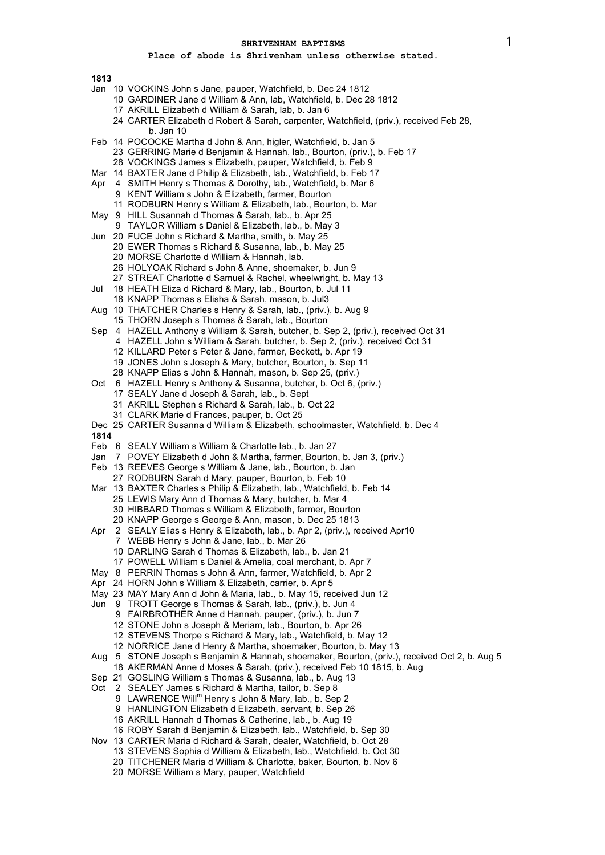### **Place of abode is Shrivenham unless otherwise stated.**

**1813**

- Jan 10 VOCKINS John s Jane, pauper, Watchfield, b. Dec 24 1812
	- 10 GARDINER Jane d William & Ann, lab, Watchfield, b. Dec 28 1812
	- 17 AKRILL Elizabeth d William & Sarah, lab, b. Jan 6
	- 24 CARTER Elizabeth d Robert & Sarah, carpenter, Watchfield, (priv.), received Feb 28, b. Jan 10
- Feb 14 POCOCKE Martha d John & Ann, higler, Watchfield, b. Jan 5
	- 23 GERRING Marie d Benjamin & Hannah, lab., Bourton, (priv.), b. Feb 17
	- 28 VOCKINGS James s Elizabeth, pauper, Watchfield, b. Feb 9
- Mar 14 BAXTER Jane d Philip & Elizabeth, lab., Watchfield, b. Feb 17
- Apr 4 SMITH Henry s Thomas & Dorothy, lab., Watchfield, b. Mar 6
	- 9 KENT William s John & Elizabeth, farmer, Bourton
	- 11 RODBURN Henry s William & Elizabeth, lab., Bourton, b. Mar
- May 9 HILL Susannah d Thomas & Sarah, lab., b. Apr 25
- 9 TAYLOR William s Daniel & Elizabeth, lab., b. May 3
- Jun 20 FUCE John s Richard & Martha, smith, b. May 25
	- 20 EWER Thomas s Richard & Susanna, lab., b. May 25
		- 20 MORSE Charlotte d William & Hannah, lab.
		- 26 HOLYOAK Richard s John & Anne, shoemaker, b. Jun 9
	- 27 STREAT Charlotte d Samuel & Rachel, wheelwright, b. May 13
- Jul 18 HEATH Eliza d Richard & Mary, lab., Bourton, b. Jul 11
- 18 KNAPP Thomas s Elisha & Sarah, mason, b. Jul3
- Aug 10 THATCHER Charles s Henry & Sarah, lab., (priv.), b. Aug 9 15 THORN Joseph s Thomas & Sarah, lab., Bourton
	-
- Sep 4 HAZELL Anthony s William & Sarah, butcher, b. Sep 2, (priv.), received Oct 31
	- 4 HAZELL John s William & Sarah, butcher, b. Sep 2, (priv.), received Oct 31
	- 12 KILLARD Peter s Peter & Jane, farmer, Beckett, b. Apr 19
	- 19 JONES John s Joseph & Mary, butcher, Bourton, b. Sep 11
	- 28 KNAPP Elias s John & Hannah, mason, b. Sep 25, (priv.)
- Oct 6 HAZELL Henry s Anthony & Susanna, butcher, b. Oct 6, (priv.)
	- 17 SEALY Jane d Joseph & Sarah, lab., b. Sept
	- 31 AKRILL Stephen s Richard & Sarah, lab., b. Oct 22
	- 31 CLARK Marie d Frances, pauper, b. Oct 25
- Dec 25 CARTER Susanna d William & Elizabeth, schoolmaster, Watchfield, b. Dec 4

- Feb 6 SEALY William s William & Charlotte lab., b. Jan 27
- Jan 7 POVEY Elizabeth d John & Martha, farmer, Bourton, b. Jan 3, (priv.)
- Feb 13 REEVES George s William & Jane, lab., Bourton, b. Jan
- 27 RODBURN Sarah d Mary, pauper, Bourton, b. Feb 10
- Mar 13 BAXTER Charles s Philip & Elizabeth, lab., Watchfield, b. Feb 14
	- 25 LEWIS Mary Ann d Thomas & Mary, butcher, b. Mar 4
	- 30 HIBBARD Thomas s William & Elizabeth, farmer, Bourton
	- 20 KNAPP George s George & Ann, mason, b. Dec 25 1813
- Apr 2 SEALY Elias s Henry & Elizabeth, lab., b. Apr 2, (priv.), received Apr10
	- 7 WEBB Henry s John & Jane, lab., b. Mar 26
	- 10 DARLING Sarah d Thomas & Elizabeth, lab., b. Jan 21
	- 17 POWELL William s Daniel & Amelia, coal merchant, b. Apr 7
- May 8 PERRIN Thomas s John & Ann, farmer, Watchfield, b. Apr 2
- Apr 24 HORN John s William & Elizabeth, carrier, b. Apr 5
- May 23 MAY Mary Ann d John & Maria, lab., b. May 15, received Jun 12
- Jun 9 TROTT George s Thomas & Sarah, lab., (priv.), b. Jun 4
	- 9 FAIRBROTHER Anne d Hannah, pauper, (priv.), b. Jun 7
	- 12 STONE John s Joseph & Meriam, lab., Bourton, b. Apr 26
	- 12 STEVENS Thorpe s Richard & Mary, lab., Watchfield, b. May 12
	- 12 NORRICE Jane d Henry & Martha, shoemaker, Bourton, b. May 13
- Aug 5 STONE Joseph s Benjamin & Hannah, shoemaker, Bourton, (priv.), received Oct 2, b. Aug 5
- 18 AKERMAN Anne d Moses & Sarah, (priv.), received Feb 10 1815, b. Aug
- Sep 21 GOSLING William s Thomas & Susanna, lab., b. Aug 13
- Oct 2 SEALEY James s Richard & Martha, tailor, b. Sep 8
	- 9 LAWRENCE Will<sup>m</sup> Henry s John & Mary, lab., b. Sep 2
	- 9 HANLINGTON Elizabeth d Elizabeth, servant, b. Sep 26
	- 16 AKRILL Hannah d Thomas & Catherine, lab., b. Aug 19
	- 16 ROBY Sarah d Benjamin & Elizabeth, lab., Watchfield, b. Sep 30
- Nov 13 CARTER Maria d Richard & Sarah, dealer, Watchfield, b. Oct 28
	- 13 STEVENS Sophia d William & Elizabeth, lab., Watchfield, b. Oct 30
	- 20 TITCHENER Maria d William & Charlotte, baker, Bourton, b. Nov 6
	- 20 MORSE William s Mary, pauper, Watchfield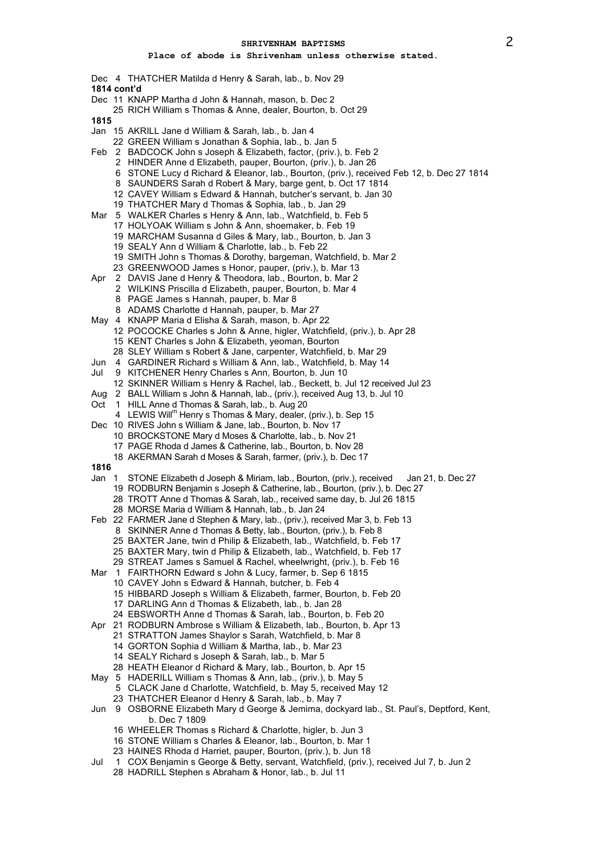- Dec 4 THATCHER Matilda d Henry & Sarah, lab., b. Nov 29 **1814 cont'd**
- Dec 11 KNAPP Martha d John & Hannah, mason, b. Dec 2
- RICH William s Thomas & Anne, dealer, Bourton, b. Oct 29
- 
- Jan 15 AKRILL Jane d William & Sarah, lab., b. Jan 4
	- GREEN William s Jonathan & Sophia, lab., b. Jan 5
- Feb 2 BADCOCK John s Joseph & Elizabeth, factor, (priv.), b. Feb 2
	- HINDER Anne d Elizabeth, pauper, Bourton, (priv.), b. Jan 26
	- STONE Lucy d Richard & Eleanor, lab., Bourton, (priv.), received Feb 12, b. Dec 27 1814
	- SAUNDERS Sarah d Robert & Mary, barge gent, b. Oct 17 1814
	- CAVEY William s Edward & Hannah, butcher's servant, b. Jan 30
	- THATCHER Mary d Thomas & Sophia, lab., b. Jan 29
- Mar 5 WALKER Charles s Henry & Ann, lab., Watchfield, b. Feb 5
	- HOLYOAK William s John & Ann, shoemaker, b. Feb 19
		- MARCHAM Susanna d Giles & Mary, lab., Bourton, b. Jan 3
		- SEALY Ann d William & Charlotte, lab., b. Feb 22
		- SMITH John s Thomas & Dorothy, bargeman, Watchfield, b. Mar 2
		- GREENWOOD James s Honor, pauper, (priv.), b. Mar 13
- Apr 2 DAVIS Jane d Henry & Theodora, lab., Bourton, b. Mar 2
	- WILKINS Priscilla d Elizabeth, pauper, Bourton, b. Mar 4
	- PAGE James s Hannah, pauper, b. Mar 8
	- ADAMS Charlotte d Hannah, pauper, b. Mar 27
- May 4 KNAPP Maria d Elisha & Sarah, mason, b. Apr 22
	- POCOCKE Charles s John & Anne, higler, Watchfield, (priv.), b. Apr 28
		- KENT Charles s John & Elizabeth, yeoman, Bourton
	- SLEY William s Robert & Jane, carpenter, Watchfield, b. Mar 29
- Jun 4 GARDINER Richard s William & Ann, lab., Watchfield, b. May 14
- Jul 9 KITCHENER Henry Charles s Ann, Bourton, b. Jun 10
- SKINNER William s Henry & Rachel, lab., Beckett, b. Jul 12 received Jul 23
- Aug 2 BALL William s John & Hannah, lab., (priv.), received Aug 13, b. Jul 10
- Oct 1 HILL Anne d Thomas & Sarah, lab., b. Aug 20
- 4 LEWIS Will<sup>m</sup> Henry s Thomas & Mary, dealer, (priv.), b. Sep 15
- Dec 10 RIVES John s William & Jane, lab., Bourton, b. Nov 17
	- BROCKSTONE Mary d Moses & Charlotte, lab., b. Nov 21
	- PAGE Rhoda d James & Catherine, lab., Bourton, b. Nov 28
	- AKERMAN Sarah d Moses & Sarah, farmer, (priv.), b. Dec 17
- 
- Jan 1 STONE Elizabeth d Joseph & Miriam, lab., Bourton, (priv.), received Jan 21, b. Dec 27
	- RODBURN Benjamin s Joseph & Catherine, lab., Bourton, (priv.), b. Dec 27
	- TROTT Anne d Thomas & Sarah, lab., received same day, b. Jul 26 1815
	- MORSE Maria d William & Hannah, lab., b. Jan 24
- Feb 22 FARMER Jane d Stephen & Mary, lab., (priv.), received Mar 3, b. Feb 13
	- SKINNER Anne d Thomas & Betty, lab., Bourton, (priv.), b. Feb 8
	- BAXTER Jane, twin d Philip & Elizabeth, lab., Watchfield, b. Feb 17
	- BAXTER Mary, twin d Philip & Elizabeth, lab., Watchfield, b. Feb 17
	- STREAT James s Samuel & Rachel, wheelwright, (priv.), b. Feb 16
- Mar 1 FAIRTHORN Edward s John & Lucy, farmer, b. Sep 6 1815
	- CAVEY John s Edward & Hannah, butcher, b. Feb 4
		- HIBBARD Joseph s William & Elizabeth, farmer, Bourton, b. Feb 20
		- DARLING Ann d Thomas & Elizabeth, lab., b. Jan 28
		- EBSWORTH Anne d Thomas & Sarah, lab., Bourton, b. Feb 20
- Apr 21 RODBURN Ambrose s William & Elizabeth, lab., Bourton, b. Apr 13
	- STRATTON James Shaylor s Sarah, Watchfield, b. Mar 8
	- GORTON Sophia d William & Martha, lab., b. Mar 23
	- SEALY Richard s Joseph & Sarah, lab., b. Mar 5
	- HEATH Eleanor d Richard & Mary, lab., Bourton, b. Apr 15
- May 5 HADERILL William s Thomas & Ann, lab., (priv.), b. May 5
- CLACK Jane d Charlotte, Watchfield, b. May 5, received May 12 THATCHER Eleanor d Henry & Sarah, lab., b. May 7
- 
- Jun 9 OSBORNE Elizabeth Mary d George & Jemima, dockyard lab., St. Paul's, Deptford, Kent, b. Dec 7 1809
	- WHEELER Thomas s Richard & Charlotte, higler, b. Jun 3
	- STONE William s Charles & Eleanor, lab., Bourton, b. Mar 1
	- HAINES Rhoda d Harriet, pauper, Bourton, (priv.), b. Jun 18
- Jul 1 COX Benjamin s George & Betty, servant, Watchfield, (priv.), received Jul 7, b. Jun 2
	- HADRILL Stephen s Abraham & Honor, lab., b. Jul 11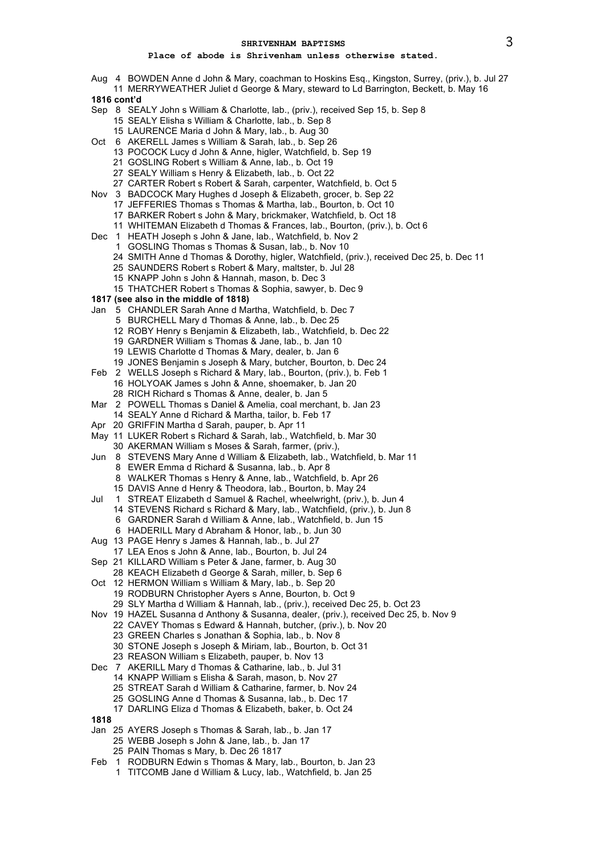- Aug 4 BOWDEN Anne d John & Mary, coachman to Hoskins Esq., Kingston, Surrey, (priv.), b. Jul 27
- MERRYWEATHER Juliet d George & Mary, steward to Ld Barrington, Beckett, b. May 16 **1816 cont'd**
- Sep 8 SEALY John s William & Charlotte, lab., (priv.), received Sep 15, b. Sep 8 SEALY Elisha s William & Charlotte, lab., b. Sep 8
	- LAURENCE Maria d John & Mary, lab., b. Aug 30
- Oct 6 AKERELL James s William & Sarah, lab., b. Sep 26
	- POCOCK Lucy d John & Anne, higler, Watchfield, b. Sep 19
	- GOSLING Robert s William & Anne, lab., b. Oct 19
	- SEALY William s Henry & Elizabeth, lab., b. Oct 22
	- CARTER Robert s Robert & Sarah, carpenter, Watchfield, b. Oct 5
- Nov 3 BADCOCK Mary Hughes d Joseph & Elizabeth, grocer, b. Sep 22
	- JEFFERIES Thomas s Thomas & Martha, lab., Bourton, b. Oct 10
		- BARKER Robert s John & Mary, brickmaker, Watchfield, b. Oct 18
		- WHITEMAN Elizabeth d Thomas & Frances, lab., Bourton, (priv.), b. Oct 6
- Dec 1 HEATH Joseph s John & Jane, lab., Watchfield, b. Nov 2
	- GOSLING Thomas s Thomas & Susan, lab., b. Nov 10
	- SMITH Anne d Thomas & Dorothy, higler, Watchfield, (priv.), received Dec 25, b. Dec 11
	- SAUNDERS Robert s Robert & Mary, maltster, b. Jul 28
	- KNAPP John s John & Hannah, mason, b. Dec 3
	- THATCHER Robert s Thomas & Sophia, sawyer, b. Dec 9
- **1817 (see also in the middle of 1818)**
- Jan 5 CHANDLER Sarah Anne d Martha, Watchfield, b. Dec 7
	- BURCHELL Mary d Thomas & Anne, lab., b. Dec 25
	- ROBY Henry s Benjamin & Elizabeth, lab., Watchfield, b. Dec 22
	- GARDNER William s Thomas & Jane, lab., b. Jan 10
	- LEWIS Charlotte d Thomas & Mary, dealer, b. Jan 6
	- JONES Benjamin s Joseph & Mary, butcher, Bourton, b. Dec 24
- Feb 2 WELLS Joseph s Richard & Mary, lab., Bourton, (priv.), b. Feb 1 HOLYOAK James s John & Anne, shoemaker, b. Jan 20 RICH Richard s Thomas & Anne, dealer, b. Jan 5
- Mar 2 POWELL Thomas s Daniel & Amelia, coal merchant, b. Jan 23
- 
- SEALY Anne d Richard & Martha, tailor, b. Feb 17
- Apr 20 GRIFFIN Martha d Sarah, pauper, b. Apr 11
- May 11 LUKER Robert s Richard & Sarah, lab., Watchfield, b. Mar 30
	- AKERMAN William s Moses & Sarah, farmer, (priv.),
- Jun 8 STEVENS Mary Anne d William & Elizabeth, lab., Watchfield, b. Mar 11 EWER Emma d Richard & Susanna, lab., b. Apr 8
	- WALKER Thomas s Henry & Anne, lab., Watchfield, b. Apr 26
	- DAVIS Anne d Henry & Theodora, lab., Bourton, b. May 24
- Jul 1 STREAT Elizabeth d Samuel & Rachel, wheelwright, (priv.), b. Jun 4
	- STEVENS Richard s Richard & Mary, lab., Watchfield, (priv.), b. Jun 8
		- GARDNER Sarah d William & Anne, lab., Watchfield, b. Jun 15
		- HADERILL Mary d Abraham & Honor, lab., b. Jun 30
- Aug 13 PAGE Henry s James & Hannah, lab., b. Jul 27
- LEA Enos s John & Anne, lab., Bourton, b. Jul 24
- Sep 21 KILLARD William s Peter & Jane, farmer, b. Aug 30
- KEACH Elizabeth d George & Sarah, miller, b. Sep 6
- Oct 12 HERMON William s William & Mary, lab., b. Sep 20
- RODBURN Christopher Ayers s Anne, Bourton, b. Oct 9 SLY Martha d William & Hannah, lab., (priv.), received Dec 25, b. Oct 23
- Nov 19 HAZEL Susanna d Anthony & Susanna, dealer, (priv.), received Dec 25, b. Nov 9
	- CAVEY Thomas s Edward & Hannah, butcher, (priv.), b. Nov 20
	- GREEN Charles s Jonathan & Sophia, lab., b. Nov 8
	- STONE Joseph s Joseph & Miriam, lab., Bourton, b. Oct 31
	- REASON William s Elizabeth, pauper, b. Nov 13
- Dec 7 AKERILL Mary d Thomas & Catharine, lab., b. Jul 31
	- KNAPP William s Elisha & Sarah, mason, b. Nov 27
		- STREAT Sarah d William & Catharine, farmer, b. Nov 24
		- GOSLING Anne d Thomas & Susanna, lab., b. Dec 17
		- DARLING Eliza d Thomas & Elizabeth, baker, b. Oct 24
- 
- Jan 25 AYERS Joseph s Thomas & Sarah, lab., b. Jan 17
	- WEBB Joseph s John & Jane, lab., b. Jan 17
	- PAIN Thomas s Mary, b. Dec 26 1817
- Feb 1 RODBURN Edwin s Thomas & Mary, lab., Bourton, b. Jan 23
	- TITCOMB Jane d William & Lucy, lab., Watchfield, b. Jan 25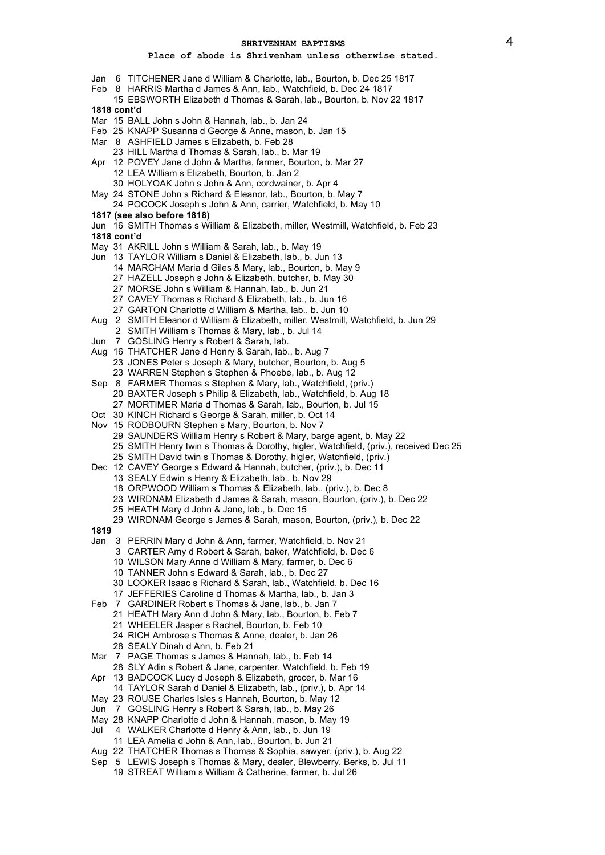- Jan 6 TITCHENER Jane d William & Charlotte, lab., Bourton, b. Dec 25 1817
- Feb 8 HARRIS Martha d James & Ann, lab., Watchfield, b. Dec 24 1817
- 15 EBSWORTH Elizabeth d Thomas & Sarah, lab., Bourton, b. Nov 22 1817 **1818 cont'd**
- Mar 15 BALL John s John & Hannah, lab., b. Jan 24
- Feb 25 KNAPP Susanna d George & Anne, mason, b. Jan 15
- Mar 8 ASHFIELD James s Elizabeth, b. Feb 28
	- 23 HILL Martha d Thomas & Sarah, lab., b. Mar 19
- Apr 12 POVEY Jane d John & Martha, farmer, Bourton, b. Mar 27 12 LEA William s Elizabeth, Bourton, b. Jan 2
	- 30 HOLYOAK John s John & Ann, cordwainer, b. Apr 4
- May 24 STONE John s Richard & Eleanor, lab., Bourton, b. May 7
- 24 POCOCK Joseph s John & Ann, carrier, Watchfield, b. May 10 **1817 (see also before 1818)**
- Jun 16 SMITH Thomas s William & Elizabeth, miller, Westmill, Watchfield, b. Feb 23 **1818 cont'd**
- May 31 AKRILL John s William & Sarah, lab., b. May 19
- Jun 13 TAYLOR William s Daniel & Elizabeth, lab., b. Jun 13
	- 14 MARCHAM Maria d Giles & Mary, lab., Bourton, b. May 9
	-
	- 27 HAZELL Joseph s John & Elizabeth, butcher, b. May 30 27 MORSE John s William & Hannah, lab., b. Jun 21
	- 27 CAVEY Thomas s Richard & Elizabeth, lab., b. Jun 16
	- 27 GARTON Charlotte d William & Martha, lab., b. Jun 10
	-
- Aug 2 SMITH Eleanor d William & Elizabeth, miller, Westmill, Watchfield, b. Jun 29
- 2 SMITH William s Thomas & Mary, lab., b. Jul 14
- Jun 7 GOSLING Henry s Robert & Sarah, lab.
- Aug 16 THATCHER Jane d Henry & Sarah, lab., b. Aug 7 23 JONES Peter s Joseph & Mary, butcher, Bourton, b. Aug 5 23 WARREN Stephen s Stephen & Phoebe, lab., b. Aug 12
	-
- Sep 8 FARMER Thomas s Stephen & Mary, lab., Watchfield, (priv.) 20 BAXTER Joseph s Philip & Elizabeth, lab., Watchfield, b. Aug 18
	- 27 MORTIMER Maria d Thomas & Sarah, lab., Bourton, b. Jul 15
- Oct 30 KINCH Richard s George & Sarah, miller, b. Oct 14
- Nov 15 RODBOURN Stephen s Mary, Bourton, b. Nov 7
	- - 29 SAUNDERS William Henry s Robert & Mary, barge agent, b. May 22
		- 25 SMITH Henry twin s Thomas & Dorothy, higler, Watchfield, (priv.), received Dec 25
		- 25 SMITH David twin s Thomas & Dorothy, higler, Watchfield, (priv.)
- Dec 12 CAVEY George s Edward & Hannah, butcher, (priv.), b. Dec 11
	- 13 SEALY Edwin s Henry & Elizabeth, lab., b. Nov 29
	- 18 ORPWOOD William s Thomas & Elizabeth, lab., (priv.), b. Dec 8
	- 23 WIRDNAM Elizabeth d James & Sarah, mason, Bourton, (priv.), b. Dec 22
	- 25 HEATH Mary d John & Jane, lab., b. Dec 15
	- 29 WIRDNAM George s James & Sarah, mason, Bourton, (priv.), b. Dec 22
- **1819**
- Jan 3 PERRIN Mary d John & Ann, farmer, Watchfield, b. Nov 21
	- 3 CARTER Amy d Robert & Sarah, baker, Watchfield, b. Dec 6
	- 10 WILSON Mary Anne d William & Mary, farmer, b. Dec 6
	- 10 TANNER John s Edward & Sarah, lab., b. Dec 27
	- 30 LOOKER Isaac s Richard & Sarah, lab., Watchfield, b. Dec 16
	- 17 JEFFERIES Caroline d Thomas & Martha, lab., b. Jan 3
- Feb 7 GARDINER Robert s Thomas & Jane, lab., b. Jan 7
	- 21 HEATH Mary Ann d John & Mary, lab., Bourton, b. Feb 7
	- 21 WHEELER Jasper s Rachel, Bourton, b. Feb 10
	- 24 RICH Ambrose s Thomas & Anne, dealer, b. Jan 26
	- 28 SEALY Dinah d Ann, b. Feb 21
- Mar 7 PAGE Thomas s James & Hannah, lab., b. Feb 14
- 28 SLY Adin s Robert & Jane, carpenter, Watchfield, b. Feb 19
- Apr 13 BADCOCK Lucy d Joseph & Elizabeth, grocer, b. Mar 16
- 14 TAYLOR Sarah d Daniel & Elizabeth, lab., (priv.), b. Apr 14
- May 23 ROUSE Charles Isles s Hannah, Bourton, b. May 12
- Jun 7 GOSLING Henry s Robert & Sarah, lab., b. May 26
- May 28 KNAPP Charlotte d John & Hannah, mason, b. May 19
- Jul 4 WALKER Charlotte d Henry & Ann, lab., b. Jun 19
- 11 LEA Amelia d John & Ann, lab., Bourton, b. Jun 21
- Aug 22 THATCHER Thomas s Thomas & Sophia, sawyer, (priv.), b. Aug 22
- Sep 5 LEWIS Joseph s Thomas & Mary, dealer, Blewberry, Berks, b. Jul 11
	- 19 STREAT William s William & Catherine, farmer, b. Jul 26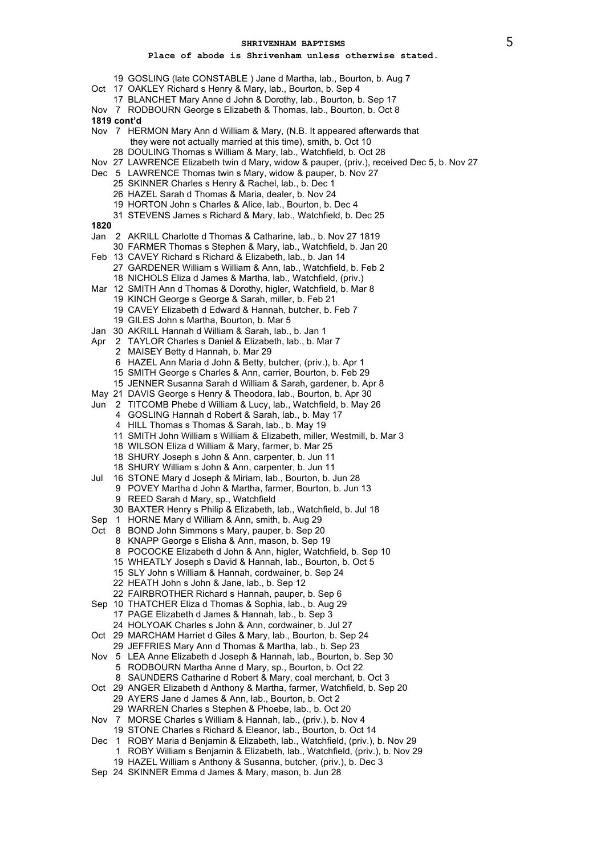- GOSLING (late CONSTABLE ) Jane d Martha, lab., Bourton, b. Aug 7
- Oct 17 OAKLEY Richard s Henry & Mary, lab., Bourton, b. Sep 4
	- BLANCHET Mary Anne d John & Dorothy, lab., Bourton, b. Sep 17
- Nov 7 RODBOURN George s Elizabeth & Thomas, lab., Bourton, b. Oct 8 **1819 cont'd**
- Nov 7 HERMON Mary Ann d William & Mary, (N.B. It appeared afterwards that they were not actually married at this time), smith, b. Oct 10
- DOULING Thomas s William & Mary, lab., Watchfield, b. Oct 28
- Nov 27 LAWRENCE Elizabeth twin d Mary, widow & pauper, (priv.), received Dec 5, b. Nov 27
- Dec 5 LAWRENCE Thomas twin s Mary, widow & pauper, b. Nov 27
	- SKINNER Charles s Henry & Rachel, lab., b. Dec 1
	- HAZEL Sarah d Thomas & Maria, dealer, b. Nov 24
	- HORTON John s Charles & Alice, lab., Bourton, b. Dec 4
	- STEVENS James s Richard & Mary, lab., Watchfield, b. Dec 25
- 
- Jan 2 AKRILL Charlotte d Thomas & Catharine, lab., b. Nov 27 1819
- FARMER Thomas s Stephen & Mary, lab., Watchfield, b. Jan 20
- Feb 13 CAVEY Richard s Richard & Elizabeth, lab., b. Jan 14 GARDENER William s William & Ann, lab., Watchfield, b. Feb 2
	- NICHOLS Eliza d James & Martha, lab., Watchfield, (priv.)
- Mar 12 SMITH Ann d Thomas & Dorothy, higler, Watchfield, b. Mar 8
	- KINCH George s George & Sarah, miller, b. Feb 21
	- CAVEY Elizabeth d Edward & Hannah, butcher, b. Feb 7
	- GILES John s Martha, Bourton, b. Mar 5
- Jan 30 AKRILL Hannah d William & Sarah, lab., b. Jan 1
- Apr 2 TAYLOR Charles s Daniel & Elizabeth, lab., b. Mar 7
	- MAISEY Betty d Hannah, b. Mar 29
	- HAZEL Ann Maria d John & Betty, butcher, (priv.), b. Apr 1
	- SMITH George s Charles & Ann, carrier, Bourton, b. Feb 29
	- JENNER Susanna Sarah d William & Sarah, gardener, b. Apr 8
- May 21 DAVIS George s Henry & Theodora, lab., Bourton, b. Apr 30
- Jun 2 TITCOMB Phebe d William & Lucy, lab., Watchfield, b. May 26
	- GOSLING Hannah d Robert & Sarah, lab., b. May 17
		- HILL Thomas s Thomas & Sarah, lab., b. May 19
	- SMITH John William s William & Elizabeth, miller, Westmill, b. Mar 3
	- WILSON Eliza d William & Mary, farmer, b. Mar 25
	- SHURY Joseph s John & Ann, carpenter, b. Jun 11
	- SHURY William s John & Ann, carpenter, b. Jun 11
- Jul 16 STONE Mary d Joseph & Miriam, lab., Bourton, b. Jun 28
	- POVEY Martha d John & Martha, farmer, Bourton, b. Jun 13 REED Sarah d Mary, sp., Watchfield
	- BAXTER Henry s Philip & Elizabeth, lab., Watchfield, b. Jul 18
- Sep 1 HORNE Mary d William & Ann, smith, b. Aug 29
- Oct 8 BOND John Simmons s Mary, pauper, b. Sep 20
	- KNAPP George s Elisha & Ann, mason, b. Sep 19
	- POCOCKE Elizabeth d John & Ann, higler, Watchfield, b. Sep 10
	- WHEATLY Joseph s David & Hannah, lab., Bourton, b. Oct 5
	- SLY John s William & Hannah, cordwainer, b. Sep 24
	- HEATH John s John & Jane, lab., b. Sep 12
	- FAIRBROTHER Richard s Hannah, pauper, b. Sep 6
- Sep 10 THATCHER Eliza d Thomas & Sophia, lab., b. Aug 29
	- PAGE Elizabeth d James & Hannah, lab., b. Sep 3
	- HOLYOAK Charles s John & Ann, cordwainer, b. Jul 27
- Oct 29 MARCHAM Harriet d Giles & Mary, lab., Bourton, b. Sep 24
	- JEFFRIES Mary Ann d Thomas & Martha, lab., b. Sep 23
- Nov 5 LEA Anne Elizabeth d Joseph & Hannah, lab., Bourton, b. Sep 30 RODBOURN Martha Anne d Mary, sp., Bourton, b. Oct 22
	- SAUNDERS Catharine d Robert & Mary, coal merchant, b. Oct 3
- Oct 29 ANGER Elizabeth d Anthony & Martha, farmer, Watchfield, b. Sep 20 AYERS Jane d James & Ann, lab., Bourton, b. Oct 2
	- WARREN Charles s Stephen & Phoebe, lab., b. Oct 20
- Nov 7 MORSE Charles s William & Hannah, lab., (priv.), b. Nov 4
- STONE Charles s Richard & Eleanor, lab., Bourton, b. Oct 14
- Dec 1 ROBY Maria d Benjamin & Elizabeth, lab., Watchfield, (priv.), b. Nov 29
	- ROBY William s Benjamin & Elizabeth, lab., Watchfield, (priv.), b. Nov 29
	- HAZEL William s Anthony & Susanna, butcher, (priv.), b. Dec 3
- Sep 24 SKINNER Emma d James & Mary, mason, b. Jun 28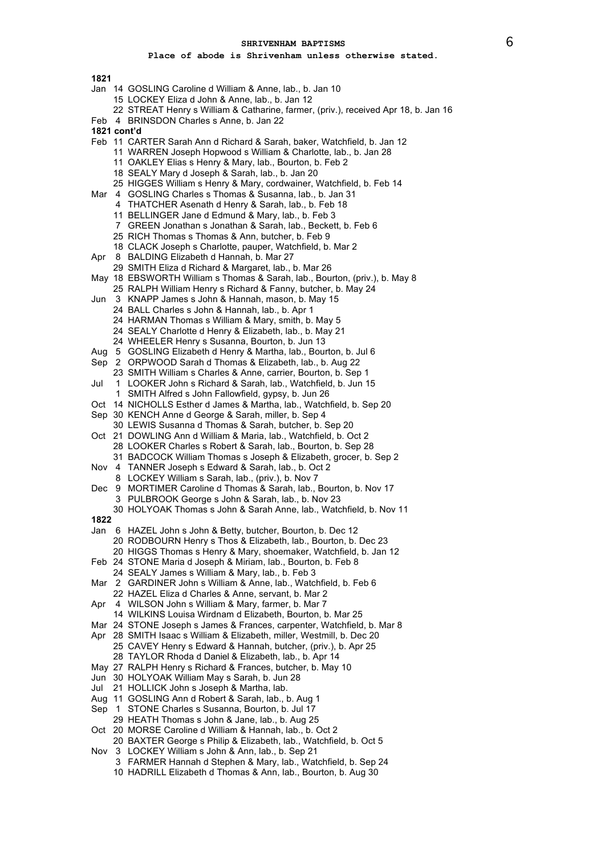- Jan 14 GOSLING Caroline d William & Anne, lab., b. Jan 10
	- 15 LOCKEY Eliza d John & Anne, lab., b. Jan 12
	- 22 STREAT Henry s William & Catharine, farmer, (priv.), received Apr 18, b. Jan 16
- Feb 4 BRINSDON Charles s Anne, b. Jan 22
- **1821 cont'd**
- Feb 11 CARTER Sarah Ann d Richard & Sarah, baker, Watchfield, b. Jan 12
	- 11 WARREN Joseph Hopwood s William & Charlotte, lab., b. Jan 28
		- 11 OAKLEY Elias s Henry & Mary, lab., Bourton, b. Feb 2
		- 18 SEALY Mary d Joseph & Sarah, lab., b. Jan 20
	- 25 HIGGES William s Henry & Mary, cordwainer, Watchfield, b. Feb 14
- Mar 4 GOSLING Charles s Thomas & Susanna, lab., b. Jan 31
	- 4 THATCHER Asenath d Henry & Sarah, lab., b. Feb 18
	- 11 BELLINGER Jane d Edmund & Mary, lab., b. Feb 3
	- 7 GREEN Jonathan s Jonathan & Sarah, lab., Beckett, b. Feb 6
	- 25 RICH Thomas s Thomas & Ann, butcher, b. Feb 9
	- 18 CLACK Joseph s Charlotte, pauper, Watchfield, b. Mar 2
- Apr 8 BALDING Elizabeth d Hannah, b. Mar 27
- 29 SMITH Eliza d Richard & Margaret, lab., b. Mar 26
- May 18 EBSWORTH William s Thomas & Sarah, lab., Bourton, (priv.), b. May 8
	- 25 RALPH William Henry s Richard & Fanny, butcher, b. May 24
- Jun 3 KNAPP James s John & Hannah, mason, b. May 15
	- 24 BALL Charles s John & Hannah, lab., b. Apr 1
		- 24 HARMAN Thomas s William & Mary, smith, b. May 5
		- 24 SEALY Charlotte d Henry & Elizabeth, lab., b. May 21
	- 24 WHEELER Henry s Susanna, Bourton, b. Jun 13
- Aug 5 GOSLING Elizabeth d Henry & Martha, lab., Bourton, b. Jul 6
- Sep 2 ORPWOOD Sarah d Thomas & Elizabeth, lab., b. Aug 22
- 23 SMITH William s Charles & Anne, carrier, Bourton, b. Sep 1
- Jul 1 LOOKER John s Richard & Sarah, lab., Watchfield, b. Jun 15
	- 1 SMITH Alfred s John Fallowfield, gypsy, b. Jun 26
- Oct 14 NICHOLLS Esther d James & Martha, lab., Watchfield, b. Sep 20
- Sep 30 KENCH Anne d George & Sarah, miller, b. Sep 4
- 30 LEWIS Susanna d Thomas & Sarah, butcher, b. Sep 20
- Oct 21 DOWLING Ann d William & Maria, lab., Watchfield, b. Oct 2 28 LOOKER Charles s Robert & Sarah, lab., Bourton, b. Sep 28
	- 31 BADCOCK William Thomas s Joseph & Elizabeth, grocer, b. Sep 2
- Nov 4 TANNER Joseph s Edward & Sarah, lab., b. Oct 2 8 LOCKEY William s Sarah, lab., (priv.), b. Nov 7
- Dec 9 MORTIMER Caroline d Thomas & Sarah, lab., Bourton, b. Nov 17
	- 3 PULBROOK George s John & Sarah, lab., b. Nov 23
- 30 HOLYOAK Thomas s John & Sarah Anne, lab., Watchfield, b. Nov 11 **1822**
- 
- Jan 6 HAZEL John s John & Betty, butcher, Bourton, b. Dec 12 20 RODBOURN Henry s Thos & Elizabeth, lab., Bourton, b. Dec 23 20 HIGGS Thomas s Henry & Mary, shoemaker, Watchfield, b. Jan 12
- Feb 24 STONE Maria d Joseph & Miriam, lab., Bourton, b. Feb 8
- 24 SEALY James s William & Mary, lab., b. Feb 3
- Mar 2 GARDINER John s William & Anne, lab., Watchfield, b. Feb 6
- 22 HAZEL Eliza d Charles & Anne, servant, b. Mar 2
- Apr 4 WILSON John s William & Mary, farmer, b. Mar 7
	- 14 WILKINS Louisa Wirdnam d Elizabeth, Bourton, b. Mar 25
- Mar 24 STONE Joseph s James & Frances, carpenter, Watchfield, b. Mar 8
- Apr 28 SMITH Isaac s William & Elizabeth, miller, Westmill, b. Dec 20 25 CAVEY Henry s Edward & Hannah, butcher, (priv.), b. Apr 25 28 TAYLOR Rhoda d Daniel & Elizabeth, lab., b. Apr 14 May 27 RALPH Henry s Richard & Frances, butcher, b. May 10
- Jun 30 HOLYOAK William May s Sarah, b. Jun 28
- Jul 21 HOLLICK John s Joseph & Martha, lab.
- Aug 11 GOSLING Ann d Robert & Sarah, lab., b. Aug 1
- Sep 1 STONE Charles s Susanna, Bourton, b. Jul 17
- 29 HEATH Thomas s John & Jane, lab., b. Aug 25
- Oct 20 MORSE Caroline d William & Hannah, lab., b. Oct 2
- 20 BAXTER George s Philip & Elizabeth, lab., Watchfield, b. Oct 5 Nov 3 LOCKEY William s John & Ann, lab., b. Sep 21
	- 3 FARMER Hannah d Stephen & Mary, lab., Watchfield, b. Sep 24
		- 10 HADRILL Elizabeth d Thomas & Ann, lab., Bourton, b. Aug 30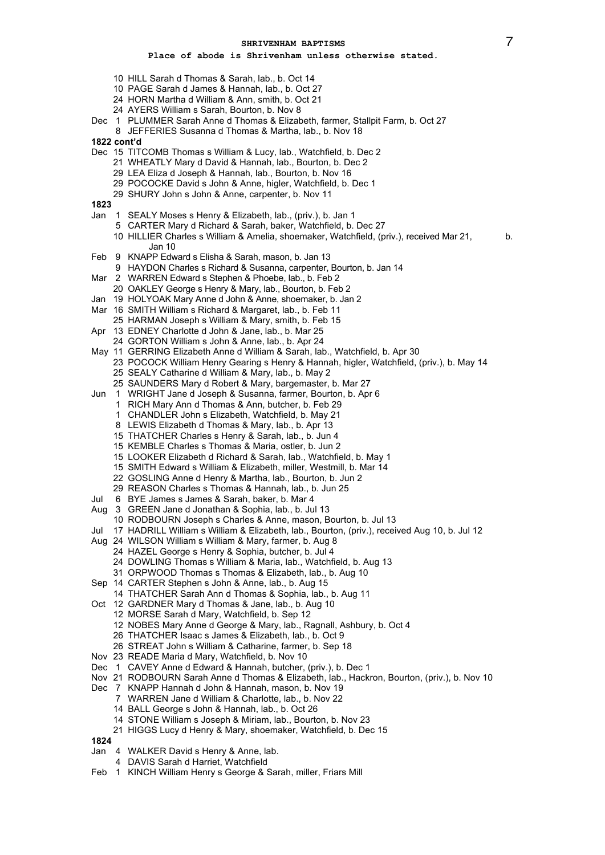- HILL Sarah d Thomas & Sarah, lab., b. Oct 14
- PAGE Sarah d James & Hannah, lab., b. Oct 27
- HORN Martha d William & Ann, smith, b. Oct 21
- AYERS William s Sarah, Bourton, b. Nov 8
- Dec 1 PLUMMER Sarah Anne d Thomas & Elizabeth, farmer, Stallpit Farm, b. Oct 27
- JEFFERIES Susanna d Thomas & Martha, lab., b. Nov 18
- **1822 cont'd**
- Dec 15 TITCOMB Thomas s William & Lucy, lab., Watchfield, b. Dec 2
	- WHEATLY Mary d David & Hannah, lab., Bourton, b. Dec 2
	- LEA Eliza d Joseph & Hannah, lab., Bourton, b. Nov 16
	- POCOCKE David s John & Anne, higler, Watchfield, b. Dec 1
	- SHURY John s John & Anne, carpenter, b. Nov 11
- 
- Jan 1 SEALY Moses s Henry & Elizabeth, lab., (priv.), b. Jan 1
	- CARTER Mary d Richard & Sarah, baker, Watchfield, b. Dec 27
	- HILLIER Charles s William & Amelia, shoemaker, Watchfield, (priv.), received Mar 21, b. Jan 10
- Feb 9 KNAPP Edward s Elisha & Sarah, mason, b. Jan 13
- HAYDON Charles s Richard & Susanna, carpenter, Bourton, b. Jan 14
- Mar 2 WARREN Edward s Stephen & Phoebe, lab., b. Feb 2
	- OAKLEY George s Henry & Mary, lab., Bourton, b. Feb 2
- Jan 19 HOLYOAK Mary Anne d John & Anne, shoemaker, b. Jan 2
- Mar 16 SMITH William s Richard & Margaret, lab., b. Feb 11
- HARMAN Joseph s William & Mary, smith, b. Feb 15
- Apr 13 EDNEY Charlotte d John & Jane, lab., b. Mar 25
- GORTON William s John & Anne, lab., b. Apr 24
- May 11 GERRING Elizabeth Anne d William & Sarah, lab., Watchfield, b. Apr 30 POCOCK William Henry Gearing s Henry & Hannah, higler, Watchfield, (priv.), b. May 14
	- SEALY Catharine d William & Mary, lab., b. May 2
	- SAUNDERS Mary d Robert & Mary, bargemaster, b. Mar 27
- Jun 1 WRIGHT Jane d Joseph & Susanna, farmer, Bourton, b. Apr 6
	- RICH Mary Ann d Thomas & Ann, butcher, b. Feb 29
	- CHANDLER John s Elizabeth, Watchfield, b. May 21
	- LEWIS Elizabeth d Thomas & Mary, lab., b. Apr 13
	- THATCHER Charles s Henry & Sarah, lab., b. Jun 4
	- KEMBLE Charles s Thomas & Maria, ostler, b. Jun 2
	- LOOKER Elizabeth d Richard & Sarah, lab., Watchfield, b. May 1
	- SMITH Edward s William & Elizabeth, miller, Westmill, b. Mar 14
	- GOSLING Anne d Henry & Martha, lab., Bourton, b. Jun 2
	- REASON Charles s Thomas & Hannah, lab., b. Jun 25
- Jul 6 BYE James s James & Sarah, baker, b. Mar 4
- Aug 3 GREEN Jane d Jonathan & Sophia, lab., b. Jul 13
- RODBOURN Joseph s Charles & Anne, mason, Bourton, b. Jul 13
- Jul 17 HADRILL William s William & Elizabeth, lab., Bourton, (priv.), received Aug 10, b. Jul 12
- Aug 24 WILSON William s William & Mary, farmer, b. Aug 8
	- HAZEL George s Henry & Sophia, butcher, b. Jul 4
		- DOWLING Thomas s William & Maria, lab., Watchfield, b. Aug 13
		- ORPWOOD Thomas s Thomas & Elizabeth, lab., b. Aug 10
- Sep 14 CARTER Stephen s John & Anne, lab., b. Aug 15
- THATCHER Sarah Ann d Thomas & Sophia, lab., b. Aug 11
- Oct 12 GARDNER Mary d Thomas & Jane, lab., b. Aug 10
	- MORSE Sarah d Mary, Watchfield, b. Sep 12
	- NOBES Mary Anne d George & Mary, lab., Ragnall, Ashbury, b. Oct 4
	- THATCHER Isaac s James & Elizabeth, lab., b. Oct 9
	- STREAT John s William & Catharine, farmer, b. Sep 18
- Nov 23 READE Maria d Mary, Watchfield, b. Nov 10
- Dec 1 CAVEY Anne d Edward & Hannah, butcher, (priv.), b. Dec 1
- Nov 21 RODBOURN Sarah Anne d Thomas & Elizabeth, lab., Hackron, Bourton, (priv.), b. Nov 10
- Dec 7 KNAPP Hannah d John & Hannah, mason, b. Nov 19
	- WARREN Jane d William & Charlotte, lab., b. Nov 22
		- BALL George s John & Hannah, lab., b. Oct 26
		- STONE William s Joseph & Miriam, lab., Bourton, b. Nov 23
		- HIGGS Lucy d Henry & Mary, shoemaker, Watchfield, b. Dec 15
- 
- Jan 4 WALKER David s Henry & Anne, lab.
- DAVIS Sarah d Harriet, Watchfield
- Feb 1 KINCH William Henry s George & Sarah, miller, Friars Mill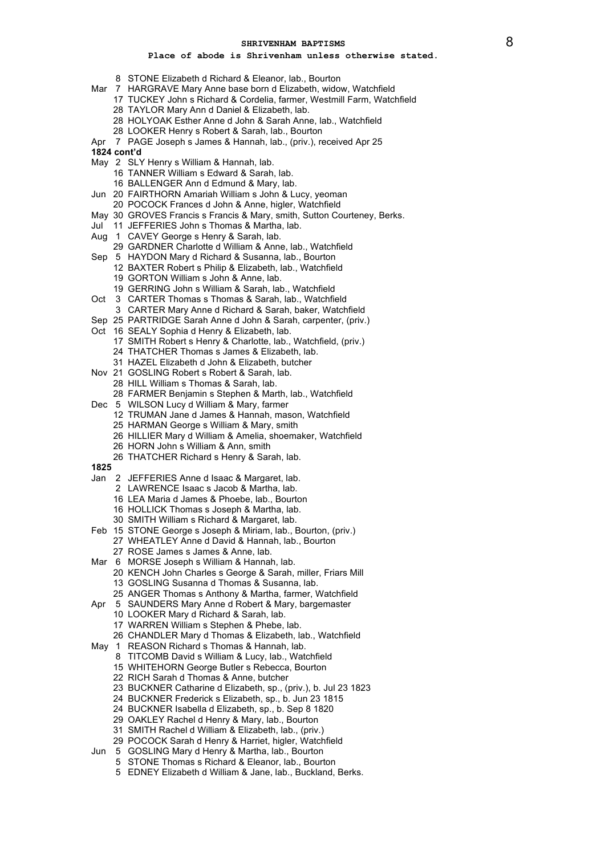- STONE Elizabeth d Richard & Eleanor, lab., Bourton
- Mar 7 HARGRAVE Mary Anne base born d Elizabeth, widow, Watchfield
	- TUCKEY John s Richard & Cordelia, farmer, Westmill Farm, Watchfield TAYLOR Mary Ann d Daniel & Elizabeth, lab.
	- HOLYOAK Esther Anne d John & Sarah Anne, lab., Watchfield
	- LOOKER Henry s Robert & Sarah, lab., Bourton
	-
- Apr 7 PAGE Joseph s James & Hannah, lab., (priv.), received Apr 25
- **1824 cont'd**
- May 2 SLY Henry s William & Hannah, lab.
	- TANNER William s Edward & Sarah, lab.
	- BALLENGER Ann d Edmund & Mary, lab.
- Jun 20 FAIRTHORN Amariah William s John & Lucy, yeoman
	- POCOCK Frances d John & Anne, higler, Watchfield
- May 30 GROVES Francis s Francis & Mary, smith, Sutton Courteney, Berks.
- Jul 11 JEFFERIES John s Thomas & Martha, lab.
- Aug 1 CAVEY George s Henry & Sarah, lab.
- GARDNER Charlotte d William & Anne, lab., Watchfield
- Sep 5 HAYDON Mary d Richard & Susanna, lab., Bourton
	- BAXTER Robert s Philip & Elizabeth, lab., Watchfield GORTON William s John & Anne, lab.
		- GERRING John s William & Sarah, lab., Watchfield
- Oct 3 CARTER Thomas s Thomas & Sarah, lab., Watchfield
	- CARTER Mary Anne d Richard & Sarah, baker, Watchfield
- Sep 25 PARTRIDGE Sarah Anne d John & Sarah, carpenter, (priv.)
- Oct 16 SEALY Sophia d Henry & Elizabeth, lab.
	- SMITH Robert s Henry & Charlotte, lab., Watchfield, (priv.)
	- THATCHER Thomas s James & Elizabeth, lab.
	- HAZEL Elizabeth d John & Elizabeth, butcher
- Nov 21 GOSLING Robert s Robert & Sarah, lab.
- HILL William s Thomas & Sarah, lab. FARMER Benjamin s Stephen & Marth, lab., Watchfield
- Dec 5 WILSON Lucy d William & Mary, farmer
	- TRUMAN Jane d James & Hannah, mason, Watchfield
		- HARMAN George s William & Mary, smith
		- HILLIER Mary d William & Amelia, shoemaker, Watchfield
		- HORN John s William & Ann, smith
	- THATCHER Richard s Henry & Sarah, lab.
- 
- Jan 2 JEFFERIES Anne d Isaac & Margaret, lab.
	- LAWRENCE Isaac s Jacob & Martha, lab.
	- LEA Maria d James & Phoebe, lab., Bourton
	- HOLLICK Thomas s Joseph & Martha, lab.
	- SMITH William s Richard & Margaret, lab.
- Feb 15 STONE George s Joseph & Miriam, lab., Bourton, (priv.)
- WHEATLEY Anne d David & Hannah, lab., Bourton ROSE James s James & Anne, lab.
- Mar 6 MORSE Joseph s William & Hannah, lab.
	- KENCH John Charles s George & Sarah, miller, Friars Mill GOSLING Susanna d Thomas & Susanna, lab.
		- ANGER Thomas s Anthony & Martha, farmer, Watchfield
- Apr 5 SAUNDERS Mary Anne d Robert & Mary, bargemaster
	- LOOKER Mary d Richard & Sarah, lab.
	- WARREN William s Stephen & Phebe, lab.
	- CHANDLER Mary d Thomas & Elizabeth, lab., Watchfield
- May 1 REASON Richard s Thomas & Hannah, lab.
	- TITCOMB David s William & Lucy, lab., Watchfield
	- WHITEHORN George Butler s Rebecca, Bourton
	- RICH Sarah d Thomas & Anne, butcher
	- BUCKNER Catharine d Elizabeth, sp., (priv.), b. Jul 23 1823
	- BUCKNER Frederick s Elizabeth, sp., b. Jun 23 1815
	- BUCKNER Isabella d Elizabeth, sp., b. Sep 8 1820
	- OAKLEY Rachel d Henry & Mary, lab., Bourton
	- SMITH Rachel d William & Elizabeth, lab., (priv.)
	- POCOCK Sarah d Henry & Harriet, higler, Watchfield
- Jun 5 GOSLING Mary d Henry & Martha, lab., Bourton
	- STONE Thomas s Richard & Eleanor, lab., Bourton
		- EDNEY Elizabeth d William & Jane, lab., Buckland, Berks.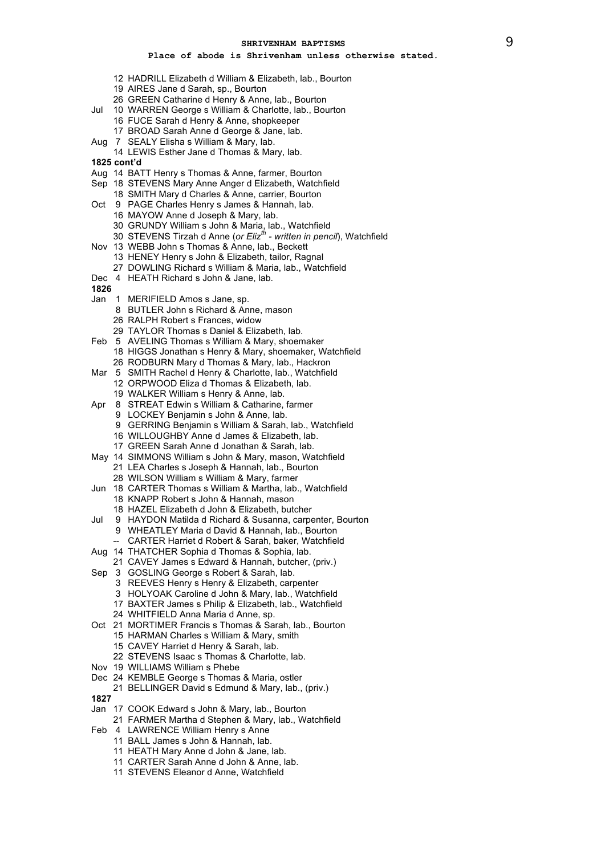- HADRILL Elizabeth d William & Elizabeth, lab., Bourton
- AIRES Jane d Sarah, sp., Bourton
- GREEN Catharine d Henry & Anne, lab., Bourton
- Jul 10 WARREN George s William & Charlotte, lab., Bourton FUCE Sarah d Henry & Anne, shopkeeper
	- BROAD Sarah Anne d George & Jane, lab.
- Aug 7 SEALY Elisha s William & Mary, lab.
- LEWIS Esther Jane d Thomas & Mary, lab.
- **1825 cont'd**
- Aug 14 BATT Henry s Thomas & Anne, farmer, Bourton
- Sep 18 STEVENS Mary Anne Anger d Elizabeth, Watchfield
- SMITH Mary d Charles & Anne, carrier, Bourton
- Oct 9 PAGE Charles Henry s James & Hannah, lab.
	- MAYOW Anne d Joseph & Mary, lab.
	- GRUNDY William s John & Maria, lab., Watchfield
	- STEVENS Tirzah d Anne (*or Elizth written in pencil*), Watchfield
- Nov 13 WEBB John s Thomas & Anne, lab., Beckett
	- HENEY Henry s John & Elizabeth, tailor, Ragnal DOWLING Richard s William & Maria, lab., Watchfield
- Dec 4 HEATH Richard s John & Jane, lab.
- 
- Jan 1 MERIFIELD Amos s Jane, sp.
	- BUTLER John s Richard & Anne, mason
	- RALPH Robert s Frances, widow
	- TAYLOR Thomas s Daniel & Elizabeth, lab.
- Feb 5 AVELING Thomas s William & Mary, shoemaker HIGGS Jonathan s Henry & Mary, shoemaker, Watchfield
	- RODBURN Mary d Thomas & Mary, lab., Hackron
- Mar 5 SMITH Rachel d Henry & Charlotte, lab., Watchfield ORPWOOD Eliza d Thomas & Elizabeth, lab. WALKER William s Henry & Anne, lab.
- Apr 8 STREAT Edwin s William & Catharine, farmer
	- LOCKEY Benjamin s John & Anne, lab.
	- GERRING Benjamin s William & Sarah, lab., Watchfield
		- WILLOUGHBY Anne d James & Elizabeth, lab.
		- GREEN Sarah Anne d Jonathan & Sarah, lab.
- May 14 SIMMONS William s John & Mary, mason, Watchfield
	- LEA Charles s Joseph & Hannah, lab., Bourton
	- WILSON William s William & Mary, farmer
- Jun 18 CARTER Thomas s William & Martha, lab., Watchfield KNAPP Robert s John & Hannah, mason
	- HAZEL Elizabeth d John & Elizabeth, butcher
- Jul 9 HAYDON Matilda d Richard & Susanna, carpenter, Bourton
	- WHEATLEY Maria d David & Hannah, lab., Bourton
	- CARTER Harriet d Robert & Sarah, baker, Watchfield
- Aug 14 THATCHER Sophia d Thomas & Sophia, lab.
- CAVEY James s Edward & Hannah, butcher, (priv.)
- Sep 3 GOSLING George s Robert & Sarah, lab.
	- REEVES Henry s Henry & Elizabeth, carpenter
	- HOLYOAK Caroline d John & Mary, lab., Watchfield
	- BAXTER James s Philip & Elizabeth, lab., Watchfield
	- WHITFIELD Anna Maria d Anne, sp.
- Oct 21 MORTIMER Francis s Thomas & Sarah, lab., Bourton HARMAN Charles s William & Mary, smith
	-
	- CAVEY Harriet d Henry & Sarah, lab.
	- STEVENS Isaac s Thomas & Charlotte, lab.
- Nov 19 WILLIAMS William s Phebe
- Dec 24 KEMBLE George s Thomas & Maria, ostler
- BELLINGER David s Edmund & Mary, lab., (priv.)
- 
- Jan 17 COOK Edward s John & Mary, lab., Bourton
	- FARMER Martha d Stephen & Mary, lab., Watchfield
- Feb 4 LAWRENCE William Henry s Anne
	- BALL James s John & Hannah, lab.
	- HEATH Mary Anne d John & Jane, lab.
	- CARTER Sarah Anne d John & Anne, lab.
	- STEVENS Eleanor d Anne, Watchfield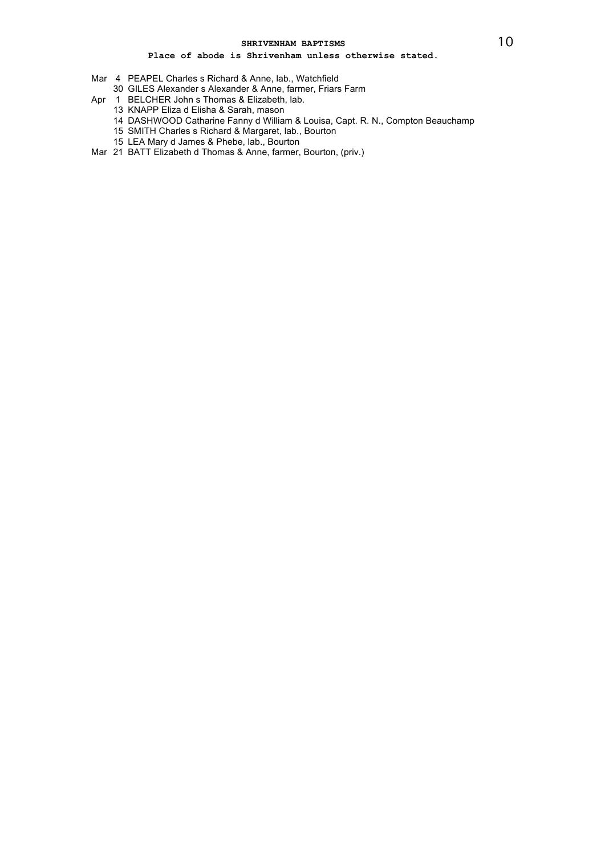- Mar 4 PEAPEL Charles s Richard & Anne, lab., Watchfield
- 30 GILES Alexander s Alexander & Anne, farmer, Friars Farm
- Apr 1 BELCHER John s Thomas & Elizabeth, lab.
	- 13 KNAPP Eliza d Elisha & Sarah, mason
	- 14 DASHWOOD Catharine Fanny d William & Louisa, Capt. R. N., Compton Beauchamp
	- 15 SMITH Charles s Richard & Margaret, lab., Bourton
	- 15 LEA Mary d James & Phebe, lab., Bourton
- Mar 21 BATT Elizabeth d Thomas & Anne, farmer, Bourton, (priv.)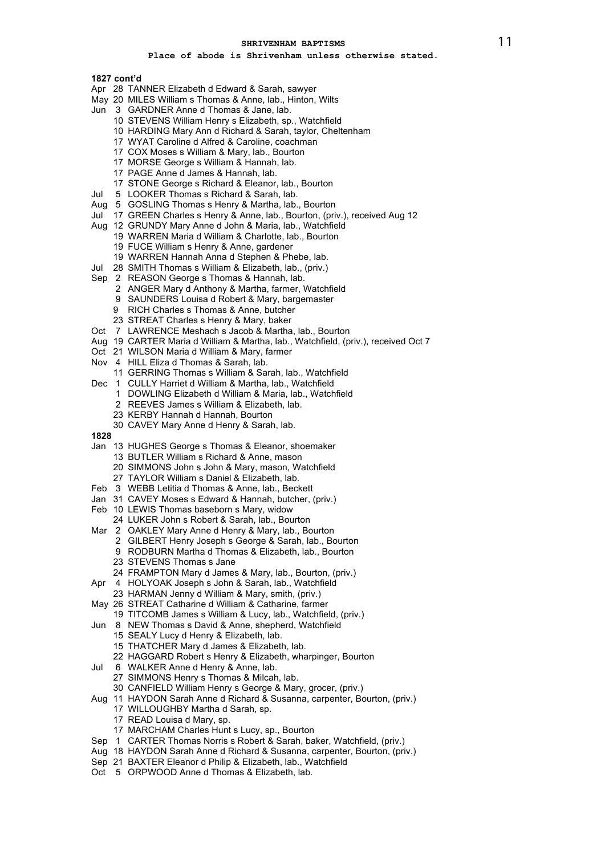# **Place of abode is Shrivenham unless otherwise stated.**

**1827 cont'd**

- Apr 28 TANNER Elizabeth d Edward & Sarah, sawyer
- May 20 MILES William s Thomas & Anne, lab., Hinton, Wilts
- Jun 3 GARDNER Anne d Thomas & Jane, lab.
	- 10 STEVENS William Henry s Elizabeth, sp., Watchfield
	- 10 HARDING Mary Ann d Richard & Sarah, taylor, Cheltenham
	- 17 WYAT Caroline d Alfred & Caroline, coachman
	- 17 COX Moses s William & Mary, lab., Bourton
	- 17 MORSE George s William & Hannah, lab.
	- 17 PAGE Anne d James & Hannah, lab.
	- 17 STONE George s Richard & Eleanor, lab., Bourton
- Jul 5 LOOKER Thomas s Richard & Sarah, lab.
- Aug 5 GOSLING Thomas s Henry & Martha, lab., Bourton
- Jul 17 GREEN Charles s Henry & Anne, lab., Bourton, (priv.), received Aug 12
- Aug 12 GRUNDY Mary Anne d John & Maria, lab., Watchfield 19 WARREN Maria d William & Charlotte, lab., Bourton
	- 19 FUCE William s Henry & Anne, gardener
	- 19 WARREN Hannah Anna d Stephen & Phebe, lab.
- Jul 28 SMITH Thomas s William & Elizabeth, lab., (priv.)
- Sep 2 REASON George s Thomas & Hannah, lab.
	- 2 ANGER Mary d Anthony & Martha, farmer, Watchfield
	- 9 SAUNDERS Louisa d Robert & Mary, bargemaster
	- 9 RICH Charles s Thomas & Anne, butcher
	- 23 STREAT Charles s Henry & Mary, baker
- Oct 7 LAWRENCE Meshach s Jacob & Martha, lab., Bourton
- Aug 19 CARTER Maria d William & Martha, lab., Watchfield, (priv.), received Oct 7
- Oct 21 WILSON Maria d William & Mary, farmer
- Nov 4 HILL Eliza d Thomas & Sarah, lab.
- 11 GERRING Thomas s William & Sarah, lab., Watchfield
- Dec 1 CULLY Harriet d William & Martha, lab., Watchfield
	- 1 DOWLING Elizabeth d William & Maria, lab., Watchfield
	- 2 REEVES James s William & Elizabeth, lab.
	- 23 KERBY Hannah d Hannah, Bourton
	- 30 CAVEY Mary Anne d Henry & Sarah, lab.
- **1828**
- Jan 13 HUGHES George s Thomas & Eleanor, shoemaker
	- 13 BUTLER William s Richard & Anne, mason
	- 20 SIMMONS John s John & Mary, mason, Watchfield
	- 27 TAYLOR William s Daniel & Elizabeth, lab.
- Feb 3 WEBB Letitia d Thomas & Anne, lab., Beckett
- Jan 31 CAVEY Moses s Edward & Hannah, butcher, (priv.)
- Feb 10 LEWIS Thomas baseborn s Mary, widow
- 24 LUKER John s Robert & Sarah, lab., Bourton
- Mar 2 OAKLEY Mary Anne d Henry & Mary, lab., Bourton
	- 2 GILBERT Henry Joseph s George & Sarah, lab., Bourton 9 RODBURN Martha d Thomas & Elizabeth, lab., Bourton
	- 23 STEVENS Thomas s Jane
	- 24 FRAMPTON Mary d James & Mary, lab., Bourton, (priv.)
- Apr 4 HOLYOAK Joseph s John & Sarah, lab., Watchfield
	- 23 HARMAN Jenny d William & Mary, smith, (priv.)
	-
- May 26 STREAT Catharine d William & Catharine, farmer
- 19 TITCOMB James s William & Lucy, lab., Watchfield, (priv.) Jun 8 NEW Thomas s David & Anne, shepherd, Watchfield
	- 15 SEALY Lucy d Henry & Elizabeth, lab.
		- 15 THATCHER Mary d James & Elizabeth, lab.
	- 22 HAGGARD Robert s Henry & Elizabeth, wharpinger, Bourton
- Jul 6 WALKER Anne d Henry & Anne, lab.
	- 27 SIMMONS Henry s Thomas & Milcah, lab.
	- 30 CANFIELD William Henry s George & Mary, grocer, (priv.)
- Aug 11 HAYDON Sarah Anne d Richard & Susanna, carpenter, Bourton, (priv.) 17 WILLOUGHBY Martha d Sarah, sp.
	- 17 READ Louisa d Mary, sp.
	- 17 MARCHAM Charles Hunt s Lucy, sp., Bourton
- Sep 1 CARTER Thomas Norris s Robert & Sarah, baker, Watchfield, (priv.)
- Aug 18 HAYDON Sarah Anne d Richard & Susanna, carpenter, Bourton, (priv.)
- Sep 21 BAXTER Eleanor d Philip & Elizabeth, lab., Watchfield
- Oct 5 ORPWOOD Anne d Thomas & Elizabeth, lab.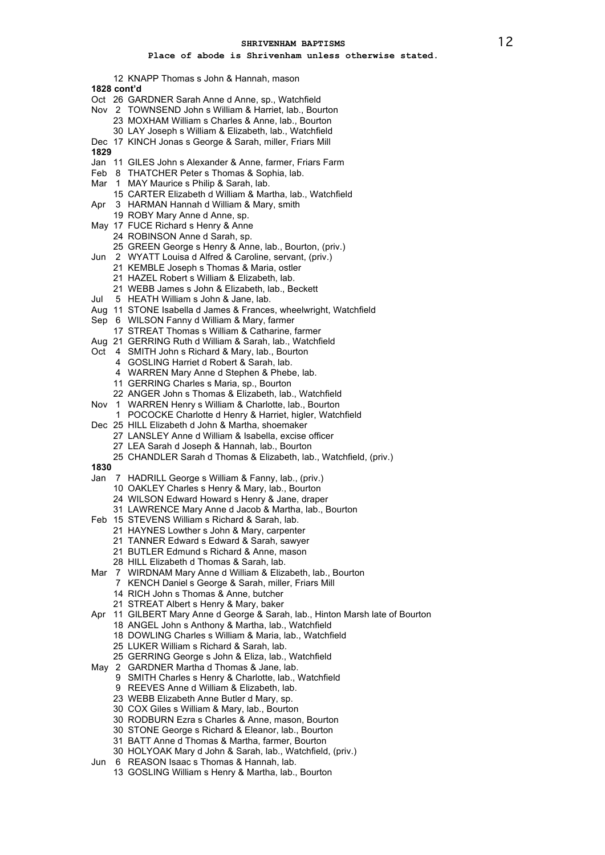## **Place of abode is Shrivenham unless otherwise stated.**

KNAPP Thomas s John & Hannah, mason

**1828 cont'd**

- Oct 26 GARDNER Sarah Anne d Anne, sp., Watchfield
- Nov 2 TOWNSEND John s William & Harriet, lab., Bourton
	- MOXHAM William s Charles & Anne, lab., Bourton
	- LAY Joseph s William & Elizabeth, lab., Watchfield
- Dec 17 KINCH Jonas s George & Sarah, miller, Friars Mill
- 
- Jan 11 GILES John s Alexander & Anne, farmer, Friars Farm
- Feb 8 THATCHER Peter s Thomas & Sophia, lab.
- Mar 1 MAY Maurice s Philip & Sarah, lab.
- CARTER Elizabeth d William & Martha, lab., Watchfield
- Apr 3 HARMAN Hannah d William & Mary, smith
	- ROBY Mary Anne d Anne, sp.
- May 17 FUCE Richard s Henry & Anne
	- ROBINSON Anne d Sarah, sp.
	- GREEN George s Henry & Anne, lab., Bourton, (priv.)
- Jun 2 WYATT Louisa d Alfred & Caroline, servant, (priv.)
	- KEMBLE Joseph s Thomas & Maria, ostler
	- HAZEL Robert s William & Elizabeth, lab.
	- WEBB James s John & Elizabeth, lab., Beckett
- Jul 5 HEATH William s John & Jane, lab.
- Aug 11 STONE Isabella d James & Frances, wheelwright, Watchfield
- Sep 6 WILSON Fanny d William & Mary, farmer
- STREAT Thomas s William & Catharine, farmer
- Aug 21 GERRING Ruth d William & Sarah, lab., Watchfield
- Oct 4 SMITH John s Richard & Mary, lab., Bourton
	- GOSLING Harriet d Robert & Sarah, lab.
		- WARREN Mary Anne d Stephen & Phebe, lab.
		- GERRING Charles s Maria, sp., Bourton
	- ANGER John s Thomas & Elizabeth, lab., Watchfield
- Nov 1 WARREN Henry s William & Charlotte, lab., Bourton
- POCOCKE Charlotte d Henry & Harriet, higler, Watchfield
- Dec 25 HILL Elizabeth d John & Martha, shoemaker
	- LANSLEY Anne d William & Isabella, excise officer
		- LEA Sarah d Joseph & Hannah, lab., Bourton
	- CHANDLER Sarah d Thomas & Elizabeth, lab., Watchfield, (priv.)
- 
- Jan 7 HADRILL George s William & Fanny, lab., (priv.)
	- OAKLEY Charles s Henry & Mary, lab., Bourton
	- WILSON Edward Howard s Henry & Jane, draper
	- LAWRENCE Mary Anne d Jacob & Martha, lab., Bourton
- Feb 15 STEVENS William s Richard & Sarah, lab.
	- HAYNES Lowther s John & Mary, carpenter
	- TANNER Edward s Edward & Sarah, sawyer
	- BUTLER Edmund s Richard & Anne, mason
	- HILL Elizabeth d Thomas & Sarah, lab.
- Mar 7 WIRDNAM Mary Anne d William & Elizabeth, lab., Bourton
	- KENCH Daniel s George & Sarah, miller, Friars Mill
	- RICH John s Thomas & Anne, butcher
	- STREAT Albert s Henry & Mary, baker
- Apr 11 GILBERT Mary Anne d George & Sarah, lab., Hinton Marsh late of Bourton
	- 18 ANGEL John s Anthony & Martha, lab., Watchfield
	- DOWLING Charles s William & Maria, lab., Watchfield
	- LUKER William s Richard & Sarah, lab.
	- GERRING George s John & Eliza, lab., Watchfield
- May 2 GARDNER Martha d Thomas & Jane, lab.
	- SMITH Charles s Henry & Charlotte, lab., Watchfield
	- REEVES Anne d William & Elizabeth, lab.
	- WEBB Elizabeth Anne Butler d Mary, sp.
	- COX Giles s William & Mary, lab., Bourton
	- RODBURN Ezra s Charles & Anne, mason, Bourton
	- STONE George s Richard & Eleanor, lab., Bourton
	- BATT Anne d Thomas & Martha, farmer, Bourton
	- HOLYOAK Mary d John & Sarah, lab., Watchfield, (priv.)
- Jun 6 REASON Isaac s Thomas & Hannah, lab.
	- GOSLING William s Henry & Martha, lab., Bourton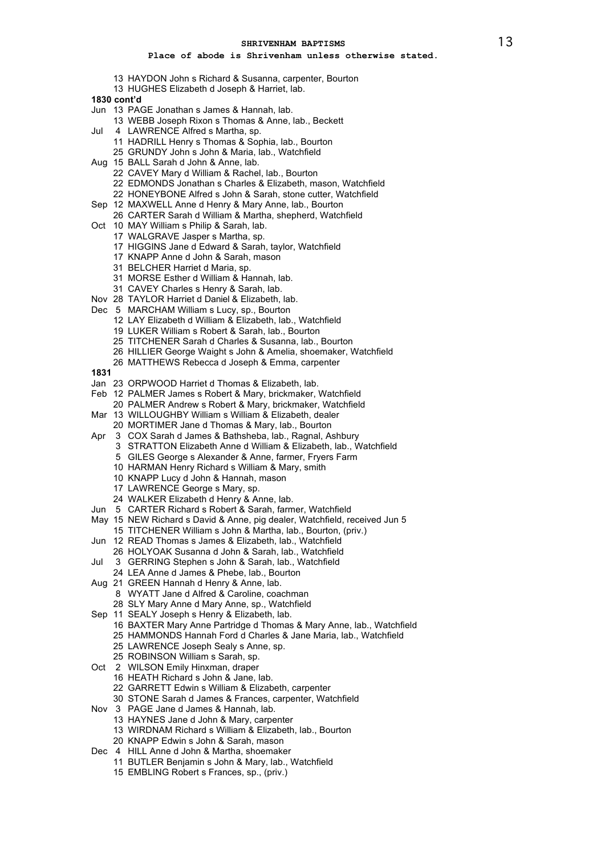- HAYDON John s Richard & Susanna, carpenter, Bourton
- HUGHES Elizabeth d Joseph & Harriet, lab.
- **1830 cont'd**
- Jun 13 PAGE Jonathan s James & Hannah, lab.
	- WEBB Joseph Rixon s Thomas & Anne, lab., Beckett
- Jul 4 LAWRENCE Alfred s Martha, sp.
	- HADRILL Henry s Thomas & Sophia, lab., Bourton
	- GRUNDY John s John & Maria, lab., Watchfield
- Aug 15 BALL Sarah d John & Anne, lab.
	- CAVEY Mary d William & Rachel, lab., Bourton
	- EDMONDS Jonathan s Charles & Elizabeth, mason, Watchfield
	- HONEYBONE Alfred s John & Sarah, stone cutter, Watchfield
- Sep 12 MAXWELL Anne d Henry & Mary Anne, lab., Bourton
	- CARTER Sarah d William & Martha, shepherd, Watchfield
- Oct 10 MAY William s Philip & Sarah, lab.
	- WALGRAVE Jasper s Martha, sp.
	- HIGGINS Jane d Edward & Sarah, taylor, Watchfield
	- KNAPP Anne d John & Sarah, mason
	- BELCHER Harriet d Maria, sp.
	- MORSE Esther d William & Hannah, lab.
	- CAVEY Charles s Henry & Sarah, lab.
- Nov 28 TAYLOR Harriet d Daniel & Elizabeth, lab.
- Dec 5 MARCHAM William s Lucy, sp., Bourton
	- LAY Elizabeth d William & Elizabeth, lab., Watchfield
	- LUKER William s Robert & Sarah, lab., Bourton
	- TITCHENER Sarah d Charles & Susanna, lab., Bourton
	- HILLIER George Waight s John & Amelia, shoemaker, Watchfield
	- MATTHEWS Rebecca d Joseph & Emma, carpenter
- 
- Jan 23 ORPWOOD Harriet d Thomas & Elizabeth, lab.
- Feb 12 PALMER James s Robert & Mary, brickmaker, Watchfield
	- PALMER Andrew s Robert & Mary, brickmaker, Watchfield
- Mar 13 WILLOUGHBY William s William & Elizabeth, dealer MORTIMER Jane d Thomas & Mary, lab., Bourton
- Apr 3 COX Sarah d James & Bathsheba, lab., Ragnal, Ashbury
	- STRATTON Elizabeth Anne d William & Elizabeth, lab., Watchfield
	- GILES George s Alexander & Anne, farmer, Fryers Farm
	- HARMAN Henry Richard s William & Mary, smith
	- KNAPP Lucy d John & Hannah, mason
	- LAWRENCE George s Mary, sp.
	- WALKER Elizabeth d Henry & Anne, lab.
- Jun 5 CARTER Richard s Robert & Sarah, farmer, Watchfield
- May 15 NEW Richard s David & Anne, pig dealer, Watchfield, received Jun 5
- TITCHENER William s John & Martha, lab., Bourton, (priv.)
- Jun 12 READ Thomas s James & Elizabeth, lab., Watchfield
- HOLYOAK Susanna d John & Sarah, lab., Watchfield
- Jul 3 GERRING Stephen s John & Sarah, lab., Watchfield
	- LEA Anne d James & Phebe, lab., Bourton
- Aug 21 GREEN Hannah d Henry & Anne, lab.
	- WYATT Jane d Alfred & Caroline, coachman SLY Mary Anne d Mary Anne, sp., Watchfield
	-
- Sep 11 SEALY Joseph s Henry & Elizabeth, lab.
	- BAXTER Mary Anne Partridge d Thomas & Mary Anne, lab., Watchfield
	- HAMMONDS Hannah Ford d Charles & Jane Maria, lab., Watchfield
	- LAWRENCE Joseph Sealy s Anne, sp.
	- ROBINSON William s Sarah, sp.
- Oct 2 WILSON Emily Hinxman, draper
	- HEATH Richard s John & Jane, lab.
	- GARRETT Edwin s William & Elizabeth, carpenter
	- STONE Sarah d James & Frances, carpenter, Watchfield
- Nov 3 PAGE Jane d James & Hannah, lab.
	- HAYNES Jane d John & Mary, carpenter
	- WIRDNAM Richard s William & Elizabeth, lab., Bourton
	- KNAPP Edwin s John & Sarah, mason
- Dec 4 HILL Anne d John & Martha, shoemaker
	- BUTLER Benjamin s John & Mary, lab., Watchfield
		- EMBLING Robert s Frances, sp., (priv.)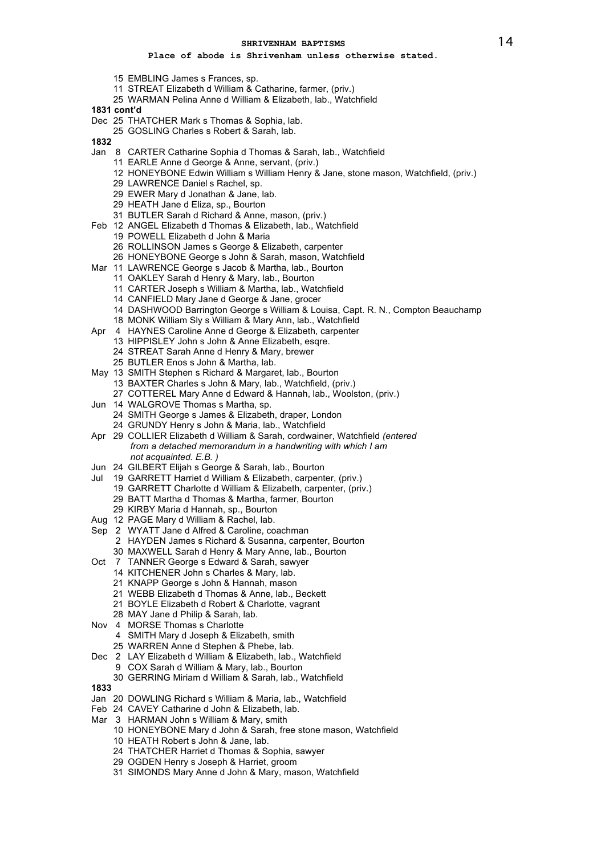# **Place of abode is Shrivenham unless otherwise stated.**

- EMBLING James s Frances, sp.
- STREAT Elizabeth d William & Catharine, farmer, (priv.)
- WARMAN Pelina Anne d William & Elizabeth, lab., Watchfield

**1831 cont'd**

- Dec 25 THATCHER Mark s Thomas & Sophia, lab.
	- GOSLING Charles s Robert & Sarah, lab.
- 
- Jan 8 CARTER Catharine Sophia d Thomas & Sarah, lab., Watchfield
	- EARLE Anne d George & Anne, servant, (priv.)
	- HONEYBONE Edwin William s William Henry & Jane, stone mason, Watchfield, (priv.)
	- LAWRENCE Daniel s Rachel, sp.
	- EWER Mary d Jonathan & Jane, lab.
	- HEATH Jane d Eliza, sp., Bourton
	- BUTLER Sarah d Richard & Anne, mason, (priv.)
- Feb 12 ANGEL Elizabeth d Thomas & Elizabeth, lab., Watchfield
	- POWELL Elizabeth d John & Maria
	- ROLLINSON James s George & Elizabeth, carpenter
	- HONEYBONE George s John & Sarah, mason, Watchfield
- Mar 11 LAWRENCE George s Jacob & Martha, lab., Bourton
	- OAKLEY Sarah d Henry & Mary, lab., Bourton
		- CARTER Joseph s William & Martha, lab., Watchfield
		- CANFIELD Mary Jane d George & Jane, grocer
		- DASHWOOD Barrington George s William & Louisa, Capt. R. N., Compton Beauchamp
		- MONK William Sly s William & Mary Ann, lab., Watchfield
- Apr 4 HAYNES Caroline Anne d George & Elizabeth, carpenter
	- HIPPISLEY John s John & Anne Elizabeth, esqre.
	- STREAT Sarah Anne d Henry & Mary, brewer
	- BUTLER Enos s John & Martha, lab.
- May 13 SMITH Stephen s Richard & Margaret, lab., Bourton BAXTER Charles s John & Mary, lab., Watchfield, (priv.)
	- COTTEREL Mary Anne d Edward & Hannah, lab., Woolston, (priv.)
- Jun 14 WALGROVE Thomas s Martha, sp.
- SMITH George s James & Elizabeth, draper, London GRUNDY Henry s John & Maria, lab., Watchfield
- Apr 29 COLLIER Elizabeth d William & Sarah, cordwainer, Watchfield *(entered from a detached memorandum in a handwriting with which I am not acquainted. E.B. )*
- Jun 24 GILBERT Elijah s George & Sarah, lab., Bourton
- Jul 19 GARRETT Harriet d William & Elizabeth, carpenter, (priv.)
	- GARRETT Charlotte d William & Elizabeth, carpenter, (priv.)
	- BATT Martha d Thomas & Martha, farmer, Bourton
	- KIRBY Maria d Hannah, sp., Bourton
- Aug 12 PAGE Mary d William & Rachel, lab.
- Sep 2 WYATT Jane d Alfred & Caroline, coachman
	- HAYDEN James s Richard & Susanna, carpenter, Bourton MAXWELL Sarah d Henry & Mary Anne, lab., Bourton
- Oct 7 TANNER George s Edward & Sarah, sawyer
	- KITCHENER John s Charles & Mary, lab.
	- KNAPP George s John & Hannah, mason
	- WEBB Elizabeth d Thomas & Anne, lab., Beckett
	- BOYLE Elizabeth d Robert & Charlotte, vagrant
	- MAY Jane d Philip & Sarah, lab.
- Nov 4 MORSE Thomas s Charlotte
	- SMITH Mary d Joseph & Elizabeth, smith
		- WARREN Anne d Stephen & Phebe, lab.
- Dec 2 LAY Elizabeth d William & Elizabeth, lab., Watchfield COX Sarah d William & Mary, lab., Bourton
	- GERRING Miriam d William & Sarah, lab., Watchfield
- 
- Jan 20 DOWLING Richard s William & Maria, lab., Watchfield
- Feb 24 CAVEY Catharine d John & Elizabeth, lab.
- Mar 3 HARMAN John s William & Mary, smith
	- HONEYBONE Mary d John & Sarah, free stone mason, Watchfield
	- HEATH Robert s John & Jane, lab.
	- THATCHER Harriet d Thomas & Sophia, sawyer
	- OGDEN Henry s Joseph & Harriet, groom
	- SIMONDS Mary Anne d John & Mary, mason, Watchfield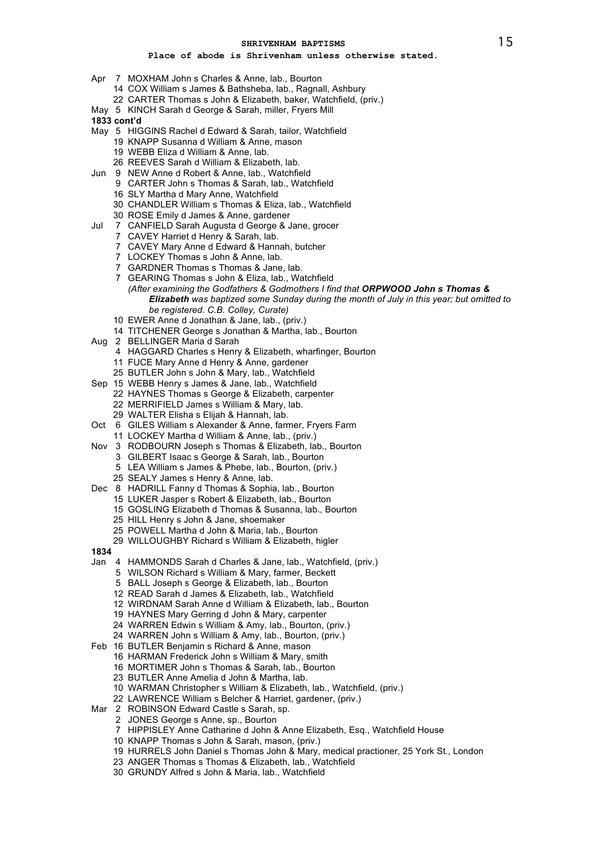- Apr 7 MOXHAM John s Charles & Anne, lab., Bourton
	- COX William s James & Bathsheba, lab., Ragnall, Ashbury
	- CARTER Thomas s John & Elizabeth, baker, Watchfield, (priv.)
- May 5 KINCH Sarah d George & Sarah, miller, Fryers Mill
- **1833 cont'd**
- May 5 HIGGINS Rachel d Edward & Sarah, tailor, Watchfield
	- KNAPP Susanna d William & Anne, mason
	- WEBB Eliza d William & Anne, lab.
	- REEVES Sarah d William & Elizabeth, lab.
- Jun 9 NEW Anne d Robert & Anne, lab., Watchfield CARTER John s Thomas & Sarah, lab., Watchfield
	- SLY Martha d Mary Anne, Watchfield
	- CHANDLER William s Thomas & Eliza, lab., Watchfield
	- ROSE Emily d James & Anne, gardener
- Jul 7 CANFIELD Sarah Augusta d George & Jane, grocer
	- CAVEY Harriet d Henry & Sarah, lab.
	- CAVEY Mary Anne d Edward & Hannah, butcher
	- LOCKEY Thomas s John & Anne, lab.
	- GARDNER Thomas s Thomas & Jane, lab.
	- GEARING Thomas s John & Eliza, lab., Watchfield *(After examining the Godfathers & Godmothers I find that ORPWOOD John s Thomas & Elizabeth was baptized some Sunday during the month of July in this year; but omitted to be registered. C.B. Colley, Curate)*
	- EWER Anne d Jonathan & Jane, lab., (priv.)
	- TITCHENER George s Jonathan & Martha, lab., Bourton
- Aug 2 BELLINGER Maria d Sarah
	- HAGGARD Charles s Henry & Elizabeth, wharfinger, Bourton
	- FUCE Mary Anne d Henry & Anne, gardener
	- BUTLER John s John & Mary, lab., Watchfield
- Sep 15 WEBB Henry s James & Jane, lab., Watchfield
	- HAYNES Thomas s George & Elizabeth, carpenter
	- MERRIFIELD James s William & Mary, lab.
	- WALTER Elisha s Elijah & Hannah, lab.
- Oct 6 GILES William s Alexander & Anne, farmer, Fryers Farm
- LOCKEY Martha d William & Anne, lab., (priv.)
- Nov 3 RODBOURN Joseph s Thomas & Elizabeth, lab., Bourton
	- GILBERT Isaac s George & Sarah, lab., Bourton
		- LEA William s James & Phebe, lab., Bourton, (priv.)
		- SEALY James s Henry & Anne, lab.
- Dec 8 HADRILL Fanny d Thomas & Sophia, lab., Bourton
	- LUKER Jasper s Robert & Elizabeth, lab., Bourton
	- GOSLING Elizabeth d Thomas & Susanna, lab., Bourton
	- HILL Henry s John & Jane, shoemaker
	- POWELL Martha d John & Maria, lab., Bourton
	- WILLOUGHBY Richard s William & Elizabeth, higler
- 
- Jan 4 HAMMONDS Sarah d Charles & Jane, lab., Watchfield, (priv.)
	- WILSON Richard s William & Mary, farmer, Beckett
	- BALL Joseph s George & Elizabeth, lab., Bourton
	- READ Sarah d James & Elizabeth, lab., Watchfield
	- WIRDNAM Sarah Anne d William & Elizabeth, lab., Bourton
	- HAYNES Mary Gerring d John & Mary, carpenter
	- WARREN Edwin s William & Amy, lab., Bourton, (priv.)
	- WARREN John s William & Amy, lab., Bourton, (priv.)
- Feb 16 BUTLER Benjamin s Richard & Anne, mason
	- HARMAN Frederick John s William & Mary, smith
		- MORTIMER John s Thomas & Sarah, lab., Bourton
		- BUTLER Anne Amelia d John & Martha, lab.
		- WARMAN Christopher s William & Elizabeth, lab., Watchfield, (priv.)
		- LAWRENCE William s Belcher & Harriet, gardener, (priv.)
- Mar 2 ROBINSON Edward Castle s Sarah, sp.
	- JONES George s Anne, sp., Bourton
	- HIPPISLEY Anne Catharine d John & Anne Elizabeth, Esq., Watchfield House
	- KNAPP Thomas s John & Sarah, mason, (priv.)
	- HURRELS John Daniel s Thomas John & Mary, medical practioner, 25 York St., London
	- ANGER Thomas s Thomas & Elizabeth, lab., Watchfield
	- GRUNDY Alfred s John & Maria, lab., Watchfield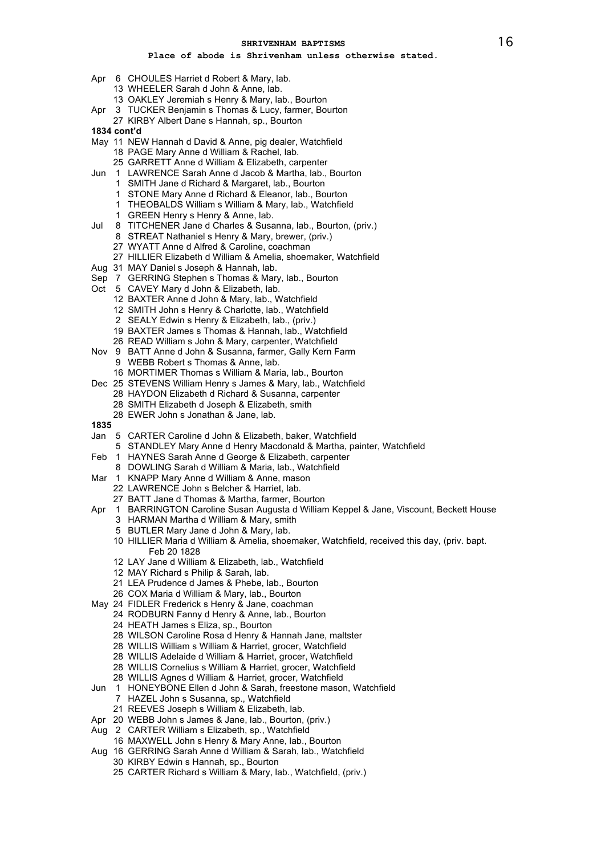- Apr 6 CHOULES Harriet d Robert & Mary, lab.
	- WHEELER Sarah d John & Anne, lab.
	- OAKLEY Jeremiah s Henry & Mary, lab., Bourton
- Apr 3 TUCKER Benjamin s Thomas & Lucy, farmer, Bourton
- KIRBY Albert Dane s Hannah, sp., Bourton
- **1834 cont'd**
- May 11 NEW Hannah d David & Anne, pig dealer, Watchfield PAGE Mary Anne d William & Rachel, lab.
	- GARRETT Anne d William & Elizabeth, carpenter
- Jun 1 LAWRENCE Sarah Anne d Jacob & Martha, lab., Bourton
	- SMITH Jane d Richard & Margaret, lab., Bourton
	- STONE Mary Anne d Richard & Eleanor, lab., Bourton
	- THEOBALDS William s William & Mary, lab., Watchfield
	- GREEN Henry s Henry & Anne, lab.
- Jul 8 TITCHENER Jane d Charles & Susanna, lab., Bourton, (priv.)
	- STREAT Nathaniel s Henry & Mary, brewer, (priv.)
		- WYATT Anne d Alfred & Caroline, coachman
	- HILLIER Elizabeth d William & Amelia, shoemaker, Watchfield
- Aug 31 MAY Daniel s Joseph & Hannah, lab.
- Sep 7 GERRING Stephen s Thomas & Mary, lab., Bourton
- Oct 5 CAVEY Mary d John & Elizabeth, lab.
	- BAXTER Anne d John & Mary, lab., Watchfield
	- SMITH John s Henry & Charlotte, lab., Watchfield
	- SEALY Edwin s Henry & Elizabeth, lab., (priv.)
	- BAXTER James s Thomas & Hannah, lab., Watchfield
	- READ William s John & Mary, carpenter, Watchfield
- Nov 9 BATT Anne d John & Susanna, farmer, Gally Kern Farm
	- WEBB Robert s Thomas & Anne, lab. MORTIMER Thomas s William & Maria, lab., Bourton
- Dec 25 STEVENS William Henry s James & Mary, lab., Watchfield
	- HAYDON Elizabeth d Richard & Susanna, carpenter
	- SMITH Elizabeth d Joseph & Elizabeth, smith
	- EWER John s Jonathan & Jane, lab.
- 
- Jan 5 CARTER Caroline d John & Elizabeth, baker, Watchfield
	- STANDLEY Mary Anne d Henry Macdonald & Martha, painter, Watchfield
- Feb 1 HAYNES Sarah Anne d George & Elizabeth, carpenter
	- DOWLING Sarah d William & Maria, lab., Watchfield
- Mar 1 KNAPP Mary Anne d William & Anne, mason
	- LAWRENCE John s Belcher & Harriet, lab.
	- BATT Jane d Thomas & Martha, farmer, Bourton
- Apr 1 BARRINGTON Caroline Susan Augusta d William Keppel & Jane, Viscount, Beckett House
	- HARMAN Martha d William & Mary, smith
	- BUTLER Mary Jane d John & Mary, lab.
	- HILLIER Maria d William & Amelia, shoemaker, Watchfield, received this day, (priv. bapt. Feb 20 1828
	- LAY Jane d William & Elizabeth, lab., Watchfield
	- MAY Richard s Philip & Sarah, lab.
	- LEA Prudence d James & Phebe, lab., Bourton
	- COX Maria d William & Mary, lab., Bourton
- May 24 FIDLER Frederick s Henry & Jane, coachman
	- RODBURN Fanny d Henry & Anne, lab., Bourton
		- HEATH James s Eliza, sp., Bourton
		- WILSON Caroline Rosa d Henry & Hannah Jane, maltster
		- WILLIS William s William & Harriet, grocer, Watchfield
		- WILLIS Adelaide d William & Harriet, grocer, Watchfield
		- WILLIS Cornelius s William & Harriet, grocer, Watchfield
	- WILLIS Agnes d William & Harriet, grocer, Watchfield
- Jun 1 HONEYBONE Ellen d John & Sarah, freestone mason, Watchfield
	- HAZEL John s Susanna, sp., Watchfield
	- REEVES Joseph s William & Elizabeth, lab.
- Apr 20 WEBB John s James & Jane, lab., Bourton, (priv.)
- Aug 2 CARTER William s Elizabeth, sp., Watchfield
	- MAXWELL John s Henry & Mary Anne, lab., Bourton
- Aug 16 GERRING Sarah Anne d William & Sarah, lab., Watchfield
	- KIRBY Edwin s Hannah, sp., Bourton
	- CARTER Richard s William & Mary, lab., Watchfield, (priv.)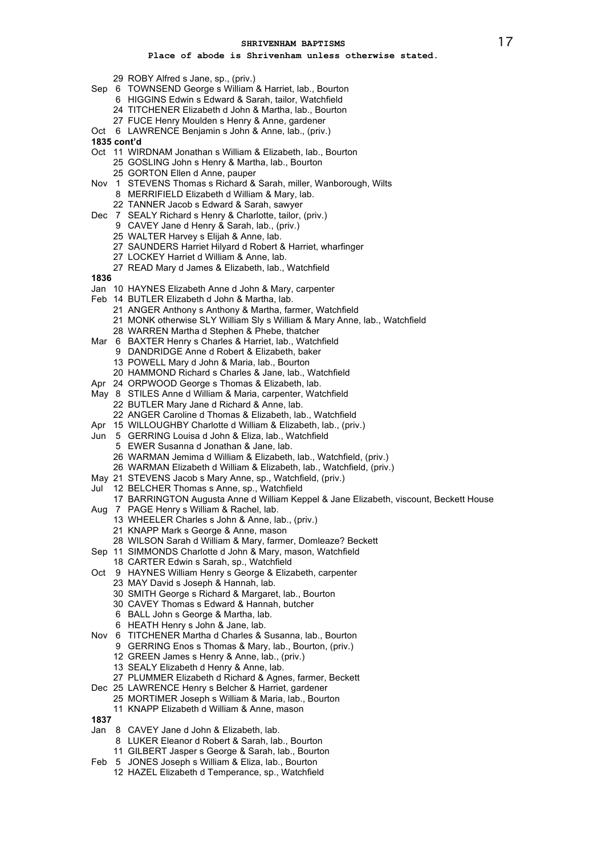- ROBY Alfred s Jane, sp., (priv.)
- Sep 6 TOWNSEND George s William & Harriet, lab., Bourton
	- HIGGINS Edwin s Edward & Sarah, tailor, Watchfield
	- TITCHENER Elizabeth d John & Martha, lab., Bourton
	- FUCE Henry Moulden s Henry & Anne, gardener
- Oct 6 LAWRENCE Benjamin s John & Anne, lab., (priv.)
- **1835 cont'd**
- Oct 11 WIRDNAM Jonathan s William & Elizabeth, lab., Bourton
	- GOSLING John s Henry & Martha, lab., Bourton
	- GORTON Ellen d Anne, pauper
- Nov 1 STEVENS Thomas s Richard & Sarah, miller, Wanborough, Wilts
	- MERRIFIELD Elizabeth d William & Mary, lab.
	- TANNER Jacob s Edward & Sarah, sawyer
- Dec 7 SEALY Richard s Henry & Charlotte, tailor, (priv.)
	- CAVEY Jane d Henry & Sarah, lab., (priv.)
	- WALTER Harvey s Elijah & Anne, lab.
	- SAUNDERS Harriet Hilyard d Robert & Harriet, wharfinger
	- LOCKEY Harriet d William & Anne, lab.
	- READ Mary d James & Elizabeth, lab., Watchfield
- 
- Jan 10 HAYNES Elizabeth Anne d John & Mary, carpenter
- Feb 14 BUTLER Elizabeth d John & Martha, lab.
	- ANGER Anthony s Anthony & Martha, farmer, Watchfield
	- MONK otherwise SLY William Sly s William & Mary Anne, lab., Watchfield
	- WARREN Martha d Stephen & Phebe, thatcher
- Mar 6 BAXTER Henry s Charles & Harriet, lab., Watchfield
	- DANDRIDGE Anne d Robert & Elizabeth, baker
	- POWELL Mary d John & Maria, lab., Bourton
	- HAMMOND Richard s Charles & Jane, lab., Watchfield
- Apr 24 ORPWOOD George s Thomas & Elizabeth, lab.
- May 8 STILES Anne d William & Maria, carpenter, Watchfield
- BUTLER Mary Jane d Richard & Anne, lab. ANGER Caroline d Thomas & Elizabeth, lab., Watchfield
- Apr 15 WILLOUGHBY Charlotte d William & Elizabeth, lab., (priv.)
- Jun 5 GERRING Louisa d John & Eliza, lab., Watchfield
	- EWER Susanna d Jonathan & Jane, lab.
	- WARMAN Jemima d William & Elizabeth, lab., Watchfield, (priv.)
	- WARMAN Elizabeth d William & Elizabeth, lab., Watchfield, (priv.)
- May 21 STEVENS Jacob s Mary Anne, sp., Watchfield, (priv.)
- Jul 12 BELCHER Thomas s Anne, sp., Watchfield
- BARRINGTON Augusta Anne d William Keppel & Jane Elizabeth, viscount, Beckett House
- Aug 7 PAGE Henry s William & Rachel, lab.
	- WHEELER Charles s John & Anne, lab., (priv.)
		- KNAPP Mark s George & Anne, mason
	- WILSON Sarah d William & Mary, farmer, Domleaze? Beckett
- Sep 11 SIMMONDS Charlotte d John & Mary, mason, Watchfield
	- CARTER Edwin s Sarah, sp., Watchfield
- Oct 9 HAYNES William Henry s George & Elizabeth, carpenter
	- MAY David s Joseph & Hannah, lab.
	- SMITH George s Richard & Margaret, lab., Bourton
	- CAVEY Thomas s Edward & Hannah, butcher
	- BALL John s George & Martha, lab.
	- HEATH Henry s John & Jane, lab.
- Nov 6 TITCHENER Martha d Charles & Susanna, lab., Bourton
	- GERRING Enos s Thomas & Mary, lab., Bourton, (priv.)
		- GREEN James s Henry & Anne, lab., (priv.)
		- SEALY Elizabeth d Henry & Anne, lab.
- PLUMMER Elizabeth d Richard & Agnes, farmer, Beckett
- Dec 25 LAWRENCE Henry s Belcher & Harriet, gardener
	- MORTIMER Joseph s William & Maria, lab., Bourton
	- KNAPP Elizabeth d William & Anne, mason
- 
- Jan 8 CAVEY Jane d John & Elizabeth, lab.
	- LUKER Eleanor d Robert & Sarah, lab., Bourton
	- GILBERT Jasper s George & Sarah, lab., Bourton
- Feb 5 JONES Joseph s William & Eliza, lab., Bourton
	- HAZEL Elizabeth d Temperance, sp., Watchfield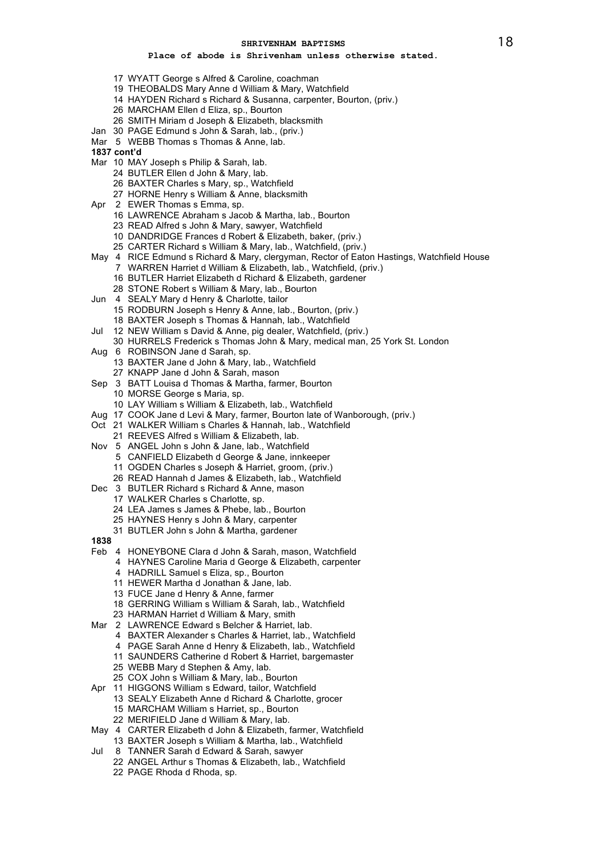- WYATT George s Alfred & Caroline, coachman
- THEOBALDS Mary Anne d William & Mary, Watchfield
- HAYDEN Richard s Richard & Susanna, carpenter, Bourton, (priv.)
- MARCHAM Ellen d Eliza, sp., Bourton
- SMITH Miriam d Joseph & Elizabeth, blacksmith
- Jan 30 PAGE Edmund s John & Sarah, lab., (priv.)
- Mar 5 WEBB Thomas s Thomas & Anne, lab.
- **1837 cont'd**
- Mar 10 MAY Joseph s Philip & Sarah, lab.
	- BUTLER Ellen d John & Mary, lab.
	- BAXTER Charles s Mary, sp., Watchfield
	- HORNE Henry s William & Anne, blacksmith
- Apr 2 EWER Thomas s Emma, sp.
	- LAWRENCE Abraham s Jacob & Martha, lab., Bourton
	- READ Alfred s John & Mary, sawyer, Watchfield
	- DANDRIDGE Frances d Robert & Elizabeth, baker, (priv.)
	- CARTER Richard s William & Mary, lab., Watchfield, (priv.)
- May 4 RICE Edmund s Richard & Mary, clergyman, Rector of Eaton Hastings, Watchfield House WARREN Harriet d William & Elizabeth, lab., Watchfield, (priv.)
	- BUTLER Harriet Elizabeth d Richard & Elizabeth, gardener
	- STONE Robert s William & Mary, lab., Bourton
- Jun 4 SEALY Mary d Henry & Charlotte, tailor
	- RODBURN Joseph s Henry & Anne, lab., Bourton, (priv.) BAXTER Joseph s Thomas & Hannah, lab., Watchfield
- Jul 12 NEW William s David & Anne, pig dealer, Watchfield, (priv.)
- HURRELS Frederick s Thomas John & Mary, medical man, 25 York St. London
- Aug 6 ROBINSON Jane d Sarah, sp.
	- BAXTER Jane d John & Mary, lab., Watchfield KNAPP Jane d John & Sarah, mason
	-
- Sep 3 BATT Louisa d Thomas & Martha, farmer, Bourton
	- MORSE George s Maria, sp.
	- LAY William s William & Elizabeth, lab., Watchfield
- Aug 17 COOK Jane d Levi & Mary, farmer, Bourton late of Wanborough, (priv.)
- Oct 21 WALKER William s Charles & Hannah, lab., Watchfield
- REEVES Alfred s William & Elizabeth, lab.
- Nov 5 ANGEL John s John & Jane, lab., Watchfield
	- CANFIELD Elizabeth d George & Jane, innkeeper
	- OGDEN Charles s Joseph & Harriet, groom, (priv.)
	- READ Hannah d James & Elizabeth, lab., Watchfield
- Dec 3 BUTLER Richard s Richard & Anne, mason
	- WALKER Charles s Charlotte, sp.
	- LEA James s James & Phebe, lab., Bourton
	- HAYNES Henry s John & Mary, carpenter
	- BUTLER John s John & Martha, gardener
- 
- Feb 4 HONEYBONE Clara d John & Sarah, mason, Watchfield
	- HAYNES Caroline Maria d George & Elizabeth, carpenter
		- HADRILL Samuel s Eliza, sp., Bourton
		- HEWER Martha d Jonathan & Jane, lab.
		- FUCE Jane d Henry & Anne, farmer
		- GERRING William s William & Sarah, lab., Watchfield
	- HARMAN Harriet d William & Mary, smith
- Mar 2 LAWRENCE Edward s Belcher & Harriet, lab.
	- BAXTER Alexander s Charles & Harriet, lab., Watchfield
		- PAGE Sarah Anne d Henry & Elizabeth, lab., Watchfield
		- SAUNDERS Catherine d Robert & Harriet, bargemaster
		- WEBB Mary d Stephen & Amy, lab.
		- COX John s William & Mary, lab., Bourton
- Apr 11 HIGGONS William s Edward, tailor, Watchfield
	- SEALY Elizabeth Anne d Richard & Charlotte, grocer
		- MARCHAM William s Harriet, sp., Bourton
		- MERIFIELD Jane d William & Mary, lab.
- May 4 CARTER Elizabeth d John & Elizabeth, farmer, Watchfield BAXTER Joseph s William & Martha, lab., Watchfield
- Jul 8 TANNER Sarah d Edward & Sarah, sawyer
	- ANGEL Arthur s Thomas & Elizabeth, lab., Watchfield
		- PAGE Rhoda d Rhoda, sp.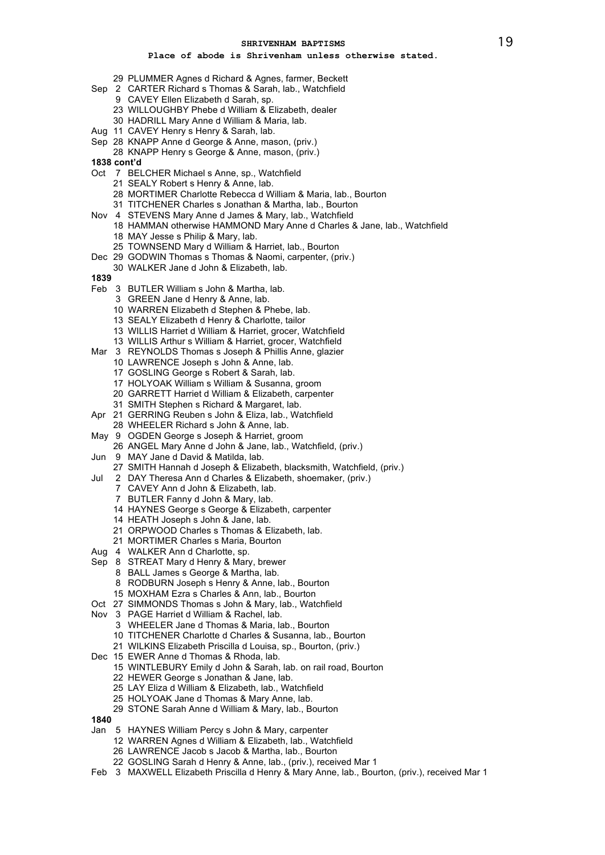- PLUMMER Agnes d Richard & Agnes, farmer, Beckett
- Sep 2 CARTER Richard s Thomas & Sarah, lab., Watchfield
	- CAVEY Ellen Elizabeth d Sarah, sp.
	- WILLOUGHBY Phebe d William & Elizabeth, dealer
	- HADRILL Mary Anne d William & Maria, lab.
- Aug 11 CAVEY Henry s Henry & Sarah, lab.
- Sep 28 KNAPP Anne d George & Anne, mason, (priv.)
	- KNAPP Henry s George & Anne, mason, (priv.)
- **1838 cont'd**
- Oct 7 BELCHER Michael s Anne, sp., Watchfield
	- SEALY Robert s Henry & Anne, lab.
	- MORTIMER Charlotte Rebecca d William & Maria, lab., Bourton
	- TITCHENER Charles s Jonathan & Martha, lab., Bourton
- Nov 4 STEVENS Mary Anne d James & Mary, lab., Watchfield
- HAMMAN otherwise HAMMOND Mary Anne d Charles & Jane, lab., Watchfield MAY Jesse s Philip & Mary, lab.
- TOWNSEND Mary d William & Harriet, lab., Bourton
- Dec 29 GODWIN Thomas s Thomas & Naomi, carpenter, (priv.)
- WALKER Jane d John & Elizabeth, lab.
- 
- Feb 3 BUTLER William s John & Martha, lab.
	- GREEN Jane d Henry & Anne, lab.
	- WARREN Elizabeth d Stephen & Phebe, lab.
	- SEALY Elizabeth d Henry & Charlotte, tailor
	- WILLIS Harriet d William & Harriet, grocer, Watchfield
	- WILLIS Arthur s William & Harriet, grocer, Watchfield
- Mar 3 REYNOLDS Thomas s Joseph & Phillis Anne, glazier
	- LAWRENCE Joseph s John & Anne, lab.
		- GOSLING George s Robert & Sarah, lab.
		- HOLYOAK William s William & Susanna, groom
		- GARRETT Harriet d William & Elizabeth, carpenter
		- SMITH Stephen s Richard & Margaret, lab.
- Apr 21 GERRING Reuben s John & Eliza, lab., Watchfield
- WHEELER Richard s John & Anne, lab.
- May 9 OGDEN George s Joseph & Harriet, groom ANGEL Mary Anne d John & Jane, lab., Watchfield, (priv.)
	-
- Jun 9 MAY Jane d David & Matilda, lab.
	- SMITH Hannah d Joseph & Elizabeth, blacksmith, Watchfield, (priv.)
- Jul 2 DAY Theresa Ann d Charles & Elizabeth, shoemaker, (priv.)
	- CAVEY Ann d John & Elizabeth, lab.
	- BUTLER Fanny d John & Mary, lab.
	- HAYNES George s George & Elizabeth, carpenter
	- HEATH Joseph s John & Jane, lab.
	- ORPWOOD Charles s Thomas & Elizabeth, lab.
	- MORTIMER Charles s Maria, Bourton
- Aug 4 WALKER Ann d Charlotte, sp.
- Sep 8 STREAT Mary d Henry & Mary, brewer
	- BALL James s George & Martha, lab.
	- RODBURN Joseph s Henry & Anne, lab., Bourton
	- MOXHAM Ezra s Charles & Ann, lab., Bourton
- Oct 27 SIMMONDS Thomas s John & Mary, lab., Watchfield
- Nov 3 PAGE Harriet d William & Rachel, lab.
	- WHEELER Jane d Thomas & Maria, lab., Bourton
	- TITCHENER Charlotte d Charles & Susanna, lab., Bourton
	- WILKINS Elizabeth Priscilla d Louisa, sp., Bourton, (priv.)
- Dec 15 EWER Anne d Thomas & Rhoda, lab.
	- WINTLEBURY Emily d John & Sarah, lab. on rail road, Bourton
	- HEWER George s Jonathan & Jane, lab.
	- LAY Eliza d William & Elizabeth, lab., Watchfield
	- HOLYOAK Jane d Thomas & Mary Anne, lab.
	- STONE Sarah Anne d William & Mary, lab., Bourton
- 
- Jan 5 HAYNES William Percy s John & Mary, carpenter
	- WARREN Agnes d William & Elizabeth, lab., Watchfield
		- LAWRENCE Jacob s Jacob & Martha, lab., Bourton
	- GOSLING Sarah d Henry & Anne, lab., (priv.), received Mar 1
- Feb 3 MAXWELL Elizabeth Priscilla d Henry & Mary Anne, lab., Bourton, (priv.), received Mar 1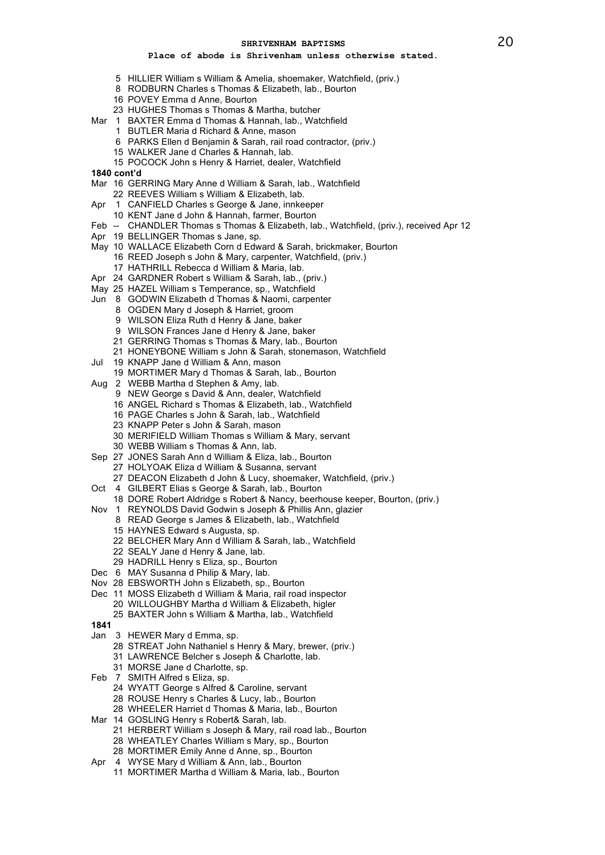- HILLIER William s William & Amelia, shoemaker, Watchfield, (priv.)
- RODBURN Charles s Thomas & Elizabeth, lab., Bourton
- POVEY Emma d Anne, Bourton
- HUGHES Thomas s Thomas & Martha, butcher
- Mar 1 BAXTER Emma d Thomas & Hannah, lab., Watchfield
	- BUTLER Maria d Richard & Anne, mason
	- PARKS Ellen d Benjamin & Sarah, rail road contractor, (priv.)
	- WALKER Jane d Charles & Hannah, lab.
	- POCOCK John s Henry & Harriet, dealer, Watchfield
- **1840 cont'd**
- Mar 16 GERRING Mary Anne d William & Sarah, lab., Watchfield
	- REEVES William s William & Elizabeth, lab.
- Apr 1 CANFIELD Charles s George & Jane, innkeeper
	- KENT Jane d John & Hannah, farmer, Bourton
- Feb -- CHANDLER Thomas s Thomas & Elizabeth, lab., Watchfield, (priv.), received Apr 12
- Apr 19 BELLINGER Thomas s Jane, sp.
- May 10 WALLACE Elizabeth Corn d Edward & Sarah, brickmaker, Bourton
	- REED Joseph s John & Mary, carpenter, Watchfield, (priv.)
	- HATHRILL Rebecca d William & Maria, lab.
- Apr 24 GARDNER Robert s William & Sarah, lab., (priv.)
- May 25 HAZEL William s Temperance, sp., Watchfield
- Jun 8 GODWIN Elizabeth d Thomas & Naomi, carpenter
	- OGDEN Mary d Joseph & Harriet, groom
	- WILSON Eliza Ruth d Henry & Jane, baker
	- WILSON Frances Jane d Henry & Jane, baker
	- GERRING Thomas s Thomas & Mary, lab., Bourton
	- HONEYBONE William s John & Sarah, stonemason, Watchfield
- Jul 19 KNAPP Jane d William & Ann, mason
	- MORTIMER Mary d Thomas & Sarah, lab., Bourton
- Aug 2 WEBB Martha d Stephen & Amy, lab.
	- NEW George s David & Ann, dealer, Watchfield
	- ANGEL Richard s Thomas & Elizabeth, lab., Watchfield
	- PAGE Charles s John & Sarah, lab., Watchfield
	- KNAPP Peter s John & Sarah, mason
	- MERIFIELD William Thomas s William & Mary, servant
	- WEBB William s Thomas & Ann, lab.
- Sep 27 JONES Sarah Ann d William & Eliza, lab., Bourton
	- HOLYOAK Eliza d William & Susanna, servant
	- DEACON Elizabeth d John & Lucy, shoemaker, Watchfield, (priv.)
- Oct 4 GILBERT Elias s George & Sarah, lab., Bourton
	- DORE Robert Aldridge s Robert & Nancy, beerhouse keeper, Bourton, (priv.)
- Nov 1 REYNOLDS David Godwin s Joseph & Phillis Ann, glazier
	- READ George s James & Elizabeth, lab., Watchfield
	- HAYNES Edward s Augusta, sp.
	- BELCHER Mary Ann d William & Sarah, lab., Watchfield
	- SEALY Jane d Henry & Jane, lab.
	- HADRILL Henry s Eliza, sp., Bourton
- Dec 6 MAY Susanna d Philip & Mary, lab.
- Nov 28 EBSWORTH John s Elizabeth, sp., Bourton
- Dec 11 MOSS Elizabeth d William & Maria, rail road inspector
	- WILLOUGHBY Martha d William & Elizabeth, higler
	- BAXTER John s William & Martha, lab., Watchfield
- 
- Jan 3 HEWER Mary d Emma, sp.
	- STREAT John Nathaniel s Henry & Mary, brewer, (priv.)
	- LAWRENCE Belcher s Joseph & Charlotte, lab.
	- MORSE Jane d Charlotte, sp.
- Feb 7 SMITH Alfred s Eliza, sp.
	- WYATT George s Alfred & Caroline, servant
	- ROUSE Henry s Charles & Lucy, lab., Bourton
	- WHEELER Harriet d Thomas & Maria, lab., Bourton
- Mar 14 GOSLING Henry s Robert& Sarah, lab.
	- HERBERT William s Joseph & Mary, rail road lab., Bourton
	- WHEATLEY Charles William s Mary, sp., Bourton
	- MORTIMER Emily Anne d Anne, sp., Bourton
- Apr 4 WYSE Mary d William & Ann, lab., Bourton
	- MORTIMER Martha d William & Maria, lab., Bourton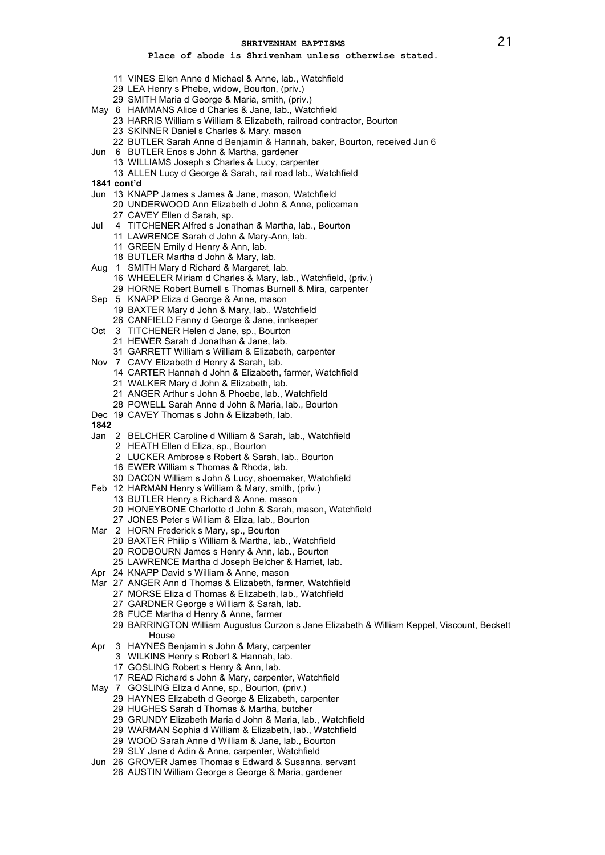- VINES Ellen Anne d Michael & Anne, lab., Watchfield
- LEA Henry s Phebe, widow, Bourton, (priv.)
- SMITH Maria d George & Maria, smith, (priv.)
- May 6 HAMMANS Alice d Charles & Jane, lab., Watchfield
	- HARRIS William s William & Elizabeth, railroad contractor, Bourton
		- SKINNER Daniel s Charles & Mary, mason
		- BUTLER Sarah Anne d Benjamin & Hannah, baker, Bourton, received Jun 6
- Jun 6 BUTLER Enos s John & Martha, gardener
	- WILLIAMS Joseph s Charles & Lucy, carpenter
	- ALLEN Lucy d George & Sarah, rail road lab., Watchfield
- **1841 cont'd**
- Jun 13 KNAPP James s James & Jane, mason, Watchfield
	- UNDERWOOD Ann Elizabeth d John & Anne, policeman CAVEY Ellen d Sarah, sp.
- Jul 4 TITCHENER Alfred s Jonathan & Martha, lab., Bourton
	- LAWRENCE Sarah d John & Mary-Ann, lab.
	- GREEN Emily d Henry & Ann, lab.
	- BUTLER Martha d John & Mary, lab.
- Aug 1 SMITH Mary d Richard & Margaret, lab.
- WHEELER Miriam d Charles & Mary, lab., Watchfield, (priv.) HORNE Robert Burnell s Thomas Burnell & Mira, carpenter
- Sep 5 KNAPP Eliza d George & Anne, mason
	- BAXTER Mary d John & Mary, lab., Watchfield CANFIELD Fanny d George & Jane, innkeeper
- Oct 3 TITCHENER Helen d Jane, sp., Bourton
	- HEWER Sarah d Jonathan & Jane, lab.
	- GARRETT William s William & Elizabeth, carpenter
- Nov 7 CAVY Elizabeth d Henry & Sarah, lab.
	- CARTER Hannah d John & Elizabeth, farmer, Watchfield
	- WALKER Mary d John & Elizabeth, lab.
	- ANGER Arthur s John & Phoebe, lab., Watchfield
	- POWELL Sarah Anne d John & Maria, lab., Bourton
- Dec 19 CAVEY Thomas s John & Elizabeth, lab.
- 
- Jan 2 BELCHER Caroline d William & Sarah, lab., Watchfield
	- HEATH Ellen d Eliza, sp., Bourton
	- LUCKER Ambrose s Robert & Sarah, lab., Bourton
	- EWER William s Thomas & Rhoda, lab.
	- DACON William s John & Lucy, shoemaker, Watchfield
- Feb 12 HARMAN Henry s William & Mary, smith, (priv.)
	- BUTLER Henry s Richard & Anne, mason
	- HONEYBONE Charlotte d John & Sarah, mason, Watchfield
	- JONES Peter s William & Eliza, lab., Bourton
- Mar 2 HORN Frederick s Mary, sp., Bourton
	- BAXTER Philip s William & Martha, lab., Watchfield
	- RODBOURN James s Henry & Ann, lab., Bourton
	- LAWRENCE Martha d Joseph Belcher & Harriet, lab.
- Apr 24 KNAPP David s William & Anne, mason
- Mar 27 ANGER Ann d Thomas & Elizabeth, farmer, Watchfield
	- MORSE Eliza d Thomas & Elizabeth, lab., Watchfield
		- GARDNER George s William & Sarah, lab.
		- FUCE Martha d Henry & Anne, farmer
		- BARRINGTON William Augustus Curzon s Jane Elizabeth & William Keppel, Viscount, Beckett House
- Apr 3 HAYNES Benjamin s John & Mary, carpenter
	- WILKINS Henry s Robert & Hannah, lab.
	- GOSLING Robert s Henry & Ann, lab.
	- READ Richard s John & Mary, carpenter, Watchfield
- May 7 GOSLING Eliza d Anne, sp., Bourton, (priv.)
	- HAYNES Elizabeth d George & Elizabeth, carpenter
	- HUGHES Sarah d Thomas & Martha, butcher
	- GRUNDY Elizabeth Maria d John & Maria, lab., Watchfield
	- WARMAN Sophia d William & Elizabeth, lab., Watchfield
	- WOOD Sarah Anne d William & Jane, lab., Bourton
	- SLY Jane d Adin & Anne, carpenter, Watchfield
- Jun 26 GROVER James Thomas s Edward & Susanna, servant
	- AUSTIN William George s George & Maria, gardener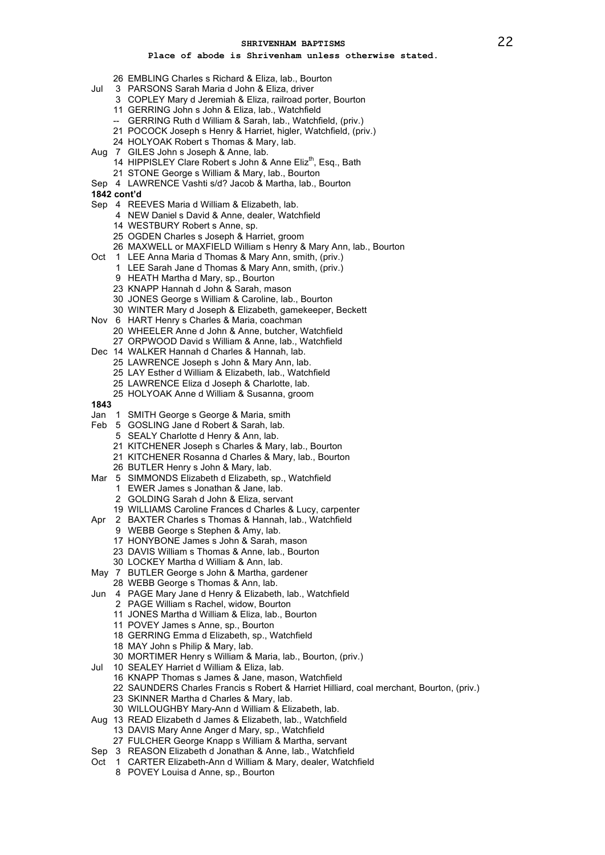- EMBLING Charles s Richard & Eliza, lab., Bourton
- Jul 3 PARSONS Sarah Maria d John & Eliza, driver
	- COPLEY Mary d Jeremiah & Eliza, railroad porter, Bourton
	- GERRING John s John & Eliza, lab., Watchfield
	- -- GERRING Ruth d William & Sarah, lab., Watchfield, (priv.)
	- POCOCK Joseph s Henry & Harriet, higler, Watchfield, (priv.)
	- HOLYOAK Robert s Thomas & Mary, lab.
- Aug 7 GILES John s Joseph & Anne, lab.
	- 14 HIPPISLEY Clare Robert s John & Anne Eliz<sup>th</sup>, Esq., Bath
	- STONE George s William & Mary, lab., Bourton
- Sep 4 LAWRENCE Vashti s/d? Jacob & Martha, lab., Bourton
- **1842 cont'd**
- Sep 4 REEVES Maria d William & Elizabeth, lab.
	- NEW Daniel s David & Anne, dealer, Watchfield
	- WESTBURY Robert s Anne, sp.
	- OGDEN Charles s Joseph & Harriet, groom
	- MAXWELL or MAXFIELD William s Henry & Mary Ann, lab., Bourton
- Oct 1 LEE Anna Maria d Thomas & Mary Ann, smith, (priv.)
	- LEE Sarah Jane d Thomas & Mary Ann, smith, (priv.)
	- HEATH Martha d Mary, sp., Bourton
	- KNAPP Hannah d John & Sarah, mason
	- JONES George s William & Caroline, lab., Bourton
	- WINTER Mary d Joseph & Elizabeth, gamekeeper, Beckett
- Nov 6 HART Henry s Charles & Maria, coachman WHEELER Anne d John & Anne, butcher, Watchfield
	- ORPWOOD David s William & Anne, lab., Watchfield
- Dec 14 WALKER Hannah d Charles & Hannah, lab.
- LAWRENCE Joseph s John & Mary Ann, lab.
	- LAY Esther d William & Elizabeth, lab., Watchfield
	- LAWRENCE Eliza d Joseph & Charlotte, lab.
	- HOLYOAK Anne d William & Susanna, groom
- 
- Jan 1 SMITH George s George & Maria, smith
- Feb 5 GOSLING Jane d Robert & Sarah, lab.
	- SEALY Charlotte d Henry & Ann, lab.
	- KITCHENER Joseph s Charles & Mary, lab., Bourton
	- KITCHENER Rosanna d Charles & Mary, lab., Bourton
	- BUTLER Henry s John & Mary, lab.
- Mar 5 SIMMONDS Elizabeth d Elizabeth, sp., Watchfield
	- EWER James s Jonathan & Jane, lab.
	- GOLDING Sarah d John & Eliza, servant
	- WILLIAMS Caroline Frances d Charles & Lucy, carpenter
- Apr 2 BAXTER Charles s Thomas & Hannah, lab., Watchfield
	- WEBB George s Stephen & Amy, lab.
	- HONYBONE James s John & Sarah, mason
	- DAVIS William s Thomas & Anne, lab., Bourton
	- LOCKEY Martha d William & Ann, lab.
- May 7 BUTLER George s John & Martha, gardener
	- WEBB George s Thomas & Ann, lab.
- Jun 4 PAGE Mary Jane d Henry & Elizabeth, lab., Watchfield
	- PAGE William s Rachel, widow, Bourton
	- JONES Martha d William & Eliza, lab., Bourton
	- POVEY James s Anne, sp., Bourton
	- GERRING Emma d Elizabeth, sp., Watchfield
	- MAY John s Philip & Mary, lab.
	- MORTIMER Henry s William & Maria, lab., Bourton, (priv.)
- Jul 10 SEALEY Harriet d William & Eliza, lab.
	- KNAPP Thomas s James & Jane, mason, Watchfield
	- SAUNDERS Charles Francis s Robert & Harriet Hilliard, coal merchant, Bourton, (priv.)
	- SKINNER Martha d Charles & Mary, lab.
	- WILLOUGHBY Mary-Ann d William & Elizabeth, lab.
- Aug 13 READ Elizabeth d James & Elizabeth, lab., Watchfield
	- DAVIS Mary Anne Anger d Mary, sp., Watchfield
	- FULCHER George Knapp s William & Martha, servant
- Sep 3 REASON Elizabeth d Jonathan & Anne, lab., Watchfield
- Oct 1 CARTER Elizabeth-Ann d William & Mary, dealer, Watchfield
	- POVEY Louisa d Anne, sp., Bourton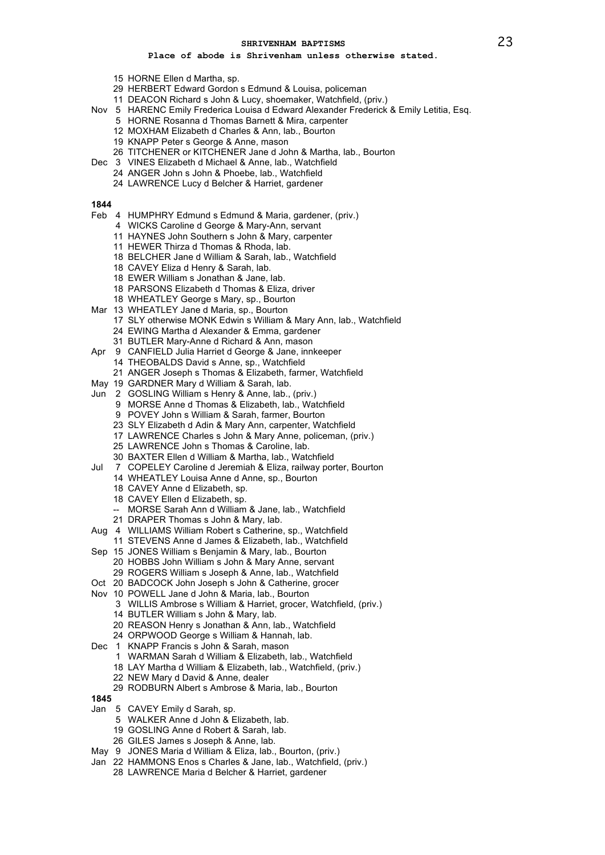## **Place of abode is Shrivenham unless otherwise stated.**

- HORNE Ellen d Martha, sp.
- HERBERT Edward Gordon s Edmund & Louisa, policeman
- DEACON Richard s John & Lucy, shoemaker, Watchfield, (priv.)
- Nov 5 HARENC Emily Frederica Louisa d Edward Alexander Frederick & Emily Letitia, Esq.
	- HORNE Rosanna d Thomas Barnett & Mira, carpenter
		- MOXHAM Elizabeth d Charles & Ann, lab., Bourton
		- KNAPP Peter s George & Anne, mason
	- TITCHENER or KITCHENER Jane d John & Martha, lab., Bourton
- Dec 3 VINES Elizabeth d Michael & Anne, lab., Watchfield
	- ANGER John s John & Phoebe, lab., Watchfield
	- LAWRENCE Lucy d Belcher & Harriet, gardener

- Feb 4 HUMPHRY Edmund s Edmund & Maria, gardener, (priv.)
	- WICKS Caroline d George & Mary-Ann, servant
	- HAYNES John Southern s John & Mary, carpenter
	- HEWER Thirza d Thomas & Rhoda, lab.
	- BELCHER Jane d William & Sarah, lab., Watchfield
	- CAVEY Eliza d Henry & Sarah, lab.
	- EWER William s Jonathan & Jane, lab.
	- PARSONS Elizabeth d Thomas & Eliza, driver
	- WHEATLEY George s Mary, sp., Bourton
- Mar 13 WHEATLEY Jane d Maria, sp., Bourton
	- SLY otherwise MONK Edwin s William & Mary Ann, lab., Watchfield
	- EWING Martha d Alexander & Emma, gardener
	- BUTLER Mary-Anne d Richard & Ann, mason
- Apr 9 CANFIELD Julia Harriet d George & Jane, innkeeper
	- THEOBALDS David s Anne, sp., Watchfield
	- ANGER Joseph s Thomas & Elizabeth, farmer, Watchfield
- May 19 GARDNER Mary d William & Sarah, lab.
- Jun 2 GOSLING William s Henry & Anne, lab., (priv.)
	- MORSE Anne d Thomas & Elizabeth, lab., Watchfield
		- POVEY John s William & Sarah, farmer, Bourton
	- SLY Elizabeth d Adin & Mary Ann, carpenter, Watchfield
	- LAWRENCE Charles s John & Mary Anne, policeman, (priv.)
	- LAWRENCE John s Thomas & Caroline, lab.
	- BAXTER Ellen d William & Martha, lab., Watchfield
- Jul 7 COPELEY Caroline d Jeremiah & Eliza, railway porter, Bourton
	- WHEATLEY Louisa Anne d Anne, sp., Bourton
		- CAVEY Anne d Elizabeth, sp.
		- CAVEY Ellen d Elizabeth, sp.
		- -- MORSE Sarah Ann d William & Jane, lab., Watchfield
	- DRAPER Thomas s John & Mary, lab.
- Aug 4 WILLIAMS William Robert s Catherine, sp., Watchfield
	- STEVENS Anne d James & Elizabeth, lab., Watchfield
- Sep 15 JONES William s Benjamin & Mary, lab., Bourton HOBBS John William s John & Mary Anne, servant
	- ROGERS William s Joseph & Anne, lab., Watchfield
	-
- Oct 20 BADCOCK John Joseph s John & Catherine, grocer
- Nov 10 POWELL Jane d John & Maria, lab., Bourton
	- WILLIS Ambrose s William & Harriet, grocer, Watchfield, (priv.)
	- BUTLER William s John & Mary, lab.
	- REASON Henry s Jonathan & Ann, lab., Watchfield
	- ORPWOOD George s William & Hannah, lab.
- Dec 1 KNAPP Francis s John & Sarah, mason
	- WARMAN Sarah d William & Elizabeth, lab., Watchfield
	- LAY Martha d William & Elizabeth, lab., Watchfield, (priv.)
	- NEW Mary d David & Anne, dealer
	- RODBURN Albert s Ambrose & Maria, lab., Bourton
- 
- Jan 5 CAVEY Emily d Sarah, sp.
	- WALKER Anne d John & Elizabeth, lab.
	- GOSLING Anne d Robert & Sarah, lab.
	- GILES James s Joseph & Anne, lab.
- May 9 JONES Maria d William & Eliza, lab., Bourton, (priv.)
- Jan 22 HAMMONS Enos s Charles & Jane, lab., Watchfield, (priv.)
	- LAWRENCE Maria d Belcher & Harriet, gardener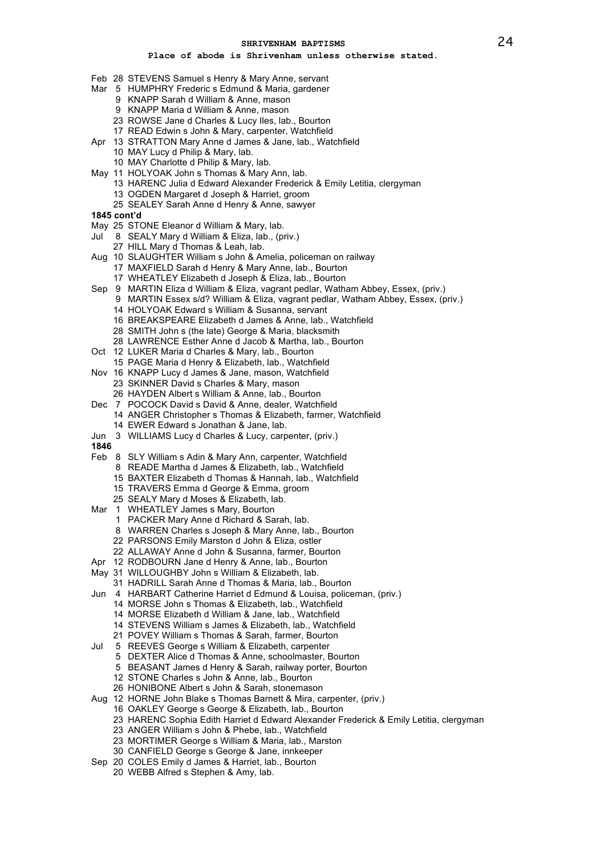- Feb 28 STEVENS Samuel s Henry & Mary Anne, servant
- Mar 5 HUMPHRY Frederic s Edmund & Maria, gardener
	- KNAPP Sarah d William & Anne, mason
	- KNAPP Maria d William & Anne, mason
	- ROWSE Jane d Charles & Lucy Iles, lab., Bourton
	- READ Edwin s John & Mary, carpenter, Watchfield
- Apr 13 STRATTON Mary Anne d James & Jane, lab., Watchfield
	- MAY Lucy d Philip & Mary, lab.
		- MAY Charlotte d Philip & Mary, lab.
- May 11 HOLYOAK John s Thomas & Mary Ann, lab.
	- HARENC Julia d Edward Alexander Frederick & Emily Letitia, clergyman OGDEN Margaret d Joseph & Harriet, groom
		- SEALEY Sarah Anne d Henry & Anne, sawyer
- **1845 cont'd**
- May 25 STONE Eleanor d William & Mary, lab.
- Jul 8 SEALY Mary d William & Eliza, lab., (priv.)
	- HILL Mary d Thomas & Leah, lab.
- Aug 10 SLAUGHTER William s John & Amelia, policeman on railway
	- MAXFIELD Sarah d Henry & Mary Anne, lab., Bourton
	- WHEATLEY Elizabeth d Joseph & Eliza, lab., Bourton
- Sep 9 MARTIN Eliza d William & Eliza, vagrant pedlar, Watham Abbey, Essex, (priv.)
	- MARTIN Essex s/d? William & Eliza, vagrant pedlar, Watham Abbey, Essex, (priv.)
	- HOLYOAK Edward s William & Susanna, servant
	- BREAKSPEARE Elizabeth d James & Anne, lab., Watchfield
	- SMITH John s (the late) George & Maria, blacksmith
	- LAWRENCE Esther Anne d Jacob & Martha, lab., Bourton
- Oct 12 LUKER Maria d Charles & Mary, lab., Bourton
- PAGE Maria d Henry & Elizabeth, lab., Watchfield
- Nov 16 KNAPP Lucy d James & Jane, mason, Watchfield
	- SKINNER David s Charles & Mary, mason HAYDEN Albert s William & Anne, lab., Bourton
- Dec 7 POCOCK David s David & Anne, dealer, Watchfield
- ANGER Christopher s Thomas & Elizabeth, farmer, Watchfield EWER Edward s Jonathan & Jane, lab.
- 
- Jun 3 WILLIAMS Lucy d Charles & Lucy, carpenter, (priv.)
- 
- Feb 8 SLY William s Adin & Mary Ann, carpenter, Watchfield
	- READE Martha d James & Elizabeth, lab., Watchfield
	- BAXTER Elizabeth d Thomas & Hannah, lab., Watchfield
	- TRAVERS Emma d George & Emma, groom
	- SEALY Mary d Moses & Elizabeth, lab.
- Mar 1 WHEATLEY James s Mary, Bourton
	- PACKER Mary Anne d Richard & Sarah, lab.
	- WARREN Charles s Joseph & Mary Anne, lab., Bourton
	- PARSONS Emily Marston d John & Eliza, ostler
	- ALLAWAY Anne d John & Susanna, farmer, Bourton
- Apr 12 RODBOURN Jane d Henry & Anne, lab., Bourton
- May 31 WILLOUGHBY John s William & Elizabeth, lab.
	- HADRILL Sarah Anne d Thomas & Maria, lab., Bourton
- Jun 4 HARBART Catherine Harriet d Edmund & Louisa, policeman, (priv.)
	- MORSE John s Thomas & Elizabeth, lab., Watchfield
	- MORSE Elizabeth d William & Jane, lab., Watchfield
	- STEVENS William s James & Elizabeth, lab., Watchfield
	- POVEY William s Thomas & Sarah, farmer, Bourton
- Jul 5 REEVES George s William & Elizabeth, carpenter
	- DEXTER Alice d Thomas & Anne, schoolmaster, Bourton
		- BEASANT James d Henry & Sarah, railway porter, Bourton
		- STONE Charles s John & Anne, lab., Bourton
		- HONIBONE Albert s John & Sarah, stonemason
- Aug 12 HORNE John Blake s Thomas Barnett & Mira, carpenter, (priv.)
	- OAKLEY George s George & Elizabeth, lab., Bourton
		- HARENC Sophia Edith Harriet d Edward Alexander Frederick & Emily Letitia, clergyman
		- ANGER William s John & Phebe, lab., Watchfield
		- MORTIMER George s William & Maria, lab., Marston
		- CANFIELD George s George & Jane, innkeeper
- Sep 20 COLES Emily d James & Harriet, lab., Bourton
	- WEBB Alfred s Stephen & Amy, lab.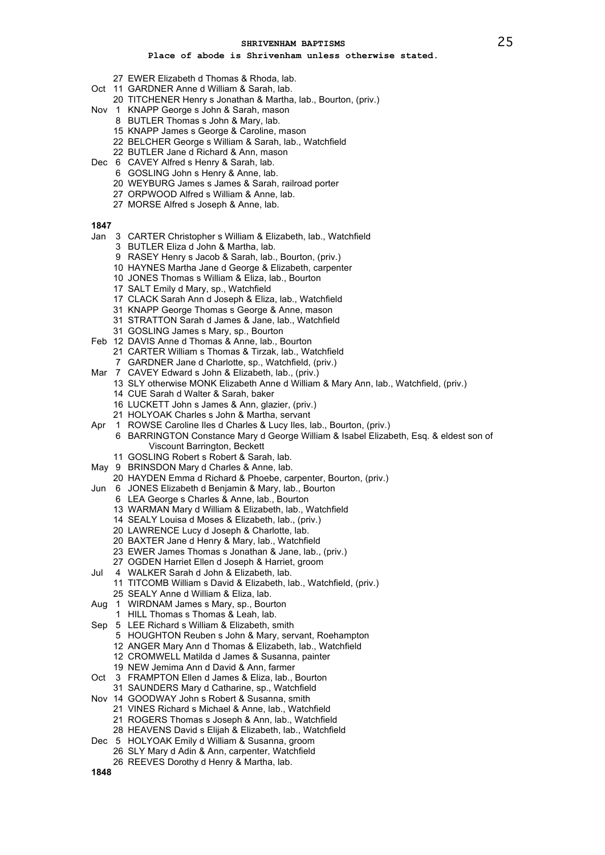# **Place of abode is Shrivenham unless otherwise stated.**

- EWER Elizabeth d Thomas & Rhoda, lab.
- Oct 11 GARDNER Anne d William & Sarah, lab.
	- TITCHENER Henry s Jonathan & Martha, lab., Bourton, (priv.)
- Nov 1 KNAPP George s John & Sarah, mason
	- BUTLER Thomas s John & Mary, lab.
		- KNAPP James s George & Caroline, mason
		- BELCHER George s William & Sarah, lab., Watchfield
	- BUTLER Jane d Richard & Ann, mason
- Dec 6 CAVEY Alfred s Henry & Sarah, lab.
	- GOSLING John s Henry & Anne, lab.
	- WEYBURG James s James & Sarah, railroad porter
	- ORPWOOD Alfred s William & Anne, lab.
	- MORSE Alfred s Joseph & Anne, lab.

# 

- Jan 3 CARTER Christopher s William & Elizabeth, lab., Watchfield
	- BUTLER Eliza d John & Martha, lab.
	- RASEY Henry s Jacob & Sarah, lab., Bourton, (priv.)
	- HAYNES Martha Jane d George & Elizabeth, carpenter
	- JONES Thomas s William & Eliza, lab., Bourton
	- SALT Emily d Mary, sp., Watchfield
	- CLACK Sarah Ann d Joseph & Eliza, lab., Watchfield
	- KNAPP George Thomas s George & Anne, mason
	- STRATTON Sarah d James & Jane, lab., Watchfield
	- GOSLING James s Mary, sp., Bourton
- Feb 12 DAVIS Anne d Thomas & Anne, lab., Bourton
	- CARTER William s Thomas & Tirzak, lab., Watchfield
	- GARDNER Jane d Charlotte, sp., Watchfield, (priv.)
- Mar 7 CAVEY Edward s John & Elizabeth, lab., (priv.)
	- SLY otherwise MONK Elizabeth Anne d William & Mary Ann, lab., Watchfield, (priv.)
		- CUE Sarah d Walter & Sarah, baker
		- LUCKETT John s James & Ann, glazier, (priv.)
		- HOLYOAK Charles s John & Martha, servant
- Apr 1 ROWSE Caroline Iles d Charles & Lucy Iles, lab., Bourton, (priv.)
	- BARRINGTON Constance Mary d George William & Isabel Elizabeth, Esq. & eldest son of Viscount Barrington, Beckett
	- GOSLING Robert s Robert & Sarah, lab.
- May 9 BRINSDON Mary d Charles & Anne, lab.
- HAYDEN Emma d Richard & Phoebe, carpenter, Bourton, (priv.)
- Jun 6 JONES Elizabeth d Benjamin & Mary, lab., Bourton
	- LEA George s Charles & Anne, lab., Bourton
		- WARMAN Mary d William & Elizabeth, lab., Watchfield
		- SEALY Louisa d Moses & Elizabeth, lab., (priv.)
		- LAWRENCE Lucy d Joseph & Charlotte, lab.
		- BAXTER Jane d Henry & Mary, lab., Watchfield
		- EWER James Thomas s Jonathan & Jane, lab., (priv.)
		- OGDEN Harriet Ellen d Joseph & Harriet, groom
- Jul 4 WALKER Sarah d John & Elizabeth, lab.

 TITCOMB William s David & Elizabeth, lab., Watchfield, (priv.) SEALY Anne d William & Eliza, lab.

- Aug 1 WIRDNAM James s Mary, sp., Bourton
- HILL Thomas s Thomas & Leah, lab.
- 
- Sep 5 LEE Richard s William & Elizabeth, smith
	- HOUGHTON Reuben s John & Mary, servant, Roehampton
	- ANGER Mary Ann d Thomas & Elizabeth, lab., Watchfield
	- CROMWELL Matilda d James & Susanna, painter
	- NEW Jemima Ann d David & Ann, farmer
- Oct 3 FRAMPTON Ellen d James & Eliza, lab., Bourton
	- SAUNDERS Mary d Catharine, sp., Watchfield
- Nov 14 GOODWAY John s Robert & Susanna, smith
	- VINES Richard s Michael & Anne, lab., Watchfield
	- ROGERS Thomas s Joseph & Ann, lab., Watchfield
	- HEAVENS David s Elijah & Elizabeth, lab., Watchfield
- Dec 5 HOLYOAK Emily d William & Susanna, groom
	- SLY Mary d Adin & Ann, carpenter, Watchfield
	- REEVES Dorothy d Henry & Martha, lab.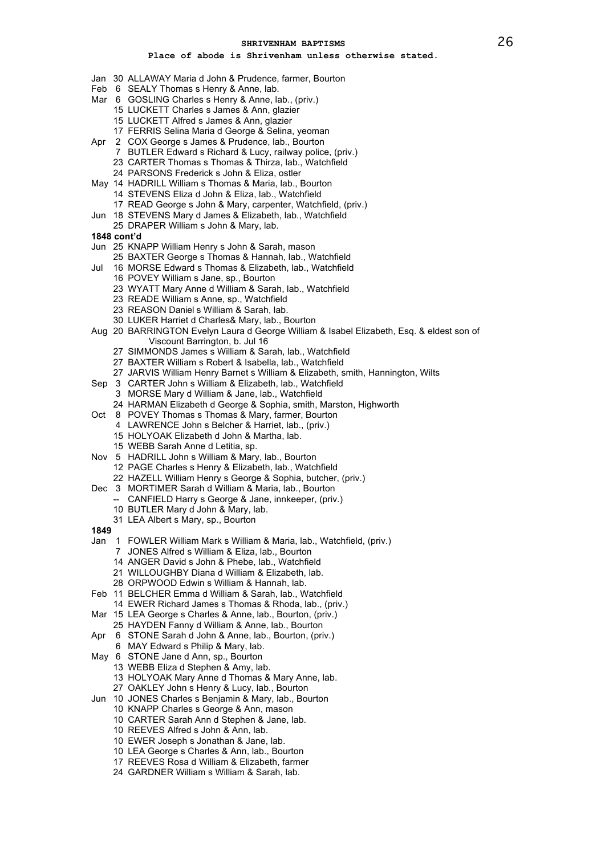- Jan 30 ALLAWAY Maria d John & Prudence, farmer, Bourton
- Feb 6 SEALY Thomas s Henry & Anne, lab.
- Mar 6 GOSLING Charles s Henry & Anne, lab., (priv.)
	- LUCKETT Charles s James & Ann, glazier
	- LUCKETT Alfred s James & Ann, glazier
	- FERRIS Selina Maria d George & Selina, yeoman
- Apr 2 COX George s James & Prudence, lab., Bourton
	- BUTLER Edward s Richard & Lucy, railway police, (priv.)
	- CARTER Thomas s Thomas & Thirza, lab., Watchfield
	- PARSONS Frederick s John & Eliza, ostler
- May 14 HADRILL William s Thomas & Maria, lab., Bourton
	- STEVENS Eliza d John & Eliza, lab., Watchfield
	- READ George s John & Mary, carpenter, Watchfield, (priv.)
- Jun 18 STEVENS Mary d James & Elizabeth, lab., Watchfield
- DRAPER William s John & Mary, lab.
- **1848 cont'd**
- Jun 25 KNAPP William Henry s John & Sarah, mason
	- BAXTER George s Thomas & Hannah, lab., Watchfield
- Jul 16 MORSE Edward s Thomas & Elizabeth, lab., Watchfield
	- POVEY William s Jane, sp., Bourton
	- WYATT Mary Anne d William & Sarah, lab., Watchfield
	- READE William s Anne, sp., Watchfield
	- REASON Daniel s William & Sarah, lab.
	- LUKER Harriet d Charles& Mary, lab., Bourton
- Aug 20 BARRINGTON Evelyn Laura d George William & Isabel Elizabeth, Esq. & eldest son of Viscount Barrington, b. Jul 16
	- SIMMONDS James s William & Sarah, lab., Watchfield
	- BAXTER William s Robert & Isabella, lab., Watchfield
	- JARVIS William Henry Barnet s William & Elizabeth, smith, Hannington, Wilts
- Sep 3 CARTER John s William & Elizabeth, lab., Watchfield
	- MORSE Mary d William & Jane, lab., Watchfield
	- HARMAN Elizabeth d George & Sophia, smith, Marston, Highworth
- Oct 8 POVEY Thomas s Thomas & Mary, farmer, Bourton
	- LAWRENCE John s Belcher & Harriet, lab., (priv.)
	- HOLYOAK Elizabeth d John & Martha, lab.
	- WEBB Sarah Anne d Letitia, sp.
- Nov 5 HADRILL John s William & Mary, lab., Bourton
	- PAGE Charles s Henry & Elizabeth, lab., Watchfield
	- HAZELL William Henry s George & Sophia, butcher, (priv.)
- Dec 3 MORTIMER Sarah d William & Maria, lab., Bourton
	- -- CANFIELD Harry s George & Jane, innkeeper, (priv.)
	- BUTLER Mary d John & Mary, lab.
	- LEA Albert s Mary, sp., Bourton
- 
- Jan 1 FOWLER William Mark s William & Maria, lab., Watchfield, (priv.)
	- JONES Alfred s William & Eliza, lab., Bourton
	- ANGER David s John & Phebe, lab., Watchfield
	- WILLOUGHBY Diana d William & Elizabeth, lab.
	- ORPWOOD Edwin s William & Hannah, lab.
- Feb 11 BELCHER Emma d William & Sarah, lab., Watchfield
- EWER Richard James s Thomas & Rhoda, lab., (priv.)
- Mar 15 LEA George s Charles & Anne, lab., Bourton, (priv.)
- HAYDEN Fanny d William & Anne, lab., Bourton
- Apr 6 STONE Sarah d John & Anne, lab., Bourton, (priv.)
	- MAY Edward s Philip & Mary, lab.
- May 6 STONE Jane d Ann, sp., Bourton
	- WEBB Eliza d Stephen & Amy, lab.
	-
	- HOLYOAK Mary Anne d Thomas & Mary Anne, lab.
	- OAKLEY John s Henry & Lucy, lab., Bourton
- Jun 10 JONES Charles s Benjamin & Mary, lab., Bourton
	- KNAPP Charles s George & Ann, mason
	- CARTER Sarah Ann d Stephen & Jane, lab.
	- REEVES Alfred s John & Ann, lab.
	- EWER Joseph s Jonathan & Jane, lab.
	- LEA George s Charles & Ann, lab., Bourton
	- REEVES Rosa d William & Elizabeth, farmer
	- GARDNER William s William & Sarah, lab.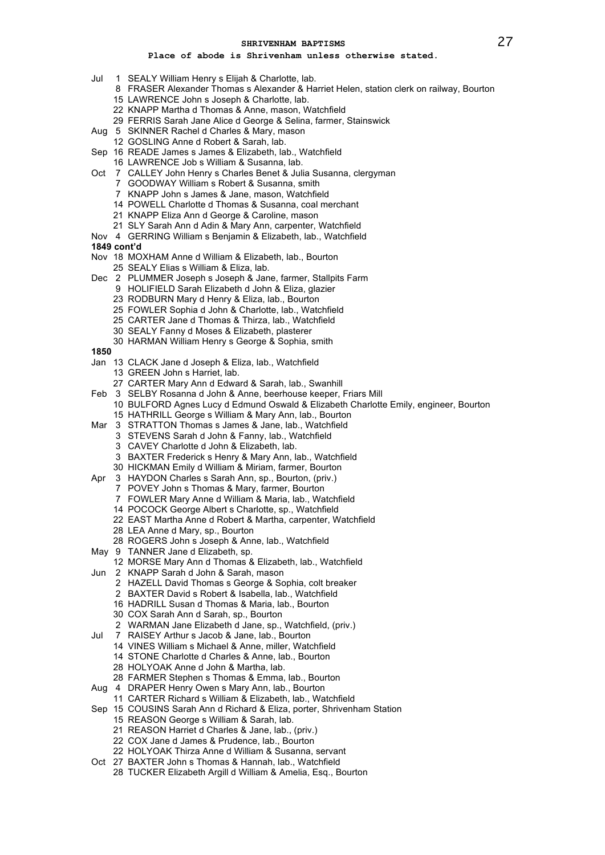- Jul 1 SEALY William Henry s Elijah & Charlotte, lab.
	- FRASER Alexander Thomas s Alexander & Harriet Helen, station clerk on railway, Bourton
	- LAWRENCE John s Joseph & Charlotte, lab.
	- KNAPP Martha d Thomas & Anne, mason, Watchfield
	- FERRIS Sarah Jane Alice d George & Selina, farmer, Stainswick
- Aug 5 SKINNER Rachel d Charles & Mary, mason
	- GOSLING Anne d Robert & Sarah, lab.
- Sep 16 READE James s James & Elizabeth, lab., Watchfield
	- LAWRENCE Job s William & Susanna, lab.
- Oct 7 CALLEY John Henry s Charles Benet & Julia Susanna, clergyman
	- GOODWAY William s Robert & Susanna, smith
	- KNAPP John s James & Jane, mason, Watchfield
	- POWELL Charlotte d Thomas & Susanna, coal merchant
	- KNAPP Eliza Ann d George & Caroline, mason
	- SLY Sarah Ann d Adin & Mary Ann, carpenter, Watchfield
- Nov 4 GERRING William s Benjamin & Elizabeth, lab., Watchfield
- **1849 cont'd**
- Nov 18 MOXHAM Anne d William & Elizabeth, lab., Bourton
	- SEALY Elias s William & Eliza, lab.
- Dec 2 PLUMMER Joseph s Joseph & Jane, farmer, Stallpits Farm
	- HOLIFIELD Sarah Elizabeth d John & Eliza, glazier
	- RODBURN Mary d Henry & Eliza, lab., Bourton
	- FOWLER Sophia d John & Charlotte, lab., Watchfield
	- CARTER Jane d Thomas & Thirza, lab., Watchfield
	- SEALY Fanny d Moses & Elizabeth, plasterer
	- HARMAN William Henry s George & Sophia, smith
- 
- Jan 13 CLACK Jane d Joseph & Eliza, lab., Watchfield
	- GREEN John s Harriet, lab.
	- CARTER Mary Ann d Edward & Sarah, lab., Swanhill
- Feb 3 SELBY Rosanna d John & Anne, beerhouse keeper, Friars Mill
- BULFORD Agnes Lucy d Edmund Oswald & Elizabeth Charlotte Emily, engineer, Bourton HATHRILL George s William & Mary Ann, lab., Bourton
- Mar 3 STRATTON Thomas s James & Jane, lab., Watchfield
	- STEVENS Sarah d John & Fanny, lab., Watchfield
	- CAVEY Charlotte d John & Elizabeth, lab.
	- BAXTER Frederick s Henry & Mary Ann, lab., Watchfield
	- HICKMAN Emily d William & Miriam, farmer, Bourton
- Apr 3 HAYDON Charles s Sarah Ann, sp., Bourton, (priv.)
	- POVEY John s Thomas & Mary, farmer, Bourton
	- FOWLER Mary Anne d William & Maria, lab., Watchfield
	- POCOCK George Albert s Charlotte, sp., Watchfield
	- EAST Martha Anne d Robert & Martha, carpenter, Watchfield
	- LEA Anne d Mary, sp., Bourton
	- ROGERS John s Joseph & Anne, lab., Watchfield
- May 9 TANNER Jane d Elizabeth, sp.
	- MORSE Mary Ann d Thomas & Elizabeth, lab., Watchfield
- Jun 2 KNAPP Sarah d John & Sarah, mason
	- HAZELL David Thomas s George & Sophia, colt breaker
	- BAXTER David s Robert & Isabella, lab., Watchfield
	- HADRILL Susan d Thomas & Maria, lab., Bourton
	- COX Sarah Ann d Sarah, sp., Bourton
	- WARMAN Jane Elizabeth d Jane, sp., Watchfield, (priv.)
- Jul 7 RAISEY Arthur s Jacob & Jane, lab., Bourton
	- VINES William s Michael & Anne, miller, Watchfield
		- STONE Charlotte d Charles & Anne, lab., Bourton
		- HOLYOAK Anne d John & Martha, lab.
	- FARMER Stephen s Thomas & Emma, lab., Bourton
- Aug 4 DRAPER Henry Owen s Mary Ann, lab., Bourton
	- CARTER Richard s William & Elizabeth, lab., Watchfield
- Sep 15 COUSINS Sarah Ann d Richard & Eliza, porter, Shrivenham Station
	- REASON George s William & Sarah, lab.
	- REASON Harriet d Charles & Jane, lab., (priv.)
	- COX Jane d James & Prudence, lab., Bourton
	- HOLYOAK Thirza Anne d William & Susanna, servant
- Oct 27 BAXTER John s Thomas & Hannah, lab., Watchfield
	- TUCKER Elizabeth Argill d William & Amelia, Esq., Bourton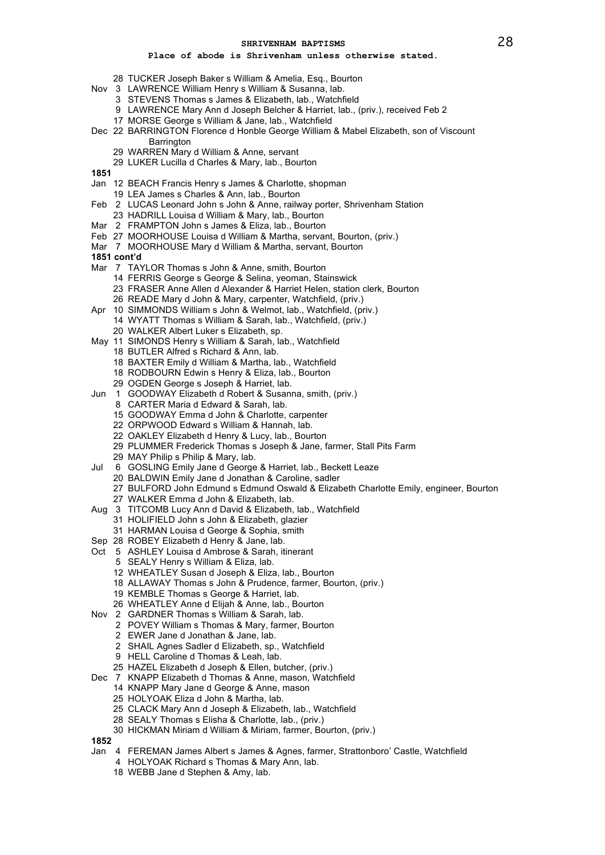# **Place of abode is Shrivenham unless otherwise stated.**

- TUCKER Joseph Baker s William & Amelia, Esq., Bourton
- Nov 3 LAWRENCE William Henry s William & Susanna, lab.
	- STEVENS Thomas s James & Elizabeth, lab., Watchfield
	- LAWRENCE Mary Ann d Joseph Belcher & Harriet, lab., (priv.), received Feb 2
	- MORSE George s William & Jane, lab., Watchfield
- Dec 22 BARRINGTON Florence d Honble George William & Mabel Elizabeth, son of Viscount **Barrington** 
	- WARREN Mary d William & Anne, servant
	- LUKER Lucilla d Charles & Mary, lab., Bourton
- 
- Jan 12 BEACH Francis Henry s James & Charlotte, shopman
	- LEA James s Charles & Ann, lab., Bourton
- Feb 2 LUCAS Leonard John s John & Anne, railway porter, Shrivenham Station
- HADRILL Louisa d William & Mary, lab., Bourton
- Mar 2 FRAMPTON John s James & Eliza, lab., Bourton
- Feb 27 MOORHOUSE Louisa d William & Martha, servant, Bourton, (priv.)
- Mar 7 MOORHOUSE Mary d William & Martha, servant, Bourton
- **1851 cont'd**
- Mar 7 TAYLOR Thomas s John & Anne, smith, Bourton
	- FERRIS George s George & Selina, yeoman, Stainswick
	- FRASER Anne Allen d Alexander & Harriet Helen, station clerk, Bourton
	- READE Mary d John & Mary, carpenter, Watchfield, (priv.)
- Apr 10 SIMMONDS William s John & Welmot, lab., Watchfield, (priv.)
	- WYATT Thomas s William & Sarah, lab., Watchfield, (priv.)
		- WALKER Albert Luker s Elizabeth, sp.
- May 11 SIMONDS Henry s William & Sarah, lab., Watchfield
	- BUTLER Alfred s Richard & Ann, lab.
	- BAXTER Emily d William & Martha, lab., Watchfield
	- RODBOURN Edwin s Henry & Eliza, lab., Bourton
	- OGDEN George s Joseph & Harriet, lab.
- Jun 1 GOODWAY Elizabeth d Robert & Susanna, smith, (priv.)
	- CARTER Maria d Edward & Sarah, lab.
		- GOODWAY Emma d John & Charlotte, carpenter
		- ORPWOOD Edward s William & Hannah, lab.
		- OAKLEY Elizabeth d Henry & Lucy, lab., Bourton
		- PLUMMER Frederick Thomas s Joseph & Jane, farmer, Stall Pits Farm
		- MAY Philip s Philip & Mary, lab.
- Jul 6 GOSLING Emily Jane d George & Harriet, lab., Beckett Leaze
	- BALDWIN Emily Jane d Jonathan & Caroline, sadler
	- BULFORD John Edmund s Edmund Oswald & Elizabeth Charlotte Emily, engineer, Bourton
	- WALKER Emma d John & Elizabeth, lab.
- Aug 3 TITCOMB Lucy Ann d David & Elizabeth, lab., Watchfield
	- HOLIFIELD John s John & Elizabeth, glazier
	- HARMAN Louisa d George & Sophia, smith
- Sep 28 ROBEY Elizabeth d Henry & Jane, lab.
- Oct 5 ASHLEY Louisa d Ambrose & Sarah, itinerant
	- SEALY Henry s William & Eliza, lab.
		- WHEATLEY Susan d Joseph & Eliza, lab., Bourton
	- ALLAWAY Thomas s John & Prudence, farmer, Bourton, (priv.)
	- KEMBLE Thomas s George & Harriet, lab.
	- WHEATLEY Anne d Elijah & Anne, lab., Bourton
- Nov 2 GARDNER Thomas s William & Sarah, lab.
	- POVEY William s Thomas & Mary, farmer, Bourton
	- EWER Jane d Jonathan & Jane, lab.
	- SHAIL Agnes Sadler d Elizabeth, sp., Watchfield
	- HELL Caroline d Thomas & Leah, lab.
	- HAZEL Elizabeth d Joseph & Ellen, butcher, (priv.)
- Dec 7 KNAPP Elizabeth d Thomas & Anne, mason, Watchfield
	- KNAPP Mary Jane d George & Anne, mason
		- HOLYOAK Eliza d John & Martha, lab.
	- CLACK Mary Ann d Joseph & Elizabeth, lab., Watchfield
	- SEALY Thomas s Elisha & Charlotte, lab., (priv.)
	- HICKMAN Miriam d William & Miriam, farmer, Bourton, (priv.)

- Jan 4 FEREMAN James Albert s James & Agnes, farmer, Strattonboro' Castle, Watchfield
	- HOLYOAK Richard s Thomas & Mary Ann, lab.
		- WEBB Jane d Stephen & Amy, lab.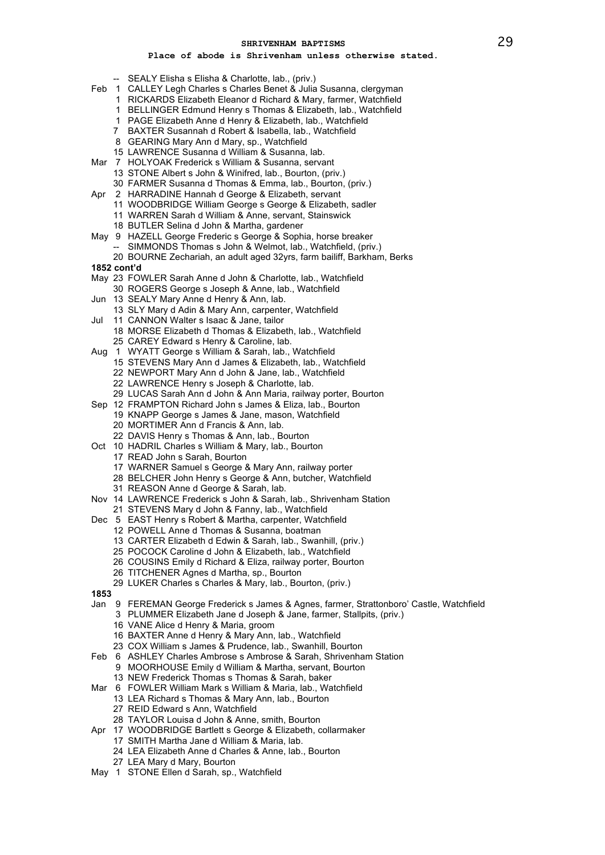- -- SEALY Elisha s Elisha & Charlotte, lab., (priv.)
- Feb 1 CALLEY Legh Charles s Charles Benet & Julia Susanna, clergyman
	- RICKARDS Elizabeth Eleanor d Richard & Mary, farmer, Watchfield
	- BELLINGER Edmund Henry s Thomas & Elizabeth, lab., Watchfield
	- PAGE Elizabeth Anne d Henry & Elizabeth, lab., Watchfield
	- BAXTER Susannah d Robert & Isabella, lab., Watchfield
	- GEARING Mary Ann d Mary, sp., Watchfield
	- LAWRENCE Susanna d William & Susanna, lab.
- Mar 7 HOLYOAK Frederick s William & Susanna, servant
	- STONE Albert s John & Winifred, lab., Bourton, (priv.)
	- FARMER Susanna d Thomas & Emma, lab., Bourton, (priv.)
- Apr 2 HARRADINE Hannah d George & Elizabeth, servant
	- WOODBRIDGE William George s George & Elizabeth, sadler
	- WARREN Sarah d William & Anne, servant, Stainswick
	- BUTLER Selina d John & Martha, gardener
- May 9 HAZELL George Frederic s George & Sophia, horse breaker
	- -- SIMMONDS Thomas s John & Welmot, lab., Watchfield, (priv.)
- BOURNE Zechariah, an adult aged 32yrs, farm bailiff, Barkham, Berks **1852 cont'd**
- 
- May 23 FOWLER Sarah Anne d John & Charlotte, lab., Watchfield
- ROGERS George s Joseph & Anne, lab., Watchfield
- Jun 13 SEALY Mary Anne d Henry & Ann, lab.
- SLY Mary d Adin & Mary Ann, carpenter, Watchfield Jul 11 CANNON Walter s Isaac & Jane, tailor
- MORSE Elizabeth d Thomas & Elizabeth, lab., Watchfield CAREY Edward s Henry & Caroline, lab.
- Aug 1 WYATT George s William & Sarah, lab., Watchfield
	- STEVENS Mary Ann d James & Elizabeth, lab., Watchfield
		- NEWPORT Mary Ann d John & Jane, lab., Watchfield
		- LAWRENCE Henry s Joseph & Charlotte, lab.
	- LUCAS Sarah Ann d John & Ann Maria, railway porter, Bourton
- Sep 12 FRAMPTON Richard John s James & Eliza, lab., Bourton KNAPP George s James & Jane, mason, Watchfield
	- MORTIMER Ann d Francis & Ann, lab.
	- DAVIS Henry s Thomas & Ann, lab., Bourton
- Oct 10 HADRIL Charles s William & Mary, lab., Bourton
	- READ John s Sarah, Bourton
	- WARNER Samuel s George & Mary Ann, railway porter
	- BELCHER John Henry s George & Ann, butcher, Watchfield
	- REASON Anne d George & Sarah, lab.
- Nov 14 LAWRENCE Frederick s John & Sarah, lab., Shrivenham Station
	- STEVENS Mary d John & Fanny, lab., Watchfield
- Dec 5 EAST Henry s Robert & Martha, carpenter, Watchfield
	- POWELL Anne d Thomas & Susanna, boatman
	- CARTER Elizabeth d Edwin & Sarah, lab., Swanhill, (priv.)
	- POCOCK Caroline d John & Elizabeth, lab., Watchfield
	- COUSINS Emily d Richard & Eliza, railway porter, Bourton
	- TITCHENER Agnes d Martha, sp., Bourton
	- LUKER Charles s Charles & Mary, lab., Bourton, (priv.)
- 
- Jan 9 FEREMAN George Frederick s James & Agnes, farmer, Strattonboro' Castle, Watchfield PLUMMER Elizabeth Jane d Joseph & Jane, farmer, Stallpits, (priv.)
	- VANE Alice d Henry & Maria, groom
	- BAXTER Anne d Henry & Mary Ann, lab., Watchfield
	- COX William s James & Prudence, lab., Swanhill, Bourton
- Feb 6 ASHLEY Charles Ambrose s Ambrose & Sarah, Shrivenham Station
	- MOORHOUSE Emily d William & Martha, servant, Bourton
	- NEW Frederick Thomas s Thomas & Sarah, baker
- Mar 6 FOWLER William Mark s William & Maria, lab., Watchfield
	- LEA Richard s Thomas & Mary Ann, lab., Bourton
		- REID Edward s Ann, Watchfield
		- TAYLOR Louisa d John & Anne, smith, Bourton
- Apr 17 WOODBRIDGE Bartlett s George & Elizabeth, collarmaker
	- SMITH Martha Jane d William & Maria, lab.
	- LEA Elizabeth Anne d Charles & Anne, lab., Bourton
	- LEA Mary d Mary, Bourton
- May 1 STONE Ellen d Sarah, sp., Watchfield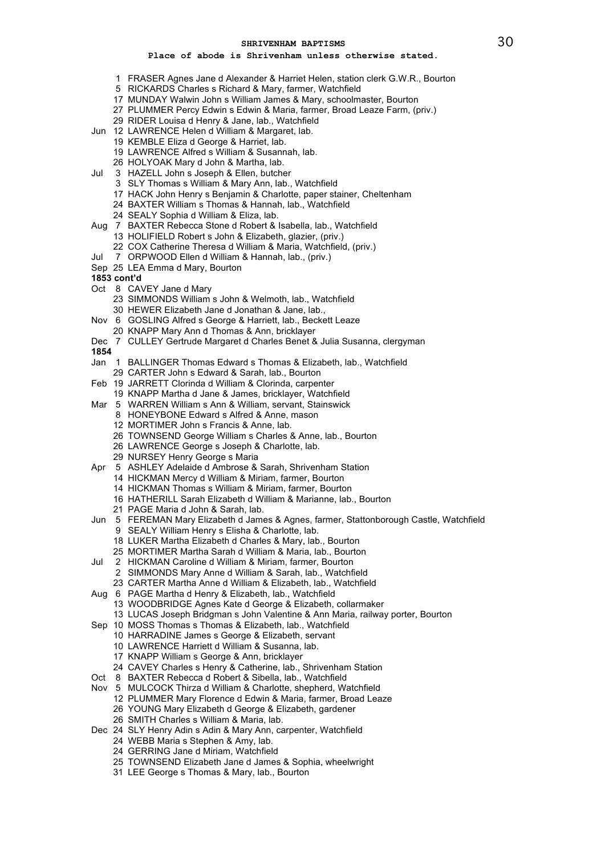- FRASER Agnes Jane d Alexander & Harriet Helen, station clerk G.W.R., Bourton
- RICKARDS Charles s Richard & Mary, farmer, Watchfield
- MUNDAY Walwin John s William James & Mary, schoolmaster, Bourton
- PLUMMER Percy Edwin s Edwin & Maria, farmer, Broad Leaze Farm, (priv.)
- RIDER Louisa d Henry & Jane, lab., Watchfield
- Jun 12 LAWRENCE Helen d William & Margaret, lab.
	- KEMBLE Eliza d George & Harriet, lab.
	- LAWRENCE Alfred s William & Susannah, lab.
	- HOLYOAK Mary d John & Martha, lab.
- Jul 3 HAZELL John s Joseph & Ellen, butcher
	- SLY Thomas s William & Mary Ann, lab., Watchfield
	- HACK John Henry s Benjamin & Charlotte, paper stainer, Cheltenham
	- BAXTER William s Thomas & Hannah, lab., Watchfield
	- SEALY Sophia d William & Eliza, lab.
- Aug 7 BAXTER Rebecca Stone d Robert & Isabella, lab., Watchfield HOLIFIELD Robert s John & Elizabeth, glazier, (priv.)
	- COX Catherine Theresa d William & Maria, Watchfield, (priv.)
- Jul 7 ORPWOOD Ellen d William & Hannah, lab., (priv.)
- Sep 25 LEA Emma d Mary, Bourton
- **1853 cont'd**
- Oct 8 CAVEY Jane d Mary
	- SIMMONDS William s John & Welmoth, lab., Watchfield HEWER Elizabeth Jane d Jonathan & Jane, lab.,
- Nov 6 GOSLING Alfred s George & Harriett, lab., Beckett Leaze
	- KNAPP Mary Ann d Thomas & Ann, bricklayer
- Dec 7 CULLEY Gertrude Margaret d Charles Benet & Julia Susanna, clergyman
- 
- Jan 1 BALLINGER Thomas Edward s Thomas & Elizabeth, lab., Watchfield
- CARTER John s Edward & Sarah, lab., Bourton
- Feb 19 JARRETT Clorinda d William & Clorinda, carpenter
	- KNAPP Martha d Jane & James, bricklayer, Watchfield
- Mar 5 WARREN William s Ann & William, servant, Stainswick
	- HONEYBONE Edward s Alfred & Anne, mason
		- MORTIMER John s Francis & Anne, lab.
		- TOWNSEND George William s Charles & Anne, lab., Bourton
	- LAWRENCE George s Joseph & Charlotte, lab.
	- NURSEY Henry George s Maria
- Apr 5 ASHLEY Adelaide d Ambrose & Sarah, Shrivenham Station
	- HICKMAN Mercy d William & Miriam, farmer, Bourton
	- HICKMAN Thomas s William & Miriam, farmer, Bourton
	- HATHERILL Sarah Elizabeth d William & Marianne, lab., Bourton
	- PAGE Maria d John & Sarah, lab.
- Jun 5 FEREMAN Mary Elizabeth d James & Agnes, farmer, Stattonborough Castle, Watchfield SEALY William Henry s Elisha & Charlotte, lab.
	-
	- LUKER Martha Elizabeth d Charles & Mary, lab., Bourton
	- MORTIMER Martha Sarah d William & Maria, lab., Bourton
- Jul 2 HICKMAN Caroline d William & Miriam, farmer, Bourton
	- SIMMONDS Mary Anne d William & Sarah, lab., Watchfield
	- CARTER Martha Anne d William & Elizabeth, lab., Watchfield
- Aug 6 PAGE Martha d Henry & Elizabeth, lab., Watchfield
	- WOODBRIDGE Agnes Kate d George & Elizabeth, collarmaker
	- LUCAS Joseph Bridgman s John Valentine & Ann Maria, railway porter, Bourton
- Sep 10 MOSS Thomas s Thomas & Elizabeth, lab., Watchfield
	- HARRADINE James s George & Elizabeth, servant
		- LAWRENCE Harriett d William & Susanna, lab.
		- KNAPP William s George & Ann, bricklayer
		- CAVEY Charles s Henry & Catherine, lab., Shrivenham Station
- Oct 8 BAXTER Rebecca d Robert & Sibella, lab., Watchfield
- Nov 5 MULCOCK Thirza d William & Charlotte, shepherd, Watchfield
	- PLUMMER Mary Florence d Edwin & Maria, farmer, Broad Leaze
	- YOUNG Mary Elizabeth d George & Elizabeth, gardener
	- SMITH Charles s William & Maria, lab.
- Dec 24 SLY Henry Adin s Adin & Mary Ann, carpenter, Watchfield
	- WEBB Maria s Stephen & Amy, lab.
	- GERRING Jane d Miriam, Watchfield
	- TOWNSEND Elizabeth Jane d James & Sophia, wheelwright
	- LEE George s Thomas & Mary, lab., Bourton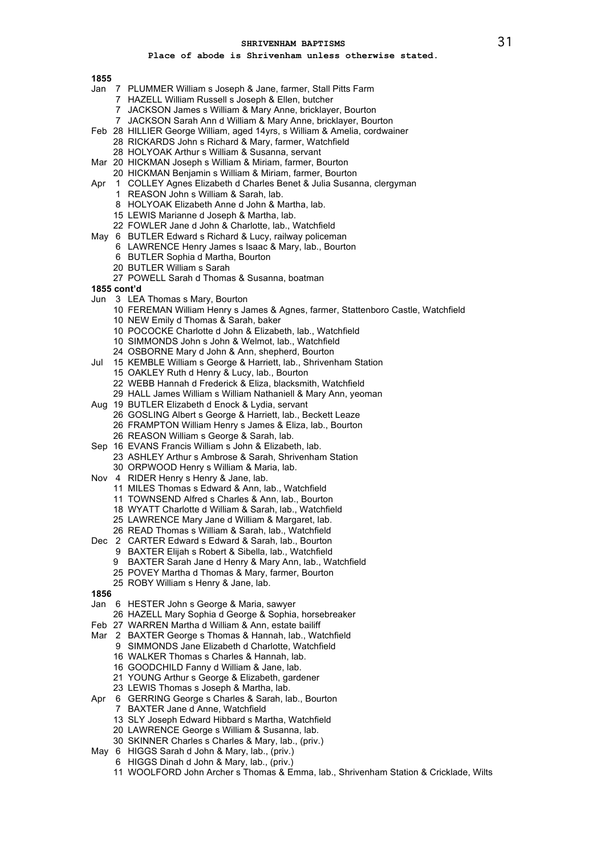# **Place of abode is Shrivenham unless otherwise stated.**

- Jan 7 PLUMMER William s Joseph & Jane, farmer, Stall Pitts Farm
	- HAZELL William Russell s Joseph & Ellen, butcher
	- JACKSON James s William & Mary Anne, bricklayer, Bourton
	- JACKSON Sarah Ann d William & Mary Anne, bricklayer, Bourton
- Feb 28 HILLIER George William, aged 14yrs, s William & Amelia, cordwainer
	- RICKARDS John s Richard & Mary, farmer, Watchfield
	- HOLYOAK Arthur s William & Susanna, servant
- Mar 20 HICKMAN Joseph s William & Miriam, farmer, Bourton
- HICKMAN Benjamin s William & Miriam, farmer, Bourton
- Apr 1 COLLEY Agnes Elizabeth d Charles Benet & Julia Susanna, clergyman
	- REASON John s William & Sarah, lab.
	- HOLYOAK Elizabeth Anne d John & Martha, lab.
	- LEWIS Marianne d Joseph & Martha, lab.
	- FOWLER Jane d John & Charlotte, lab., Watchfield
- May 6 BUTLER Edward s Richard & Lucy, railway policeman
	- LAWRENCE Henry James s Isaac & Mary, lab., Bourton
		- BUTLER Sophia d Martha, Bourton
		- BUTLER William s Sarah
	- POWELL Sarah d Thomas & Susanna, boatman
- **1855 cont'd**
- Jun 3 LEA Thomas s Mary, Bourton
	- FEREMAN William Henry s James & Agnes, farmer, Stattenboro Castle, Watchfield NEW Emily d Thomas & Sarah, baker
	- POCOCKE Charlotte d John & Elizabeth, lab., Watchfield
	- SIMMONDS John s John & Welmot, lab., Watchfield
	- OSBORNE Mary d John & Ann, shepherd, Bourton
- Jul 15 KEMBLE William s George & Harriett, lab., Shrivenham Station
	- OAKLEY Ruth d Henry & Lucy, lab., Bourton
	- WEBB Hannah d Frederick & Eliza, blacksmith, Watchfield
	- HALL James William s William Nathaniell & Mary Ann, yeoman
- Aug 19 BUTLER Elizabeth d Enock & Lydia, servant
	- GOSLING Albert s George & Harriett, lab., Beckett Leaze FRAMPTON William Henry s James & Eliza, lab., Bourton
		- REASON William s George & Sarah, lab.
- Sep 16 EVANS Francis William s John & Elizabeth, lab.
- ASHLEY Arthur s Ambrose & Sarah, Shrivenham Station ORPWOOD Henry s William & Maria, lab.
- Nov 4 RIDER Henry s Henry & Jane, lab.
	- MILES Thomas s Edward & Ann, lab., Watchfield
	- TOWNSEND Alfred s Charles & Ann, lab., Bourton
	- WYATT Charlotte d William & Sarah, lab., Watchfield
	- LAWRENCE Mary Jane d William & Margaret, lab.
	- READ Thomas s William & Sarah, lab., Watchfield
- Dec 2 CARTER Edward s Edward & Sarah, lab., Bourton
- BAXTER Elijah s Robert & Sibella, lab., Watchfield
	-
	- BAXTER Sarah Jane d Henry & Mary Ann, lab., Watchfield POVEY Martha d Thomas & Mary, farmer, Bourton
	- ROBY William s Henry & Jane, lab.
- 
- Jan 6 HESTER John s George & Maria, sawyer
	- HAZELL Mary Sophia d George & Sophia, horsebreaker
- Feb 27 WARREN Martha d William & Ann, estate bailiff
- Mar 2 BAXTER George s Thomas & Hannah, lab., Watchfield
	- SIMMONDS Jane Elizabeth d Charlotte, Watchfield
		- WALKER Thomas s Charles & Hannah, lab.
		- GOODCHILD Fanny d William & Jane, lab.
		- YOUNG Arthur s George & Elizabeth, gardener
		- LEWIS Thomas s Joseph & Martha, lab.
- Apr 6 GERRING George s Charles & Sarah, lab., Bourton
	- BAXTER Jane d Anne, Watchfield
	- SLY Joseph Edward Hibbard s Martha, Watchfield
	- LAWRENCE George s William & Susanna, lab.
	- SKINNER Charles s Charles & Mary, lab., (priv.)
- May 6 HIGGS Sarah d John & Mary, lab., (priv.)
	- HIGGS Dinah d John & Mary, lab., (priv.)
	- WOOLFORD John Archer s Thomas & Emma, lab., Shrivenham Station & Cricklade, Wilts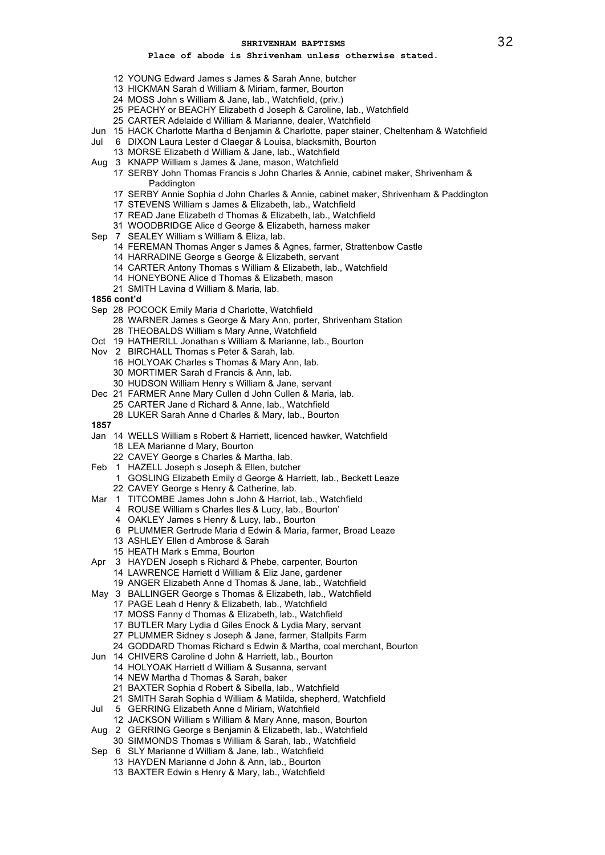- YOUNG Edward James s James & Sarah Anne, butcher
- HICKMAN Sarah d William & Miriam, farmer, Bourton
- MOSS John s William & Jane, lab., Watchfield, (priv.)
- PEACHY or BEACHY Elizabeth d Joseph & Caroline, lab., Watchfield
- CARTER Adelaide d William & Marianne, dealer, Watchfield
- Jun 15 HACK Charlotte Martha d Benjamin & Charlotte, paper stainer, Cheltenham & Watchfield
- Jul 6 DIXON Laura Lester d Claegar & Louisa, blacksmith, Bourton
- MORSE Elizabeth d William & Jane, lab., Watchfield
- Aug 3 KNAPP William s James & Jane, mason, Watchfield
	- SERBY John Thomas Francis s John Charles & Annie, cabinet maker, Shrivenham & **Paddington**
	- SERBY Annie Sophia d John Charles & Annie, cabinet maker, Shrivenham & Paddington
	- STEVENS William s James & Elizabeth, lab., Watchfield
	- READ Jane Elizabeth d Thomas & Elizabeth, lab., Watchfield
	- WOODBRIDGE Alice d George & Elizabeth, harness maker
- Sep 7 SEALEY William s William & Eliza, lab.
	- FEREMAN Thomas Anger s James & Agnes, farmer, Strattenbow Castle
	- HARRADINE George s George & Elizabeth, servant
	- CARTER Antony Thomas s William & Elizabeth, lab., Watchfield
	- HONEYBONE Alice d Thomas & Elizabeth, mason
	- SMITH Lavina d William & Maria, lab.
- **1856 cont'd**
- Sep 28 POCOCK Emily Maria d Charlotte, Watchfield
	- WARNER James s George & Mary Ann, porter, Shrivenham Station
	- THEOBALDS William s Mary Anne, Watchfield
- Oct 19 HATHERILL Jonathan s William & Marianne, lab., Bourton
- Nov 2 BIRCHALL Thomas s Peter & Sarah, lab.
	- HOLYOAK Charles s Thomas & Mary Ann, lab.
	- MORTIMER Sarah d Francis & Ann, lab.
	- HUDSON William Henry s William & Jane, servant
- Dec 21 FARMER Anne Mary Cullen d John Cullen & Maria, lab. CARTER Jane d Richard & Anne, lab., Watchfield
	- LUKER Sarah Anne d Charles & Mary, lab., Bourton
- 
- Jan 14 WELLS William s Robert & Harriett, licenced hawker, Watchfield
	- LEA Marianne d Mary, Bourton
	- CAVEY George s Charles & Martha, lab.
- Feb 1 HAZELL Joseph s Joseph & Ellen, butcher
	- GOSLING Elizabeth Emily d George & Harriett, lab., Beckett Leaze
	- CAVEY George s Henry & Catherine, lab.
- Mar 1 TITCOMBE James John s John & Harriot, lab., Watchfield
	- ROUSE William s Charles Iles & Lucy, lab., Bourton'
	- OAKLEY James s Henry & Lucy, lab., Bourton
	- PLUMMER Gertrude Maria d Edwin & Maria, farmer, Broad Leaze
		- ASHLEY Ellen d Ambrose & Sarah
		- HEATH Mark s Emma, Bourton
- Apr 3 HAYDEN Joseph s Richard & Phebe, carpenter, Bourton
	- LAWRENCE Harriett d William & Eliz Jane, gardener
	- ANGER Elizabeth Anne d Thomas & Jane, lab., Watchfield
- May 3 BALLINGER George s Thomas & Elizabeth, lab., Watchfield
	- PAGE Leah d Henry & Elizabeth, lab., Watchfield
	- MOSS Fanny d Thomas & Elizabeth, lab., Watchfield
	- BUTLER Mary Lydia d Giles Enock & Lydia Mary, servant
	- PLUMMER Sidney s Joseph & Jane, farmer, Stallpits Farm
	- GODDARD Thomas Richard s Edwin & Martha, coal merchant, Bourton
- Jun 14 CHIVERS Caroline d John & Harriett, lab., Bourton
	- HOLYOAK Harriett d William & Susanna, servant
		- NEW Martha d Thomas & Sarah, baker
	- BAXTER Sophia d Robert & Sibella, lab., Watchfield
	- SMITH Sarah Sophia d William & Matilda, shepherd, Watchfield
- Jul 5 GERRING Elizabeth Anne d Miriam, Watchfield
	- JACKSON William s William & Mary Anne, mason, Bourton
- Aug 2 GERRING George s Benjamin & Elizabeth, lab., Watchfield
- SIMMONDS Thomas s William & Sarah, lab., Watchfield
- Sep 6 SLY Marianne d William & Jane, lab., Watchfield
	- HAYDEN Marianne d John & Ann, lab., Bourton
	- BAXTER Edwin s Henry & Mary, lab., Watchfield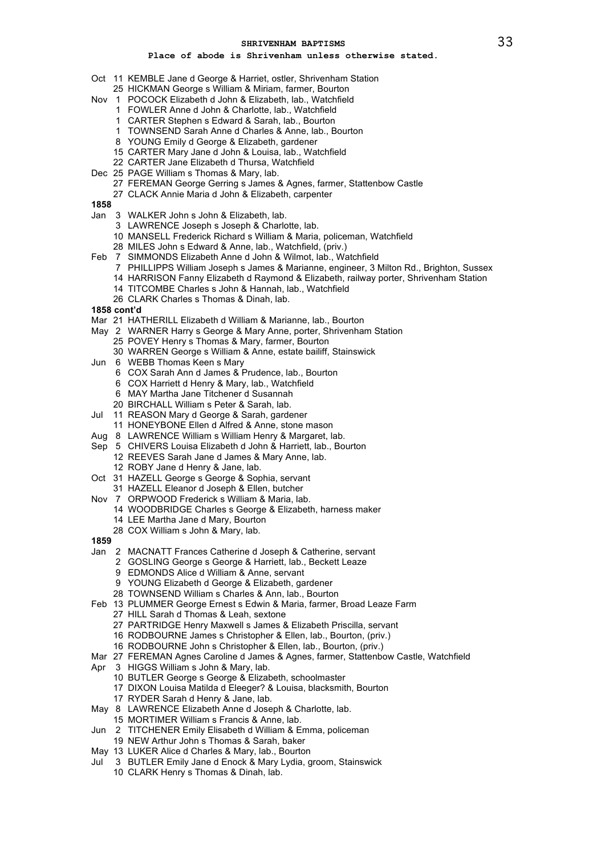- Oct 11 KEMBLE Jane d George & Harriet, ostler, Shrivenham Station
	- HICKMAN George s William & Miriam, farmer, Bourton
- Nov 1 POCOCK Elizabeth d John & Elizabeth, lab., Watchfield
	- FOWLER Anne d John & Charlotte, lab., Watchfield
	- CARTER Stephen s Edward & Sarah, lab., Bourton
	- TOWNSEND Sarah Anne d Charles & Anne, lab., Bourton
	- YOUNG Emily d George & Elizabeth, gardener
	- CARTER Mary Jane d John & Louisa, lab., Watchfield
	- CARTER Jane Elizabeth d Thursa, Watchfield
- Dec 25 PAGE William s Thomas & Mary, lab.
	- FEREMAN George Gerring s James & Agnes, farmer, Stattenbow Castle
	- CLACK Annie Maria d John & Elizabeth, carpenter
- 
- Jan 3 WALKER John s John & Elizabeth, lab.
	- LAWRENCE Joseph s Joseph & Charlotte, lab.
	- MANSELL Frederick Richard s William & Maria, policeman, Watchfield
	- MILES John s Edward & Anne, lab., Watchfield, (priv.)
- Feb 7 SIMMONDS Elizabeth Anne d John & Wilmot, lab., Watchfield
	- PHILLIPPS William Joseph s James & Marianne, engineer, 3 Milton Rd., Brighton, Sussex
	- HARRISON Fanny Elizabeth d Raymond & Elizabeth, railway porter, Shrivenham Station
	- TITCOMBE Charles s John & Hannah, lab., Watchfield
	- CLARK Charles s Thomas & Dinah, lab.
- **1858 cont'd**
- Mar 21 HATHERILL Elizabeth d William & Marianne, lab., Bourton
- May 2 WARNER Harry s George & Mary Anne, porter, Shrivenham Station POVEY Henry s Thomas & Mary, farmer, Bourton
	- WARREN George s William & Anne, estate bailiff, Stainswick
- Jun 6 WEBB Thomas Keen s Mary
	- COX Sarah Ann d James & Prudence, lab., Bourton
	- COX Harriett d Henry & Mary, lab., Watchfield
	- MAY Martha Jane Titchener d Susannah
	- BIRCHALL William s Peter & Sarah, lab.
- Jul 11 REASON Mary d George & Sarah, gardener
	- HONEYBONE Ellen d Alfred & Anne, stone mason
- Aug 8 LAWRENCE William s William Henry & Margaret, lab.
- Sep 5 CHIVERS Louisa Elizabeth d John & Harriett, lab., Bourton REEVES Sarah Jane d James & Mary Anne, lab.
	- ROBY Jane d Henry & Jane, lab.
- Oct 31 HAZELL George s George & Sophia, servant
	- HAZELL Eleanor d Joseph & Ellen, butcher
- Nov 7 ORPWOOD Frederick s William & Maria, lab.
	- WOODBRIDGE Charles s George & Elizabeth, harness maker
		- LEE Martha Jane d Mary, Bourton
	- COX William s John & Mary, lab.
- 
- Jan 2 MACNATT Frances Catherine d Joseph & Catherine, servant
	- GOSLING George s George & Harriett, lab., Beckett Leaze
		- EDMONDS Alice d William & Anne, servant
		- YOUNG Elizabeth d George & Elizabeth, gardener
	- TOWNSEND William s Charles & Ann, lab., Bourton
- Feb 13 PLUMMER George Ernest s Edwin & Maria, farmer, Broad Leaze Farm
	- HILL Sarah d Thomas & Leah, sextone
	- PARTRIDGE Henry Maxwell s James & Elizabeth Priscilla, servant
	- RODBOURNE James s Christopher & Ellen, lab., Bourton, (priv.)
	- RODBOURNE John s Christopher & Ellen, lab., Bourton, (priv.)
- Mar 27 FEREMAN Agnes Caroline d James & Agnes, farmer, Stattenbow Castle, Watchfield
- Apr 3 HIGGS William s John & Mary, lab.
	- BUTLER George s George & Elizabeth, schoolmaster
	- DIXON Louisa Matilda d Eleeger? & Louisa, blacksmith, Bourton
	- RYDER Sarah d Henry & Jane, lab.
- May 8 LAWRENCE Elizabeth Anne d Joseph & Charlotte, lab.
- MORTIMER William s Francis & Anne, lab.
- Jun 2 TITCHENER Emily Elisabeth d William & Emma, policeman
- NEW Arthur John s Thomas & Sarah, baker
- May 13 LUKER Alice d Charles & Mary, lab., Bourton
- Jul 3 BUTLER Emily Jane d Enock & Mary Lydia, groom, Stainswick
	- CLARK Henry s Thomas & Dinah, lab.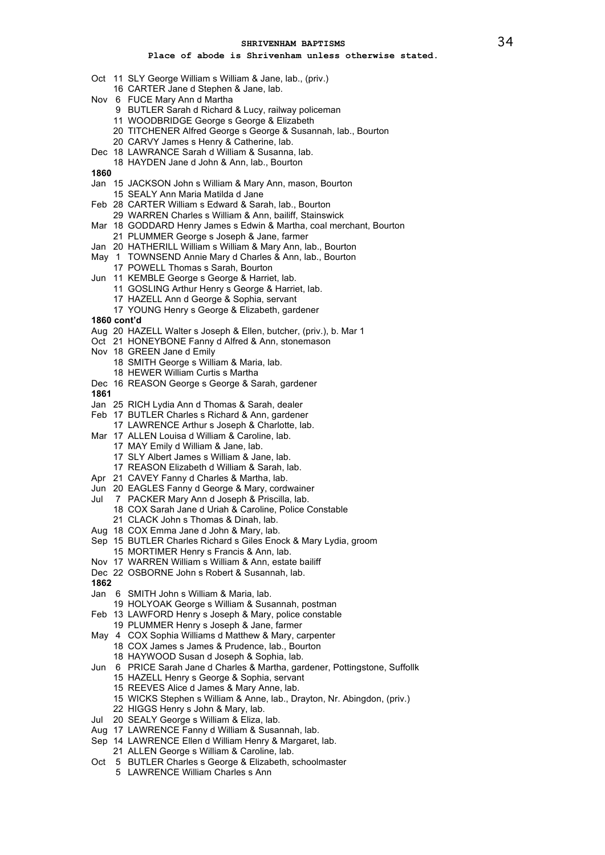- Oct 11 SLY George William s William & Jane, lab., (priv.)
- 16 CARTER Jane d Stephen & Jane, lab.
- Nov 6 FUCE Mary Ann d Martha
	- 9 BUTLER Sarah d Richard & Lucy, railway policeman
	- 11 WOODBRIDGE George s George & Elizabeth
	- 20 TITCHENER Alfred George s George & Susannah, lab., Bourton
	- 20 CARVY James s Henry & Catherine, lab.
- Dec 18 LAWRANCE Sarah d William & Susanna, lab.
- 18 HAYDEN Jane d John & Ann, lab., Bourton
- **1860**
- Jan 15 JACKSON John s William & Mary Ann, mason, Bourton
	- 15 SEALY Ann Maria Matilda d Jane
- Feb 28 CARTER William s Edward & Sarah, lab., Bourton
- 29 WARREN Charles s William & Ann, bailiff, Stainswick
- Mar 18 GODDARD Henry James s Edwin & Martha, coal merchant, Bourton
- 21 PLUMMER George s Joseph & Jane, farmer
- Jan 20 HATHERILL William s William & Mary Ann, lab., Bourton
- May 1 TOWNSEND Annie Mary d Charles & Ann, lab., Bourton
- 17 POWELL Thomas s Sarah, Bourton
- Jun 11 KEMBLE George s George & Harriet, lab.
	- 11 GOSLING Arthur Henry s George & Harriet, lab.
	- 17 HAZELL Ann d George & Sophia, servant
	- 17 YOUNG Henry s George & Elizabeth, gardener
- **1860 cont'd**
- Aug 20 HAZELL Walter s Joseph & Ellen, butcher, (priv.), b. Mar 1
- Oct 21 HONEYBONE Fanny d Alfred & Ann, stonemason
- Nov 18 GREEN Jane d Emily
	- 18 SMITH George s William & Maria, lab.
	- 18 HEWER William Curtis s Martha
- Dec 16 REASON George s George & Sarah, gardener
- **1861**
- Jan 25 RICH Lydia Ann d Thomas & Sarah, dealer
- Feb 17 BUTLER Charles s Richard & Ann, gardener 17 LAWRENCE Arthur s Joseph & Charlotte, lab.
	-
- Mar 17 ALLEN Louisa d William & Caroline, lab.
	- 17 MAY Emily d William & Jane, lab.
	- 17 SLY Albert James s William & Jane, lab.
	- 17 REASON Elizabeth d William & Sarah, lab.
- Apr 21 CAVEY Fanny d Charles & Martha, lab.
- Jun 20 EAGLES Fanny d George & Mary, cordwainer
- Jul 7 PACKER Mary Ann d Joseph & Priscilla, lab.
- 18 COX Sarah Jane d Uriah & Caroline, Police Constable 21 CLACK John s Thomas & Dinah, lab.
- Aug 18 COX Emma Jane d John & Mary, lab.
- Sep 15 BUTLER Charles Richard s Giles Enock & Mary Lydia, groom
- 15 MORTIMER Henry s Francis & Ann, lab.
- Nov 17 WARREN William s William & Ann, estate bailiff
- Dec 22 OSBORNE John s Robert & Susannah, lab.
- **1862**
- Jan 6 SMITH John s William & Maria, lab.
- 19 HOLYOAK George s William & Susannah, postman
- Feb 13 LAWFORD Henry s Joseph & Mary, police constable
- 19 PLUMMER Henry s Joseph & Jane, farmer
- May 4 COX Sophia Williams d Matthew & Mary, carpenter 18 COX James s James & Prudence, lab., Bourton 18 HAYWOOD Susan d Joseph & Sophia, lab.
- Jun 6 PRICE Sarah Jane d Charles & Martha, gardener, Pottingstone, Suffollk
	- 15 HAZELL Henry s George & Sophia, servant
	- 15 REEVES Alice d James & Mary Anne, lab.
	- 15 WICKS Stephen s William & Anne, lab., Drayton, Nr. Abingdon, (priv.)
	- 22 HIGGS Henry s John & Mary, lab.
- Jul 20 SEALY George s William & Eliza, lab.
- Aug 17 LAWRENCE Fanny d William & Susannah, lab.
- Sep 14 LAWRENCE Ellen d William Henry & Margaret, lab.
- 21 ALLEN George s William & Caroline, lab.
- Oct 5 BUTLER Charles s George & Elizabeth, schoolmaster
	- 5 LAWRENCE William Charles s Ann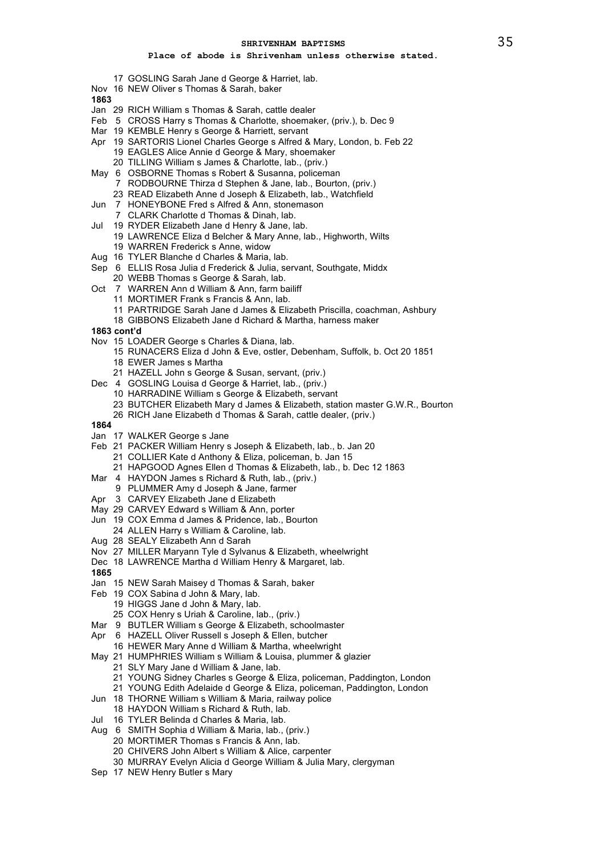- 17 GOSLING Sarah Jane d George & Harriet, lab.
- Nov 16 NEW Oliver s Thomas & Sarah, baker

- Jan 29 RICH William s Thomas & Sarah, cattle dealer
- Feb 5 CROSS Harry s Thomas & Charlotte, shoemaker, (priv.), b. Dec 9
- Mar 19 KEMBLE Henry s George & Harriett, servant
- Apr 19 SARTORIS Lionel Charles George s Alfred & Mary, London, b. Feb 22 19 EAGLES Alice Annie d George & Mary, shoemaker 20 TILLING William s James & Charlotte, lab., (priv.)
- May 6 OSBORNE Thomas s Robert & Susanna, policeman 7 RODBOURNE Thirza d Stephen & Jane, lab., Bourton, (priv.)
	- 23 READ Elizabeth Anne d Joseph & Elizabeth, lab., Watchfield
- Jun 7 HONEYBONE Fred s Alfred & Ann, stonemason
	- 7 CLARK Charlotte d Thomas & Dinah, lab.
- Jul 19 RYDER Elizabeth Jane d Henry & Jane, lab. 19 LAWRENCE Eliza d Belcher & Mary Anne, lab., Highworth, Wilts 19 WARREN Frederick s Anne, widow
- Aug 16 TYLER Blanche d Charles & Maria, lab.
- Sep 6 ELLIS Rosa Julia d Frederick & Julia, servant, Southgate, Middx
- 20 WEBB Thomas s George & Sarah, lab.
- Oct 7 WARREN Ann d William & Ann, farm bailiff
	- 11 MORTIMER Frank s Francis & Ann, lab.
	- 11 PARTRIDGE Sarah Jane d James & Elizabeth Priscilla, coachman, Ashbury
	- 18 GIBBONS Elizabeth Jane d Richard & Martha, harness maker
- **1863 cont'd**
- Nov 15 LOADER George s Charles & Diana, lab.
	- 15 RUNACERS Eliza d John & Eve, ostler, Debenham, Suffolk, b. Oct 20 1851 18 EWER James s Martha
		-
- 21 HAZELL John s George & Susan, servant, (priv.)
- Dec 4 GOSLING Louisa d George & Harriet, lab., (priv.)
	- 10 HARRADINE William s George & Elizabeth, servant
	- 23 BUTCHER Elizabeth Mary d James & Elizabeth, station master G.W.R., Bourton
	- 26 RICH Jane Elizabeth d Thomas & Sarah, cattle dealer, (priv.)
- **1864**
- Jan 17 WALKER George s Jane
- Feb 21 PACKER William Henry s Joseph & Elizabeth, lab., b. Jan 20
- 21 COLLIER Kate d Anthony & Eliza, policeman, b. Jan 15
	- 21 HAPGOOD Agnes Ellen d Thomas & Elizabeth, lab., b. Dec 12 1863
- Mar 4 HAYDON James s Richard & Ruth, lab., (priv.)
	- 9 PLUMMER Amy d Joseph & Jane, farmer
- Apr 3 CARVEY Elizabeth Jane d Elizabeth
- May 29 CARVEY Edward s William & Ann, porter
- Jun 19 COX Emma d James & Pridence, lab., Bourton 24 ALLEN Harry s William & Caroline, lab.
- 
- Aug 28 SEALY Elizabeth Ann d Sarah
- Nov 27 MILLER Maryann Tyle d Sylvanus & Elizabeth, wheelwright
- Dec 18 LAWRENCE Martha d William Henry & Margaret, lab.
- **1865**
- Jan 15 NEW Sarah Maisey d Thomas & Sarah, baker
- Feb 19 COX Sabina d John & Mary, lab.
	- 19 HIGGS Jane d John & Mary, lab.
	- 25 COX Henry s Uriah & Caroline, lab., (priv.)
- Mar 9 BUTLER William s George & Elizabeth, schoolmaster
- Apr 6 HAZELL Oliver Russell s Joseph & Ellen, butcher
- 16 HEWER Mary Anne d William & Martha, wheelwright
- May 21 HUMPHRIES William s William & Louisa, plummer & glazier
	- 21 SLY Mary Jane d William & Jane, lab.
	- 21 YOUNG Sidney Charles s George & Eliza, policeman, Paddington, London
	- 21 YOUNG Edith Adelaide d George & Eliza, policeman, Paddington, London
- Jun 18 THORNE William s William & Maria, railway police
- 18 HAYDON William s Richard & Ruth, lab.
- Jul 16 TYLER Belinda d Charles & Maria, lab.
- Aug 6 SMITH Sophia d William & Maria, lab., (priv.)
- 20 MORTIMER Thomas s Francis & Ann, lab.
	- 20 CHIVERS John Albert s William & Alice, carpenter
	- 30 MURRAY Evelyn Alicia d George William & Julia Mary, clergyman
- Sep 17 NEW Henry Butler s Mary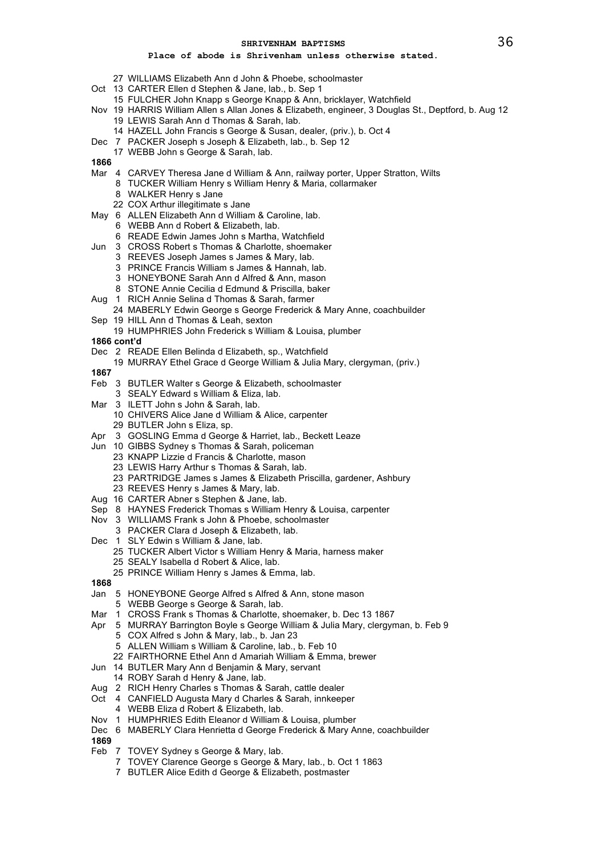- 27 WILLIAMS Elizabeth Ann d John & Phoebe, schoolmaster
- Oct 13 CARTER Ellen d Stephen & Jane, lab., b. Sep 1
	- 15 FULCHER John Knapp s George Knapp & Ann, bricklayer, Watchfield
- Nov 19 HARRIS William Allen s Allan Jones & Elizabeth, engineer, 3 Douglas St., Deptford, b. Aug 12 19 LEWIS Sarah Ann d Thomas & Sarah, lab.
	- 14 HAZELL John Francis s George & Susan, dealer, (priv.), b. Oct 4
- Dec 7 PACKER Joseph s Joseph & Elizabeth, lab., b. Sep 12
	- 17 WEBB John s George & Sarah, lab.
- **1866**
- Mar 4 CARVEY Theresa Jane d William & Ann, railway porter, Upper Stratton, Wilts
	- 8 TUCKER William Henry s William Henry & Maria, collarmaker
	- 8 WALKER Henry s Jane
	- 22 COX Arthur illegitimate s Jane
- May 6 ALLEN Elizabeth Ann d William & Caroline, lab. 6 WEBB Ann d Robert & Elizabeth, lab.
	- 6 READE Edwin James John s Martha, Watchfield
- Jun 3 CROSS Robert s Thomas & Charlotte, shoemaker
	- 3 REEVES Joseph James s James & Mary, lab.
	- 3 PRINCE Francis William s James & Hannah, lab.
	- 3 HONEYBONE Sarah Ann d Alfred & Ann, mason
	- 8 STONE Annie Cecilia d Edmund & Priscilla, baker
- Aug 1 RICH Annie Selina d Thomas & Sarah, farmer
- 24 MABERLY Edwin George s George Frederick & Mary Anne, coachbuilder Sep 19 HILL Ann d Thomas & Leah, sexton
- 
- 19 HUMPHRIES John Frederick s William & Louisa, plumber
- **1866 cont'd**
- Dec 2 READE Ellen Belinda d Elizabeth, sp., Watchfield
	- 19 MURRAY Ethel Grace d George William & Julia Mary, clergyman, (priv.)
- **1867**
- Feb 3 BUTLER Walter s George & Elizabeth, schoolmaster
- 3 SEALY Edward s William & Eliza, lab.
- Mar 3 ILETT John s John & Sarah, lab.
	- 10 CHIVERS Alice Jane d William & Alice, carpenter 29 BUTLER John s Eliza, sp.
- Apr 3 GOSLING Emma d George & Harriet, lab., Beckett Leaze
- Jun 10 GIBBS Sydney s Thomas & Sarah, policeman
	- 23 KNAPP Lizzie d Francis & Charlotte, mason
	- 23 LEWIS Harry Arthur s Thomas & Sarah, lab.
	- 23 PARTRIDGE James s James & Elizabeth Priscilla, gardener, Ashbury
	- 23 REEVES Henry s James & Mary, lab.
- Aug 16 CARTER Abner s Stephen & Jane, lab.
- Sep 8 HAYNES Frederick Thomas s William Henry & Louisa, carpenter
- Nov 3 WILLIAMS Frank s John & Phoebe, schoolmaster
	- 3 PACKER Clara d Joseph & Elizabeth, lab.
- Dec 1 SLY Edwin s William & Jane, lab.
	- 25 TUCKER Albert Victor s William Henry & Maria, harness maker
	- 25 SEALY Isabella d Robert & Alice, lab.
	- 25 PRINCE William Henry s James & Emma, lab.
- **1868**
- Jan 5 HONEYBONE George Alfred s Alfred & Ann, stone mason
- 5 WEBB George s George & Sarah, lab.
- Mar 1 CROSS Frank s Thomas & Charlotte, shoemaker, b. Dec 13 1867
- Apr 5 MURRAY Barrington Boyle s George William & Julia Mary, clergyman, b. Feb 9 5 COX Alfred s John & Mary, lab., b. Jan 23
	- 5 ALLEN William s William & Caroline, lab., b. Feb 10
	-
	- 22 FAIRTHORNE Ethel Ann d Amariah William & Emma, brewer
- Jun 14 BUTLER Mary Ann d Benjamin & Mary, servant
	- 14 ROBY Sarah d Henry & Jane, lab.
- Aug 2 RICH Henry Charles s Thomas & Sarah, cattle dealer
- Oct 4 CANFIELD Augusta Mary d Charles & Sarah, innkeeper
	- 4 WEBB Eliza d Robert & Elizabeth, lab.
- Nov 1 HUMPHRIES Edith Eleanor d William & Louisa, plumber
- Dec 6 MABERLY Clara Henrietta d George Frederick & Mary Anne, coachbuilder
- **1869**
- Feb 7 TOVEY Sydney s George & Mary, lab.
	- 7 TOVEY Clarence George s George & Mary, lab., b. Oct 1 1863
	- 7 BUTLER Alice Edith d George & Elizabeth, postmaster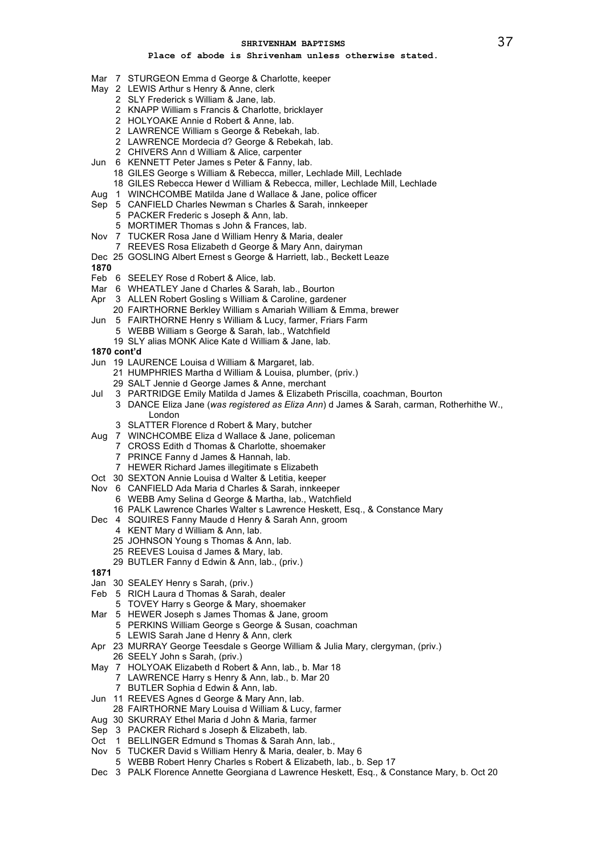- Mar 7 STURGEON Emma d George & Charlotte, keeper
- May 2 LEWIS Arthur s Henry & Anne, clerk
	- 2 SLY Frederick s William & Jane, lab.
		- 2 KNAPP William s Francis & Charlotte, bricklayer
		- 2 HOLYOAKE Annie d Robert & Anne, lab.
		- 2 LAWRENCE William s George & Rebekah, lab.
		- 2 LAWRENCE Mordecia d? George & Rebekah, lab.
		- 2 CHIVERS Ann d William & Alice, carpenter
- Jun 6 KENNETT Peter James s Peter & Fanny, lab.
	- 18 GILES George s William & Rebecca, miller, Lechlade Mill, Lechlade
		- 18 GILES Rebecca Hewer d William & Rebecca, miller, Lechlade Mill, Lechlade
- Aug 1 WINCHCOMBE Matilda Jane d Wallace & Jane, police officer
- Sep 5 CANFIELD Charles Newman s Charles & Sarah, innkeeper
	- 5 PACKER Frederic s Joseph & Ann, lab.
	- 5 MORTIMER Thomas s John & Frances, lab.
- Nov 7 TUCKER Rosa Jane d William Henry & Maria, dealer
- 7 REEVES Rosa Elizabeth d George & Mary Ann, dairyman
- Dec 25 GOSLING Albert Ernest s George & Harriett, lab., Beckett Leaze
- **1870**
- Feb 6 SEELEY Rose d Robert & Alice, lab.
- Mar 6 WHEATLEY Jane d Charles & Sarah, lab., Bourton
- Apr 3 ALLEN Robert Gosling s William & Caroline, gardener
- 20 FAIRTHORNE Berkley William s Amariah William & Emma, brewer Jun 5 FAIRTHORNE Henry s William & Lucy, farmer, Friars Farm
- 5 WEBB William s George & Sarah, lab., Watchfield 19 SLY alias MONK Alice Kate d William & Jane, lab.
- **1870 cont'd**
- Jun 19 LAURENCE Louisa d William & Margaret, lab.
	- 21 HUMPHRIES Martha d William & Louisa, plumber, (priv.)
	- 29 SALT Jennie d George James & Anne, merchant
- Jul 3 PARTRIDGE Emily Matilda d James & Elizabeth Priscilla, coachman, Bourton
- 3 DANCE Eliza Jane (*was registered as Eliza Ann*) d James & Sarah, carman, Rotherhithe W., London
	- 3 SLATTER Florence d Robert & Mary, butcher
- Aug 7 WINCHCOMBE Eliza d Wallace & Jane, policeman
	- 7 CROSS Edith d Thomas & Charlotte, shoemaker
	- 7 PRINCE Fanny d James & Hannah, lab.
	- 7 HEWER Richard James illegitimate s Elizabeth
- Oct 30 SEXTON Annie Louisa d Walter & Letitia, keeper
- Nov 6 CANFIELD Ada Maria d Charles & Sarah, innkeeper
	- 6 WEBB Amy Selina d George & Martha, lab., Watchfield
	- 16 PALK Lawrence Charles Walter s Lawrence Heskett, Esq., & Constance Mary
- Dec 4 SQUIRES Fanny Maude d Henry & Sarah Ann, groom
	- 4 KENT Mary d William & Ann, lab.
	- 25 JOHNSON Young s Thomas & Ann, lab.
	- 25 REEVES Louisa d James & Mary, lab.
	-
	- 29 BUTLER Fanny d Edwin & Ann, lab., (priv.)
- **1871**
- Jan 30 SEALEY Henry s Sarah, (priv.)
- Feb 5 RICH Laura d Thomas & Sarah, dealer
- 5 TOVEY Harry s George & Mary, shoemaker
- Mar 5 HEWER Joseph s James Thomas & Jane, groom
	- 5 PERKINS William George s George & Susan, coachman
	- 5 LEWIS Sarah Jane d Henry & Ann, clerk
- Apr 23 MURRAY George Teesdale s George William & Julia Mary, clergyman, (priv.) 26 SEELY John s Sarah, (priv.)
- May 7 HOLYOAK Elizabeth d Robert & Ann, lab., b. Mar 18
	- 7 LAWRENCE Harry s Henry & Ann, lab., b. Mar 20
		- 7 BUTLER Sophia d Edwin & Ann, lab.
- Jun 11 REEVES Agnes d George & Mary Ann, lab.
- 28 FAIRTHORNE Mary Louisa d William & Lucy, farmer
- Aug 30 SKURRAY Ethel Maria d John & Maria, farmer
- Sep 3 PACKER Richard s Joseph & Elizabeth, lab.
- Oct 1 BELLINGER Edmund s Thomas & Sarah Ann, lab.,
- Nov 5 TUCKER David s William Henry & Maria, dealer, b. May 6
- 5 WEBB Robert Henry Charles s Robert & Elizabeth, lab., b. Sep 17
- Dec 3 PALK Florence Annette Georgiana d Lawrence Heskett, Esq., & Constance Mary, b. Oct 20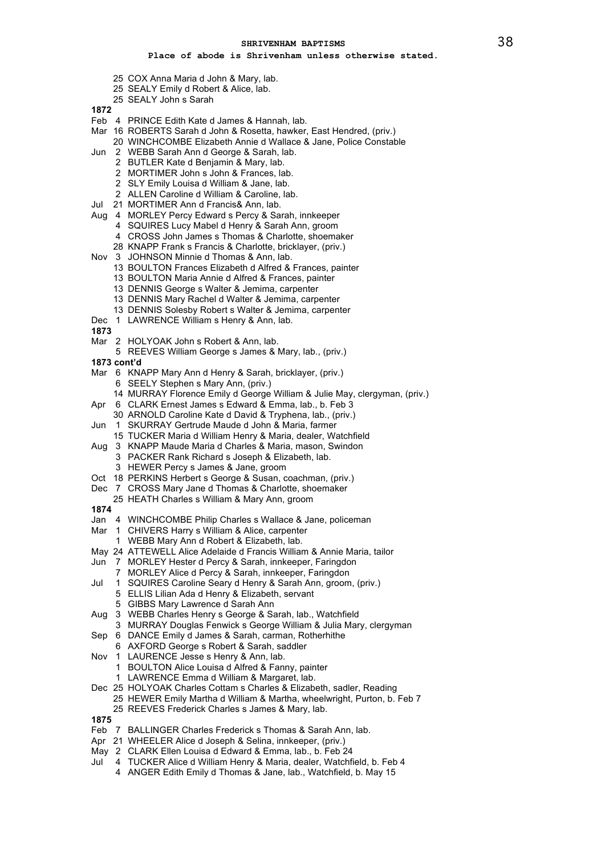- 25 COX Anna Maria d John & Mary, lab.
- 25 SEALY Emily d Robert & Alice, lab.
- 25 SEALY John s Sarah

- Feb 4 PRINCE Edith Kate d James & Hannah, lab.
- Mar 16 ROBERTS Sarah d John & Rosetta, hawker, East Hendred, (priv.)
	- 20 WINCHCOMBE Elizabeth Annie d Wallace & Jane, Police Constable
- Jun 2 WEBB Sarah Ann d George & Sarah, lab.
	- 2 BUTLER Kate d Benjamin & Mary, lab.
	- 2 MORTIMER John s John & Frances, lab.
	- 2 SLY Emily Louisa d William & Jane, lab.
	- 2 ALLEN Caroline d William & Caroline, lab.
- Jul 21 MORTIMER Ann d Francis& Ann, lab.
- Aug 4 MORLEY Percy Edward s Percy & Sarah, innkeeper
	- 4 SQUIRES Lucy Mabel d Henry & Sarah Ann, groom
		- 4 CROSS John James s Thomas & Charlotte, shoemaker
		- 28 KNAPP Frank s Francis & Charlotte, bricklayer, (priv.)
- Nov 3 JOHNSON Minnie d Thomas & Ann, lab.
	- 13 BOULTON Frances Elizabeth d Alfred & Frances, painter
	- 13 BOULTON Maria Annie d Alfred & Frances, painter
	- 13 DENNIS George s Walter & Jemima, carpenter
	- 13 DENNIS Mary Rachel d Walter & Jemima, carpenter
	- 13 DENNIS Solesby Robert s Walter & Jemima, carpenter
- Dec 1 LAWRENCE William s Henry & Ann, lab.
- **1873**
- Mar 2 HOLYOAK John s Robert & Ann, lab.
	- 5 REEVES William George s James & Mary, lab., (priv.)
- **1873 cont'd**
- Mar 6 KNAPP Mary Ann d Henry & Sarah, bricklayer, (priv.) 6 SEELY Stephen s Mary Ann, (priv.)
	-
	- 14 MURRAY Florence Emily d George William & Julie May, clergyman, (priv.)
- Apr 6 CLARK Ernest James s Edward & Emma, lab., b. Feb 3
	- 30 ARNOLD Caroline Kate d David & Tryphena, lab., (priv.)
- Jun 1 SKURRAY Gertrude Maude d John & Maria, farmer
- 15 TUCKER Maria d William Henry & Maria, dealer, Watchfield
- Aug 3 KNAPP Maude Maria d Charles & Maria, mason, Swindon 3 PACKER Rank Richard s Joseph & Elizabeth, lab.
	- 3 HEWER Percy s James & Jane, groom
- Oct 18 PERKINS Herbert s George & Susan, coachman, (priv.)
- Dec 7 CROSS Mary Jane d Thomas & Charlotte, shoemaker
- 25 HEATH Charles s William & Mary Ann, groom
- **1874**
- Jan 4 WINCHCOMBE Philip Charles s Wallace & Jane, policeman
- Mar 1 CHIVERS Harry s William & Alice, carpenter
- 1 WEBB Mary Ann d Robert & Elizabeth, lab.
- May 24 ATTEWELL Alice Adelaide d Francis William & Annie Maria, tailor
- Jun 7 MORLEY Hester d Percy & Sarah, innkeeper, Faringdon
	- 7 MORLEY Alice d Percy & Sarah, innkeeper, Faringdon
- Jul 1 SQUIRES Caroline Seary d Henry & Sarah Ann, groom, (priv.) 5 ELLIS Lilian Ada d Henry & Elizabeth, servant
	- 5 GIBBS Mary Lawrence d Sarah Ann
- Aug 3 WEBB Charles Henry s George & Sarah, lab., Watchfield
- 3 MURRAY Douglas Fenwick s George William & Julia Mary, clergyman
- Sep 6 DANCE Emily d James & Sarah, carman, Rotherhithe
- 6 AXFORD George s Robert & Sarah, saddler
- Nov 1 LAURENCE Jesse s Henry & Ann, lab.
	- 1 BOULTON Alice Louisa d Alfred & Fanny, painter LAWRENCE Emma d William & Margaret, lab.
- Dec 25 HOLYOAK Charles Cottam s Charles & Elizabeth, sadler, Reading
	- 25 HEWER Emily Martha d William & Martha, wheelwright, Purton, b. Feb 7 25 REEVES Frederick Charles s James & Mary, lab.
- **1875**
- Feb 7 BALLINGER Charles Frederick s Thomas & Sarah Ann, lab.
- Apr 21 WHEELER Alice d Joseph & Selina, innkeeper, (priv.)
- May 2 CLARK Ellen Louisa d Edward & Emma, lab., b. Feb 24
- Jul 4 TUCKER Alice d William Henry & Maria, dealer, Watchfield, b. Feb 4
	- 4 ANGER Edith Emily d Thomas & Jane, lab., Watchfield, b. May 15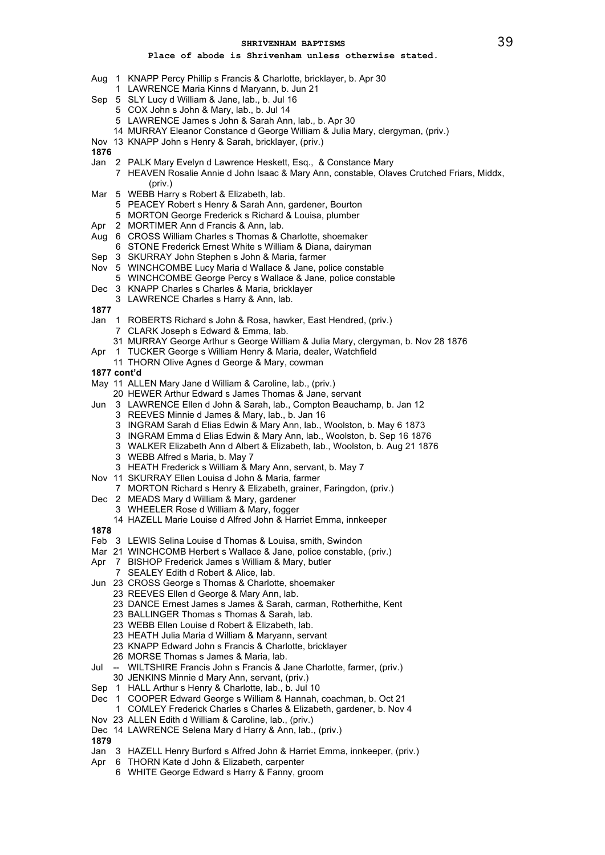## **Place of abode is Shrivenham unless otherwise stated.**

- Aug 1 KNAPP Percy Phillip s Francis & Charlotte, bricklayer, b. Apr 30
	- 1 LAWRENCE Maria Kinns d Maryann, b. Jun 21
- Sep 5 SLY Lucy d William & Jane, lab., b. Jul 16
	- 5 COX John s John & Mary, lab., b. Jul 14
	- 5 LAWRENCE James s John & Sarah Ann, lab., b. Apr 30
	- 14 MURRAY Eleanor Constance d George William & Julia Mary, clergyman, (priv.)
- Nov 13 KNAPP John s Henry & Sarah, bricklayer, (priv.)

**1876**

- Jan 2 PALK Mary Evelyn d Lawrence Heskett, Esq., & Constance Mary
	- 7 HEAVEN Rosalie Annie d John Isaac & Mary Ann, constable, Olaves Crutched Friars, Middx,
- (priv.) Mar 5 WEBB Harry s Robert & Elizabeth, lab.
	- 5 PEACEY Robert s Henry & Sarah Ann, gardener, Bourton
	- 5 MORTON George Frederick s Richard & Louisa, plumber
- Apr 2 MORTIMER Ann d Francis & Ann, lab.
- Aug 6 CROSS William Charles s Thomas & Charlotte, shoemaker
- 6 STONE Frederick Ernest White s William & Diana, dairyman
- Sep 3 SKURRAY John Stephen s John & Maria, farmer
- Nov 5 WINCHCOMBE Lucy Maria d Wallace & Jane, police constable 5 WINCHCOMBE George Percy s Wallace & Jane, police constable
- Dec 3 KNAPP Charles s Charles & Maria, bricklayer
- 3 LAWRENCE Charles s Harry & Ann, lab.

- Jan 1 ROBERTS Richard s John & Rosa, hawker, East Hendred, (priv.) 7 CLARK Joseph s Edward & Emma, lab.
	- 31 MURRAY George Arthur s George William & Julia Mary, clergyman, b. Nov 28 1876
- Apr 1 TUCKER George s William Henry & Maria, dealer, Watchfield
	- 11 THORN Olive Agnes d George & Mary, cowman
- **1877 cont'd**
- May 11 ALLEN Mary Jane d William & Caroline, lab., (priv.)
	- 20 HEWER Arthur Edward s James Thomas & Jane, servant
- Jun 3 LAWRENCE Ellen d John & Sarah, lab., Compton Beauchamp, b. Jan 12
	- 3 REEVES Minnie d James & Mary, lab., b. Jan 16
		- 3 INGRAM Sarah d Elias Edwin & Mary Ann, lab., Woolston, b. May 6 1873
		- 3 INGRAM Emma d Elias Edwin & Mary Ann, lab., Woolston, b. Sep 16 1876
		- 3 WALKER Elizabeth Ann d Albert & Elizabeth, lab., Woolston, b. Aug 21 1876
		- 3 WEBB Alfred s Maria, b. May 7
	- 3 HEATH Frederick s William & Mary Ann, servant, b. May 7
- Nov 11 SKURRAY Ellen Louisa d John & Maria, farmer
- 7 MORTON Richard s Henry & Elizabeth, grainer, Faringdon, (priv.)
- Dec 2 MEADS Mary d William & Mary, gardener
	- 3 WHEELER Rose d William & Mary, fogger
	- 14 HAZELL Marie Louise d Alfred John & Harriet Emma, innkeeper
- **1878**
- Feb 3 LEWIS Selina Louise d Thomas & Louisa, smith, Swindon
- Mar 21 WINCHCOMB Herbert s Wallace & Jane, police constable, (priv.)
- Apr 7 BISHOP Frederick James s William & Mary, butler
	- 7 SEALEY Edith d Robert & Alice, lab.
- Jun 23 CROSS George s Thomas & Charlotte, shoemaker
	- 23 REEVES Ellen d George & Mary Ann, lab.
		- 23 DANCE Ernest James s James & Sarah, carman, Rotherhithe, Kent
		- 23 BALLINGER Thomas s Thomas & Sarah, lab.
		- 23 WEBB Ellen Louise d Robert & Elizabeth, lab.
		- 23 HEATH Julia Maria d William & Maryann, servant
		- 23 KNAPP Edward John s Francis & Charlotte, bricklayer
		- 26 MORSE Thomas s James & Maria, lab.
- Jul -- WILTSHIRE Francis John s Francis & Jane Charlotte, farmer, (priv.)
	- 30 JENKINS Minnie d Mary Ann, servant, (priv.)
- Sep 1 HALL Arthur s Henry & Charlotte, lab., b. Jul 10
- Dec 1 COOPER Edward George s William & Hannah, coachman, b. Oct 21
- 1 COMLEY Frederick Charles s Charles & Elizabeth, gardener, b. Nov 4
- Nov 23 ALLEN Edith d William & Caroline, lab., (priv.)
- Dec 14 LAWRENCE Selena Mary d Harry & Ann, lab., (priv.)
- **1879**
- Jan 3 HAZELL Henry Burford s Alfred John & Harriet Emma, innkeeper, (priv.)
- Apr 6 THORN Kate d John & Elizabeth, carpenter
	- 6 WHITE George Edward s Harry & Fanny, groom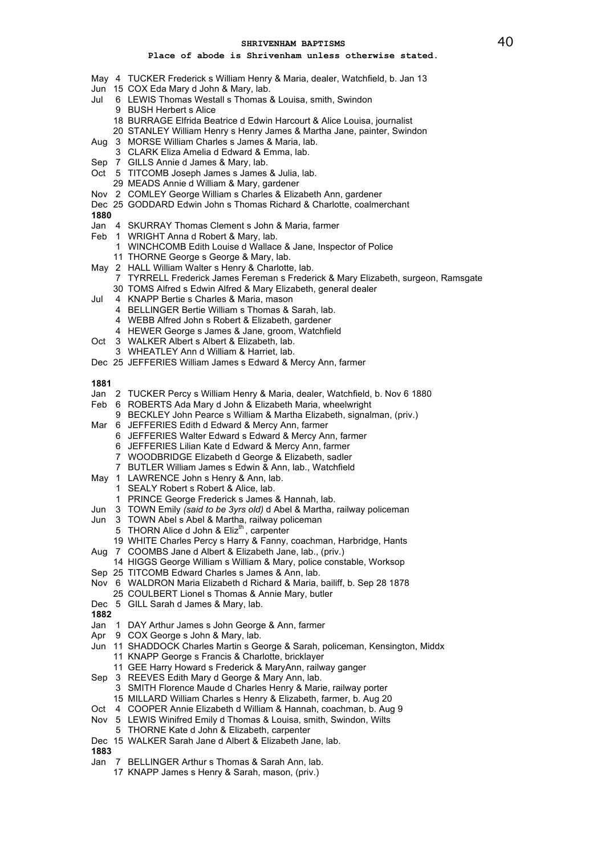# **Place of abode is Shrivenham unless otherwise stated.**

- May 4 TUCKER Frederick s William Henry & Maria, dealer, Watchfield, b. Jan 13
- Jun 15 COX Eda Mary d John & Mary, lab.
- Jul 6 LEWIS Thomas Westall s Thomas & Louisa, smith, Swindon 9 BUSH Herbert s Alice
	- 18 BURRAGE Elfrida Beatrice d Edwin Harcourt & Alice Louisa, journalist
	- 20 STANLEY William Henry s Henry James & Martha Jane, painter, Swindon
- Aug 3 MORSE William Charles s James & Maria, lab.
- 3 CLARK Eliza Amelia d Edward & Emma, lab.
- Sep 7 GILLS Annie d James & Mary, lab.
- Oct 5 TITCOMB Joseph James s James & Julia, lab.
	- 29 MEADS Annie d William & Mary, gardener
- Nov 2 COMLEY George William s Charles & Elizabeth Ann, gardener
- Dec 25 GODDARD Edwin John s Thomas Richard & Charlotte, coalmerchant

# **1880**

- Jan 4 SKURRAY Thomas Clement s John & Maria, farmer
- Feb 1 WRIGHT Anna d Robert & Mary, lab.
	- 1 WINCHCOMB Edith Louise d Wallace & Jane, Inspector of Police
	- 11 THORNE George s George & Mary, lab.
- May 2 HALL William Walter s Henry & Charlotte, lab. 7 TYRRELL Frederick James Fereman s Frederick & Mary Elizabeth, surgeon, Ramsgate 30 TOMS Alfred s Edwin Alfred & Mary Elizabeth, general dealer
	-
- Jul 4 KNAPP Bertie s Charles & Maria, mason
	- 4 BELLINGER Bertie William s Thomas & Sarah, lab.
	- 4 WEBB Alfred John s Robert & Elizabeth, gardener
	- 4 HEWER George s James & Jane, groom, Watchfield
- Oct 3 WALKER Albert s Albert & Elizabeth, lab.
- 3 WHEATLEY Ann d William & Harriet, lab.
- Dec 25 JEFFERIES William James s Edward & Mercy Ann, farmer

# **1881**

- Jan 2 TUCKER Percy s William Henry & Maria, dealer, Watchfield, b. Nov 6 1880
- Feb 6 ROBERTS Ada Mary d John & Elizabeth Maria, wheelwright
	- 9 BECKLEY John Pearce s William & Martha Elizabeth, signalman, (priv.)
- Mar 6 JEFFERIES Edith d Edward & Mercy Ann, farmer
	- 6 JEFFERIES Walter Edward s Edward & Mercy Ann, farmer
	- 6 JEFFERIES Lilian Kate d Edward & Mercy Ann, farmer
	- 7 WOODBRIDGE Elizabeth d George & Elizabeth, sadler
	- 7 BUTLER William James s Edwin & Ann, lab., Watchfield
- May 1 LAWRENCE John s Henry & Ann, lab.
	- 1 SEALY Robert s Robert & Alice, lab.
	- 1 PRINCE George Frederick s James & Hannah, lab.
- Jun 3 TOWN Emily *(said to be 3yrs old)* d Abel & Martha, railway policeman
- Jun 3 TOWN Abel s Abel & Martha, railway policeman
	- 5 THORN Alice d John & Eliz<sup>th</sup>, carpenter
	- 19 WHITE Charles Percy s Harry & Fanny, coachman, Harbridge, Hants
- Aug 7 COOMBS Jane d Albert & Elizabeth Jane, lab., (priv.)
- 14 HIGGS George William s William & Mary, police constable, Worksop
- Sep 25 TITCOMB Edward Charles s James & Ann, lab.
- Nov 6 WALDRON Maria Elizabeth d Richard & Maria, bailiff, b. Sep 28 1878
	- 25 COULBERT Lionel s Thomas & Annie Mary, butler
- Dec 5 GILL Sarah d James & Mary, lab.
- **1882**
- Jan 1 DAY Arthur James s John George & Ann, farmer
- Apr 9 COX George s John & Mary, lab.
- Jun 11 SHADDOCK Charles Martin s George & Sarah, policeman, Kensington, Middx 11 KNAPP George s Francis & Charlotte, bricklayer
	- 11 GEE Harry Howard s Frederick & MaryAnn, railway ganger
- Sep 3 REEVES Edith Mary d George & Mary Ann, lab.
	- 3 SMITH Florence Maude d Charles Henry & Marie, railway porter
	- 15 MILLARD William Charles s Henry & Elizabeth, farmer, b. Aug 20
- Oct 4 COOPER Annie Elizabeth d William & Hannah, coachman, b. Aug 9
- Nov 5 LEWIS Winifred Emily d Thomas & Louisa, smith, Swindon, Wilts
- 5 THORNE Kate d John & Elizabeth, carpenter
- Dec 15 WALKER Sarah Jane d Albert & Elizabeth Jane, lab.

- Jan 7 BELLINGER Arthur s Thomas & Sarah Ann, lab.
	- 17 KNAPP James s Henry & Sarah, mason, (priv.)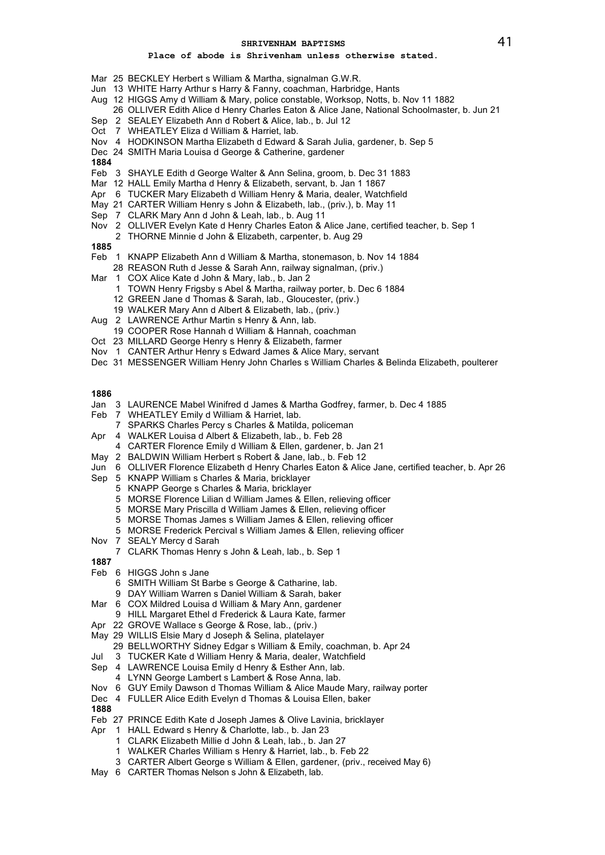# **Place of abode is Shrivenham unless otherwise stated.**

- Mar 25 BECKLEY Herbert s William & Martha, signalman G.W.R.
- Jun 13 WHITE Harry Arthur s Harry & Fanny, coachman, Harbridge, Hants
- Aug 12 HIGGS Amy d William & Mary, police constable, Worksop, Notts, b. Nov 11 1882
- 26 OLLIVER Edith Alice d Henry Charles Eaton & Alice Jane, National Schoolmaster, b. Jun 21
- Sep 2 SEALEY Elizabeth Ann d Robert & Alice, lab., b. Jul 12
- Oct 7 WHEATLEY Eliza d William & Harriet, lab.
- Nov 4 HODKINSON Martha Elizabeth d Edward & Sarah Julia, gardener, b. Sep 5
- Dec 24 SMITH Maria Louisa d George & Catherine, gardener
- **1884**
- Feb 3 SHAYLE Edith d George Walter & Ann Selina, groom, b. Dec 31 1883
- Mar 12 HALL Emily Martha d Henry & Elizabeth, servant, b. Jan 1 1867
- Apr 6 TUCKER Mary Elizabeth d William Henry & Maria, dealer, Watchfield
- May 21 CARTER William Henry s John & Elizabeth, lab., (priv.), b. May 11
- Sep 7 CLARK Mary Ann d John & Leah, lab., b. Aug 11
- Nov 2 OLLIVER Evelyn Kate d Henry Charles Eaton & Alice Jane, certified teacher, b. Sep 1
- 2 THORNE Minnie d John & Elizabeth, carpenter, b. Aug 29
- **1885**
- Feb 1 KNAPP Elizabeth Ann d William & Martha, stonemason, b. Nov 14 1884
- 28 REASON Ruth d Jesse & Sarah Ann, railway signalman, (priv.)
- Mar 1 COX Alice Kate d John & Mary, lab., b. Jan 2
	- 1 TOWN Henry Frigsby s Abel & Martha, railway porter, b. Dec 6 1884
	- 12 GREEN Jane d Thomas & Sarah, lab., Gloucester, (priv.)
	- 19 WALKER Mary Ann d Albert & Elizabeth, lab., (priv.)
- Aug 2 LAWRENCE Arthur Martin s Henry & Ann, lab.
- 19 COOPER Rose Hannah d William & Hannah, coachman
- Oct 23 MILLARD George Henry s Henry & Elizabeth, farmer
- Nov 1 CANTER Arthur Henry s Edward James & Alice Mary, servant
- Dec 31 MESSENGER William Henry John Charles s William Charles & Belinda Elizabeth, poulterer

- Jan 3 LAURENCE Mabel Winifred d James & Martha Godfrey, farmer, b. Dec 4 1885
- Feb 7 WHEATLEY Emily d William & Harriet, lab.
- 7 SPARKS Charles Percy s Charles & Matilda, policeman
- Apr 4 WALKER Louisa d Albert & Elizabeth, lab., b. Feb 28
- 4 CARTER Florence Emily d William & Ellen, gardener, b. Jan 21
- May 2 BALDWIN William Herbert s Robert & Jane, lab., b. Feb 12
- Jun 6 OLLIVER Florence Elizabeth d Henry Charles Eaton & Alice Jane, certified teacher, b. Apr 26
- Sep 5 KNAPP William s Charles & Maria, bricklayer
	- 5 KNAPP George s Charles & Maria, bricklayer
		- 5 MORSE Florence Lilian d William James & Ellen, relieving officer
		- 5 MORSE Mary Priscilla d William James & Ellen, relieving officer
		-
		- 5 MORSE Thomas James s William James & Ellen, relieving officer
		- 5 MORSE Frederick Percival s William James & Ellen, relieving officer
- Nov 7 SEALY Mercy d Sarah
- 7 CLARK Thomas Henry s John & Leah, lab., b. Sep 1
- **1887**
- Feb 6 HIGGS John s Jane
	- 6 SMITH William St Barbe s George & Catharine, lab.
	- 9 DAY William Warren s Daniel William & Sarah, baker
- Mar 6 COX Mildred Louisa d William & Mary Ann, gardener
- 9 HILL Margaret Ethel d Frederick & Laura Kate, farmer Apr 22 GROVE Wallace s George & Rose, lab., (priv.)
- May 29 WILLIS Elsie Mary d Joseph & Selina, platelayer
- 29 BELLWORTHY Sidney Edgar s William & Emily, coachman, b. Apr 24
- Jul 3 TUCKER Kate d William Henry & Maria, dealer, Watchfield
- Sep 4 LAWRENCE Louisa Emily d Henry & Esther Ann, lab.
	- 4 LYNN George Lambert s Lambert & Rose Anna, lab.
- Nov 6 GUY Emily Dawson d Thomas William & Alice Maude Mary, railway porter
- Dec 4 FULLER Alice Edith Evelyn d Thomas & Louisa Ellen, baker
- **1888**
- Feb 27 PRINCE Edith Kate d Joseph James & Olive Lavinia, bricklayer
- Apr 1 HALL Edward s Henry & Charlotte, lab., b. Jan 23
	- 1 CLARK Elizabeth Millie d John & Leah, lab., b. Jan 27
	- 1 WALKER Charles William s Henry & Harriet, lab., b. Feb 22
	- 3 CARTER Albert George s William & Ellen, gardener, (priv., received May 6)
- May 6 CARTER Thomas Nelson s John & Elizabeth, lab.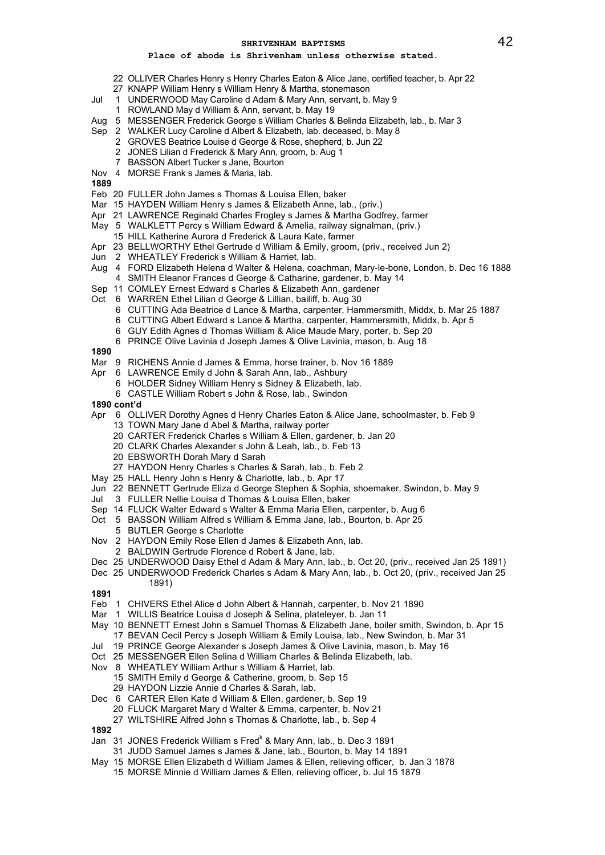# **Place of abode is Shrivenham unless otherwise stated.**

- 22 OLLIVER Charles Henry s Henry Charles Eaton & Alice Jane, certified teacher, b. Apr 22
- 27 KNAPP William Henry s William Henry & Martha, stonemason
- Jul 1 UNDERWOOD May Caroline d Adam & Mary Ann, servant, b. May 9
	- 1 ROWLAND May d William & Ann, servant, b. May 19
- Aug 5 MESSENGER Frederick George s William Charles & Belinda Elizabeth, lab., b. Mar 3
- Sep 2 WALKER Lucy Caroline d Albert & Elizabeth, lab. deceased, b. May 8
	- 2 GROVES Beatrice Louise d George & Rose, shepherd, b. Jun 22
		- 2 JONES Lilian d Frederick & Mary Ann, groom, b. Aug 1
	- 7 BASSON Albert Tucker s Jane, Bourton
- Nov 4 MORSE Frank s James & Maria, lab.
- **1889**
- Feb 20 FULLER John James s Thomas & Louisa Ellen, baker
- Mar 15 HAYDEN William Henry s James & Elizabeth Anne, lab., (priv.)
- Apr 21 LAWRENCE Reginald Charles Frogley s James & Martha Godfrey, farmer
- May 5 WALKLETT Percy s William Edward & Amelia, railway signalman, (priv.)
- 15 HILL Katherine Aurora d Frederick & Laura Kate, farmer
- Apr 23 BELLWORTHY Ethel Gertrude d William & Emily, groom, (priv., received Jun 2)
- Jun 2 WHEATLEY Frederick s William & Harriet, lab.
- Aug 4 FORD Elizabeth Helena d Walter & Helena, coachman, Mary-le-bone, London, b. Dec 16 1888 4 SMITH Eleanor Frances d George & Catharine, gardener, b. May 14
- Sep 11 COMLEY Ernest Edward s Charles & Elizabeth Ann, gardener
- Oct 6 WARREN Ethel Lilian d George & Lillian, bailiff, b. Aug 30
	- 6 CUTTING Ada Beatrice d Lance & Martha, carpenter, Hammersmith, Middx, b. Mar 25 1887
	- 6 CUTTING Albert Edward s Lance & Martha, carpenter, Hammersmith, Middx, b. Apr 5
	- 6 GUY Edith Agnes d Thomas William & Alice Maude Mary, porter, b. Sep 20
	- 6 PRINCE Olive Lavinia d Joseph James & Olive Lavinia, mason, b. Aug 18
- **1890**
- Mar 9 RICHENS Annie d James & Emma, horse trainer, b. Nov 16 1889
- Apr 6 LAWRENCE Emily d John & Sarah Ann, lab., Ashbury
	- 6 HOLDER Sidney William Henry s Sidney & Elizabeth, lab.
	- 6 CASTLE William Robert s John & Rose, lab., Swindon
- **1890 cont'd**
- Apr 6 OLLIVER Dorothy Agnes d Henry Charles Eaton & Alice Jane, schoolmaster, b. Feb 9 13 TOWN Mary Jane d Abel & Martha, railway porter
	- 20 CARTER Frederick Charles s William & Ellen, gardener, b. Jan 20
	- 20 CLARK Charles Alexander s John & Leah, lab., b. Feb 13
	- 20 EBSWORTH Dorah Mary d Sarah
	- 27 HAYDON Henry Charles s Charles & Sarah, lab., b. Feb 2
- May 25 HALL Henry John s Henry & Charlotte, lab., b. Apr 17
- Jun 22 BENNETT Gertrude Eliza d George Stephen & Sophia, shoemaker, Swindon, b. May 9
- Jul 3 FULLER Nellie Louisa d Thomas & Louisa Ellen, baker
- Sep 14 FLUCK Walter Edward s Walter & Emma Maria Ellen, carpenter, b. Aug 6
- Oct 5 BASSON William Alfred s William & Emma Jane, lab., Bourton, b. Apr 25
- 5 BUTLER George s Charlotte
- Nov 2 HAYDON Emily Rose Ellen d James & Elizabeth Ann, lab.
- 2 BALDWIN Gertrude Florence d Robert & Jane, lab.
- Dec 25 UNDERWOOD Daisy Ethel d Adam & Mary Ann, lab., b. Oct 20, (priv., received Jan 25 1891)
- Dec 25 UNDERWOOD Frederick Charles s Adam & Mary Ann, lab., b. Oct 20, (priv., received Jan 25 1891)
- **1891**
- Feb 1 CHIVERS Ethel Alice d John Albert & Hannah, carpenter, b. Nov 21 1890
- Mar 1 WILLIS Beatrice Louisa d Joseph & Selina, plateleyer, b. Jan 11
- May 10 BENNETT Ernest John s Samuel Thomas & Elizabeth Jane, boiler smith, Swindon, b. Apr 15 17 BEVAN Cecil Percy s Joseph William & Emily Louisa, lab., New Swindon, b. Mar 31
- Jul 19 PRINCE George Alexander s Joseph James & Olive Lavinia, mason, b. May 16
- Oct 25 MESSENGER Ellen Selina d William Charles & Belinda Elizabeth, lab.
- Nov 8 WHEATLEY William Arthur s William & Harriet, lab.
	- 15 SMITH Emily d George & Catherine, groom, b. Sep 15
	- 29 HAYDON Lizzie Annie d Charles & Sarah, lab.
- Dec 6 CARTER Ellen Kate d William & Ellen, gardener, b. Sep 19
	- 20 FLUCK Margaret Mary d Walter & Emma, carpenter, b. Nov 21
		- 27 WILTSHIRE Alfred John s Thomas & Charlotte, lab., b. Sep 4

- Jan 31 JONES Frederick William s Fred<sup>k</sup> & Mary Ann, lab., b. Dec 3 1891
- 31 JUDD Samuel James s James & Jane, lab., Bourton, b. May 14 1891
- May 15 MORSE Ellen Elizabeth d William James & Ellen, relieving officer, b. Jan 3 1878
	- 15 MORSE Minnie d William James & Ellen, relieving officer, b. Jul 15 1879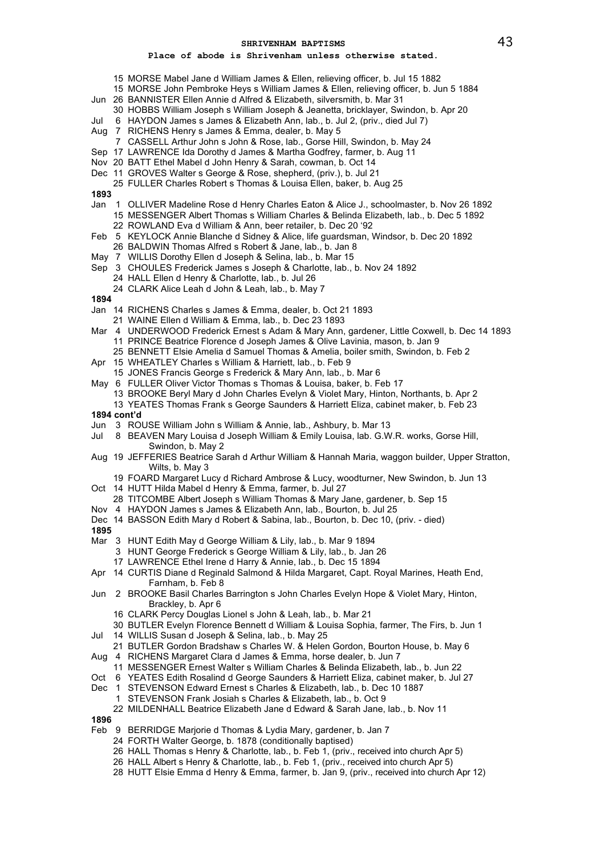- 15 MORSE Mabel Jane d William James & Ellen, relieving officer, b. Jul 15 1882
- 15 MORSE John Pembroke Heys s William James & Ellen, relieving officer, b. Jun 5 1884
- Jun 26 BANNISTER Ellen Annie d Alfred & Elizabeth, silversmith, b. Mar 31
- 30 HOBBS William Joseph s William Joseph & Jeanetta, bricklayer, Swindon, b. Apr 20
- Jul 6 HAYDON James s James & Elizabeth Ann, lab., b. Jul 2, (priv., died Jul 7)
- Aug 7 RICHENS Henry s James & Emma, dealer, b. May 5
	- 7 CASSELL Arthur John s John & Rose, lab., Gorse Hill, Swindon, b. May 24
- Sep 17 LAWRENCE Ida Dorothy d James & Martha Godfrey, farmer, b. Aug 11
- Nov 20 BATT Ethel Mabel d John Henry & Sarah, cowman, b. Oct 14
- Dec 11 GROVES Walter s George & Rose, shepherd, (priv.), b. Jul 21
- 25 FULLER Charles Robert s Thomas & Louisa Ellen, baker, b. Aug 25
- **1893**
- Jan 1 OLLIVER Madeline Rose d Henry Charles Eaton & Alice J., schoolmaster, b. Nov 26 1892 15 MESSENGER Albert Thomas s William Charles & Belinda Elizabeth, lab., b. Dec 5 1892
	- 22 ROWLAND Eva d William & Ann, beer retailer, b. Dec 20 '92
- Feb 5 KEYLOCK Annie Blanche d Sidney & Alice, life guardsman, Windsor, b. Dec 20 1892
- 26 BALDWIN Thomas Alfred s Robert & Jane, lab., b. Jan 8
- May 7 WILLIS Dorothy Ellen d Joseph & Selina, lab., b. Mar 15
- Sep 3 CHOULES Frederick James s Joseph & Charlotte, lab., b. Nov 24 1892 24 HALL Ellen d Henry & Charlotte, lab., b. Jul 26
	- 24 CLARK Alice Leah d John & Leah, lab., b. May 7
- **1894**
- Jan 14 RICHENS Charles s James & Emma, dealer, b. Oct 21 1893
	- 21 WAINE Ellen d William & Emma, lab., b. Dec 23 1893
- Mar 4 UNDERWOOD Frederick Ernest s Adam & Mary Ann, gardener, Little Coxwell, b. Dec 14 1893 11 PRINCE Beatrice Florence d Joseph James & Olive Lavinia, mason, b. Jan 9
- 25 BENNETT Elsie Amelia d Samuel Thomas & Amelia, boiler smith, Swindon, b. Feb 2
- Apr 15 WHEATLEY Charles s William & Harriett, lab., b. Feb 9
- 15 JONES Francis George s Frederick & Mary Ann, lab., b. Mar 6
- May 6 FULLER Oliver Victor Thomas s Thomas & Louisa, baker, b. Feb 17
	- 13 BROOKE Beryl Mary d John Charles Evelyn & Violet Mary, Hinton, Northants, b. Apr 2
	- 13 YEATES Thomas Frank s George Saunders & Harriett Eliza, cabinet maker, b. Feb 23
- **1894 cont'd**
- Jun 3 ROUSE William John s William & Annie, lab., Ashbury, b. Mar 13
- Jul 8 BEAVEN Mary Louisa d Joseph William & Emily Louisa, lab. G.W.R. works, Gorse Hill, Swindon, b. May 2
- Aug 19 JEFFERIES Beatrice Sarah d Arthur William & Hannah Maria, waggon builder, Upper Stratton, Wilts, b. May 3
	- 19 FOARD Margaret Lucy d Richard Ambrose & Lucy, woodturner, New Swindon, b. Jun 13
- Oct 14 HUTT Hilda Mabel d Henry & Emma, farmer, b. Jul 27
- 28 TITCOMBE Albert Joseph s William Thomas & Mary Jane, gardener, b. Sep 15
- Nov 4 HAYDON James s James & Elizabeth Ann, lab., Bourton, b. Jul 25
- Dec 14 BASSON Edith Mary d Robert & Sabina, lab., Bourton, b. Dec 10, (priv. died)
- **1895**
- Mar 3 HUNT Edith May d George William & Lily, lab., b. Mar 9 1894
	- 3 HUNT George Frederick s George William & Lily, lab., b. Jan 26
	- 17 LAWRENCE Ethel Irene d Harry & Annie, lab., b. Dec 15 1894
- Apr 14 CURTIS Diane d Reginald Salmond & Hilda Margaret, Capt. Royal Marines, Heath End, Farnham, b. Feb 8
- Jun 2 BROOKE Basil Charles Barrington s John Charles Evelyn Hope & Violet Mary, Hinton, Brackley, b. Apr 6
	- 16 CLARK Percy Douglas Lionel s John & Leah, lab., b. Mar 21
	- 30 BUTLER Evelyn Florence Bennett d William & Louisa Sophia, farmer, The Firs, b. Jun 1
- Jul 14 WILLIS Susan d Joseph & Selina, lab., b. May 25
- 21 BUTLER Gordon Bradshaw s Charles W. & Helen Gordon, Bourton House, b. May 6
- Aug 4 RICHENS Margaret Clara d James & Emma, horse dealer, b. Jun 7
- 11 MESSENGER Ernest Walter s William Charles & Belinda Elizabeth, lab., b. Jun 22
- Oct 6 YEATES Edith Rosalind d George Saunders & Harriett Eliza, cabinet maker, b. Jul 27
- Dec 1 STEVENSON Edward Ernest s Charles & Elizabeth, lab., b. Dec 10 1887
	- 1 STEVENSON Frank Josiah s Charles & Elizabeth, lab., b. Oct 9
	- 22 MILDENHALL Beatrice Elizabeth Jane d Edward & Sarah Jane, lab., b. Nov 11
- **1896**
- Feb 9 BERRIDGE Marjorie d Thomas & Lydia Mary, gardener, b. Jan 7
	- 24 FORTH Walter George, b. 1878 (conditionally baptised)
	- 26 HALL Thomas s Henry & Charlotte, lab., b. Feb 1, (priv., received into church Apr 5)
	- 26 HALL Albert s Henry & Charlotte, lab., b. Feb 1, (priv., received into church Apr 5)
	- 28 HUTT Elsie Emma d Henry & Emma, farmer, b. Jan 9, (priv., received into church Apr 12)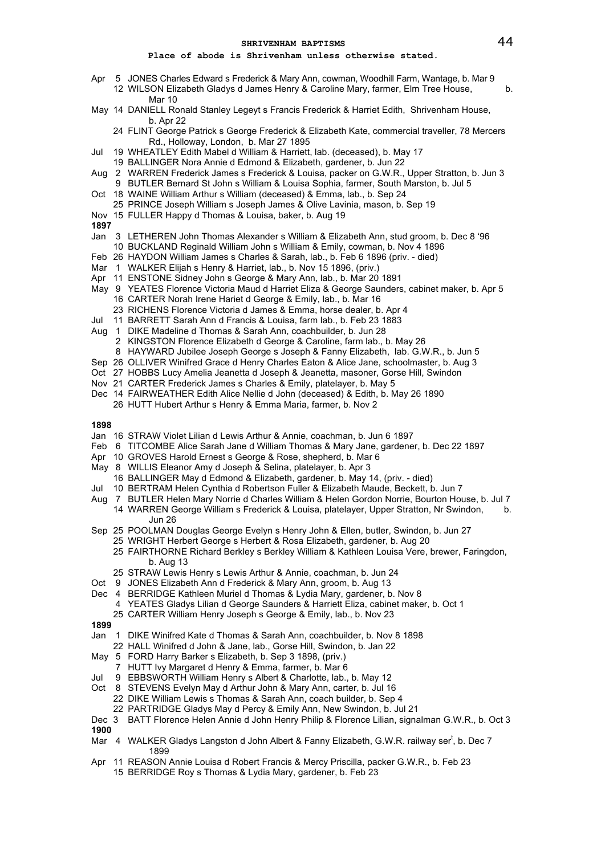# **Place of abode is Shrivenham unless otherwise stated.**

- Apr 5 JONES Charles Edward s Frederick & Mary Ann, cowman, Woodhill Farm, Wantage, b. Mar 9 12 WILSON Elizabeth Gladys d James Henry & Caroline Mary, farmer, Elm Tree House, b.
	- Mar 10
- May 14 DANIELL Ronald Stanley Legeyt s Francis Frederick & Harriet Edith, Shrivenham House, h Anr 22
	- 24 FLINT George Patrick s George Frederick & Elizabeth Kate, commercial traveller, 78 Mercers Rd., Holloway, London, b. Mar 27 1895
- Jul 19 WHEATLEY Edith Mabel d William & Harriett, lab. (deceased), b. May 17
- 19 BALLINGER Nora Annie d Edmond & Elizabeth, gardener, b. Jun 22
- Aug 2 WARREN Frederick James s Frederick & Louisa, packer on G.W.R., Upper Stratton, b. Jun 3 9 BUTLER Bernard St John s William & Louisa Sophia, farmer, South Marston, b. Jul 5
- Oct 18 WAINE William Arthur s William (deceased) & Emma, lab., b. Sep 24
- 25 PRINCE Joseph William s Joseph James & Olive Lavinia, mason, b. Sep 19
- Nov 15 FULLER Happy d Thomas & Louisa, baker, b. Aug 19
- **1897**
- Jan 3 LETHEREN John Thomas Alexander s William & Elizabeth Ann, stud groom, b. Dec 8 '96 10 BUCKLAND Reginald William John s William & Emily, cowman, b. Nov 4 1896
- Feb 26 HAYDON William James s Charles & Sarah, lab., b. Feb 6 1896 (priv. died)
- Mar 1 WALKER Elijah s Henry & Harriet, lab., b. Nov 15 1896, (priv.)
- Apr 11 ENSTONE Sidney John s George & Mary Ann, lab., b. Mar 20 1891
- May 9 YEATES Florence Victoria Maud d Harriet Eliza & George Saunders, cabinet maker, b. Apr 5 16 CARTER Norah Irene Hariet d George & Emily, lab., b. Mar 16
	- 23 RICHENS Florence Victoria d James & Emma, horse dealer, b. Apr 4
- Jul 11 BARRETT Sarah Ann d Francis & Louisa, farm lab., b. Feb 23 1883
- Aug 1 DIKE Madeline d Thomas & Sarah Ann, coachbuilder, b. Jun 28
	- 2 KINGSTON Florence Elizabeth d George & Caroline, farm lab., b. May 26
	- 8 HAYWARD Jubilee Joseph George s Joseph & Fanny Elizabeth, lab. G.W.R., b. Jun 5
- Sep 26 OLLIVER Winifred Grace d Henry Charles Eaton & Alice Jane, schoolmaster, b. Aug 3
- Oct 27 HOBBS Lucy Amelia Jeanetta d Joseph & Jeanetta, masoner, Gorse Hill, Swindon
- Nov 21 CARTER Frederick James s Charles & Emily, platelayer, b. May 5
- Dec 14 FAIRWEATHER Edith Alice Nellie d John (deceased) & Edith, b. May 26 1890 26 HUTT Hubert Arthur s Henry & Emma Maria, farmer, b. Nov 2

- Jan 16 STRAW Violet Lilian d Lewis Arthur & Annie, coachman, b. Jun 6 1897
- Feb 6 TITCOMBE Alice Sarah Jane d William Thomas & Mary Jane, gardener, b. Dec 22 1897
- Apr 10 GROVES Harold Ernest s George & Rose, shepherd, b. Mar 6
- May 8 WILLIS Eleanor Amy d Joseph & Selina, platelayer, b. Apr 3
- 16 BALLINGER May d Edmond & Elizabeth, gardener, b. May 14, (priv. died)
- Jul 10 BERTRAM Helen Cynthia d Robertson Fuller & Elizabeth Maude, Beckett, b. Jun 7
- Aug 7 BUTLER Helen Mary Norrie d Charles William & Helen Gordon Norrie, Bourton House, b. Jul 7
- 14 WARREN George William s Frederick & Louisa, platelayer, Upper Stratton, Nr Swindon, b. Jun 26
- Sep 25 POOLMAN Douglas George Evelyn s Henry John & Ellen, butler, Swindon, b. Jun 27
	- 25 WRIGHT Herbert George s Herbert & Rosa Elizabeth, gardener, b. Aug 20
		- 25 FAIRTHORNE Richard Berkley s Berkley William & Kathleen Louisa Vere, brewer, Faringdon, b. Aug 13
		- 25 STRAW Lewis Henry s Lewis Arthur & Annie, coachman, b. Jun 24
- Oct 9 JONES Elizabeth Ann d Frederick & Mary Ann, groom, b. Aug 13
- Dec 4 BERRIDGE Kathleen Muriel d Thomas & Lydia Mary, gardener, b. Nov 8
	- 4 YEATES Gladys Lilian d George Saunders & Harriett Eliza, cabinet maker, b. Oct 1
		- 25 CARTER William Henry Joseph s George & Emily, lab., b. Nov 23
- **1899**
- Jan 1 DIKE Winifred Kate d Thomas & Sarah Ann, coachbuilder, b. Nov 8 1898
	- 22 HALL Winifred d John & Jane, lab., Gorse Hill, Swindon, b. Jan 22
- May 5 FORD Harry Barker s Elizabeth, b. Sep 3 1898, (priv.)
- 7 HUTT Ivy Margaret d Henry & Emma, farmer, b. Mar 6
- Jul 9 EBBSWORTH William Henry s Albert & Charlotte, lab., b. May 12
- Oct 8 STEVENS Evelyn May d Arthur John & Mary Ann, carter, b. Jul 16
- 22 DIKE William Lewis s Thomas & Sarah Ann, coach builder, b. Sep 4
- 22 PARTRIDGE Gladys May d Percy & Emily Ann, New Swindon, b. Jul 21
- Dec 3 BATT Florence Helen Annie d John Henry Philip & Florence Lilian, signalman G.W.R., b. Oct 3 **1900**
- Mar 4 WALKER Gladys Langston d John Albert & Fanny Elizabeth, G.W.R. railway ser<sup>t</sup>, b. Dec 7 1899
- Apr 11 REASON Annie Louisa d Robert Francis & Mercy Priscilla, packer G.W.R., b. Feb 23
	- 15 BERRIDGE Roy s Thomas & Lydia Mary, gardener, b. Feb 23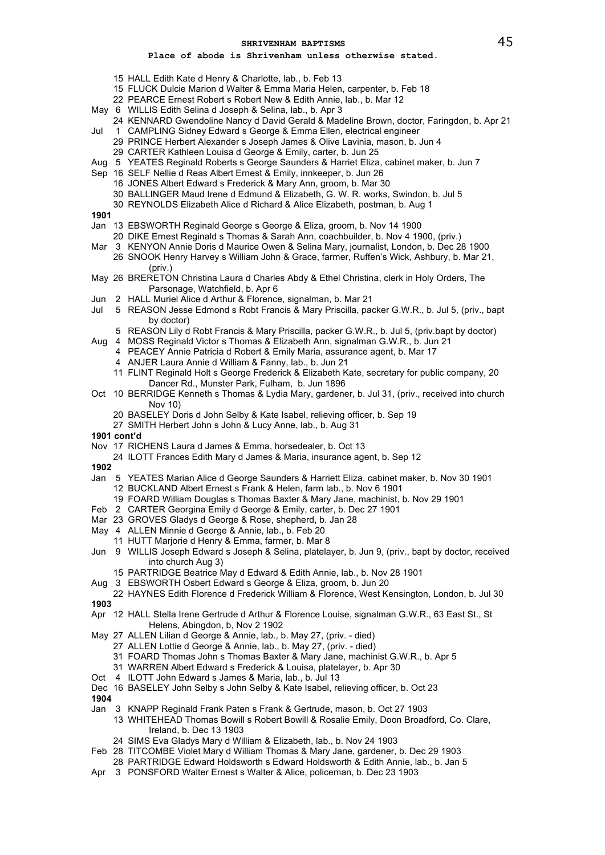# **Place of abode is Shrivenham unless otherwise stated.**

- 15 HALL Edith Kate d Henry & Charlotte, lab., b. Feb 13
- 15 FLUCK Dulcie Marion d Walter & Emma Maria Helen, carpenter, b. Feb 18
- 22 PEARCE Ernest Robert s Robert New & Edith Annie, lab., b. Mar 12
- May 6 WILLIS Edith Selina d Joseph & Selina, lab., b. Apr 3
- 24 KENNARD Gwendoline Nancy d David Gerald & Madeline Brown, doctor, Faringdon, b. Apr 21
- Jul 1 CAMPLING Sidney Edward s George & Emma Ellen, electrical engineer
	- 29 PRINCE Herbert Alexander s Joseph James & Olive Lavinia, mason, b. Jun 4
	- 29 CARTER Kathleen Louisa d George & Emily, carter, b. Jun 25
- Aug 5 YEATES Reginald Roberts s George Saunders & Harriet Eliza, cabinet maker, b. Jun 7
- Sep 16 SELF Nellie d Reas Albert Ernest & Emily, innkeeper, b. Jun 26
	- 16 JONES Albert Edward s Frederick & Mary Ann, groom, b. Mar 30 30 BALLINGER Maud Irene d Edmund & Elizabeth, G. W. R. works, Swindon, b. Jul 5
	- 30 REYNOLDS Elizabeth Alice d Richard & Alice Elizabeth, postman, b. Aug 1

- Jan 13 EBSWORTH Reginald George s George & Eliza, groom, b. Nov 14 1900
	- 20 DIKE Ernest Reginald s Thomas & Sarah Ann, coachbuilder, b. Nov 4 1900, (priv.)
- Mar 3 KENYON Annie Doris d Maurice Owen & Selina Mary, journalist, London, b. Dec 28 1900
- 26 SNOOK Henry Harvey s William John & Grace, farmer, Ruffen's Wick, Ashbury, b. Mar 21, (priv.)
- May 26 BRERETON Christina Laura d Charles Abdy & Ethel Christina, clerk in Holy Orders, The Parsonage, Watchfield, b. Apr 6
- Jun 2 HALL Muriel Alice d Arthur & Florence, signalman, b. Mar 21
- Jul 5 REASON Jesse Edmond s Robt Francis & Mary Priscilla, packer G.W.R., b. Jul 5, (priv., bapt by doctor)
	- 5 REASON Lily d Robt Francis & Mary Priscilla, packer G.W.R., b. Jul 5, (priv.bapt by doctor)
- Aug 4 MOSS Reginald Victor s Thomas & Elizabeth Ann, signalman G.W.R., b. Jun 21
	- 4 PEACEY Annie Patricia d Robert & Emily Maria, assurance agent, b. Mar 17
		- 4 ANJER Laura Annie d William & Fanny, lab., b. Jun 21
	- 11 FLINT Reginald Holt s George Frederick & Elizabeth Kate, secretary for public company, 20 Dancer Rd., Munster Park, Fulham, b. Jun 1896
- Oct 10 BERRIDGE Kenneth s Thomas & Lydia Mary, gardener, b. Jul 31, (priv., received into church Nov 10)
	- 20 BASELEY Doris d John Selby & Kate Isabel, relieving officer, b. Sep 19
	- 27 SMITH Herbert John s John & Lucy Anne, lab., b. Aug 31
- **1901 cont'd**
- Nov 17 RICHENS Laura d James & Emma, horsedealer, b. Oct 13
- 24 ILOTT Frances Edith Mary d James & Maria, insurance agent, b. Sep 12
- **1902**
- Jan 5 YEATES Marian Alice d George Saunders & Harriett Eliza, cabinet maker, b. Nov 30 1901 12 BUCKLAND Albert Ernest s Frank & Helen, farm lab., b. Nov 6 1901
	- 19 FOARD William Douglas s Thomas Baxter & Mary Jane, machinist, b. Nov 29 1901
- Feb 2 CARTER Georgina Emily d George & Emily, carter, b. Dec 27 1901
- Mar 23 GROVES Gladys d George & Rose, shepherd, b. Jan 28
- May 4 ALLEN Minnie d George & Annie, lab., b. Feb 20
	- 11 HUTT Marjorie d Henry & Emma, farmer, b. Mar 8
- Jun 9 WILLIS Joseph Edward s Joseph & Selina, platelayer, b. Jun 9, (priv., bapt by doctor, received into church Aug 3)
	- 15 PARTRIDGE Beatrice May d Edward & Edith Annie, lab., b. Nov 28 1901
- Aug 3 EBSWORTH Osbert Edward s George & Eliza, groom, b. Jun 20
- 22 HAYNES Edith Florence d Frederick William & Florence, West Kensington, London, b. Jul 30 **1903**
- Apr 12 HALL Stella Irene Gertrude d Arthur & Florence Louise, signalman G.W.R., 63 East St., St Helens, Abingdon, b, Nov 2 1902
- May 27 ALLEN Lilian d George & Annie, lab., b. May 27, (priv. died)
	- 27 ALLEN Lottie d George & Annie, lab., b. May 27, (priv. died)
		- 31 FOARD Thomas John s Thomas Baxter & Mary Jane, machinist G.W.R., b. Apr 5
	- 31 WARREN Albert Edward s Frederick & Louisa, platelayer, b. Apr 30
- Oct 4 ILOTT John Edward s James & Maria, lab., b. Jul 13
- Dec 16 BASELEY John Selby s John Selby & Kate Isabel, relieving officer, b. Oct 23
- **1904**
- Jan 3 KNAPP Reginald Frank Paten s Frank & Gertrude, mason, b. Oct 27 1903 13 WHITEHEAD Thomas Bowill s Robert Bowill & Rosalie Emily, Doon Broadford, Co. Clare, Ireland, b. Dec 13 1903
	- 24 SIMS Eva Gladys Mary d William & Elizabeth, lab., b. Nov 24 1903
- Feb 28 TITCOMBE Violet Mary d William Thomas & Mary Jane, gardener, b. Dec 29 1903
- 28 PARTRIDGE Edward Holdsworth s Edward Holdsworth & Edith Annie, lab., b. Jan 5
- Apr 3 PONSFORD Walter Ernest s Walter & Alice, policeman, b. Dec 23 1903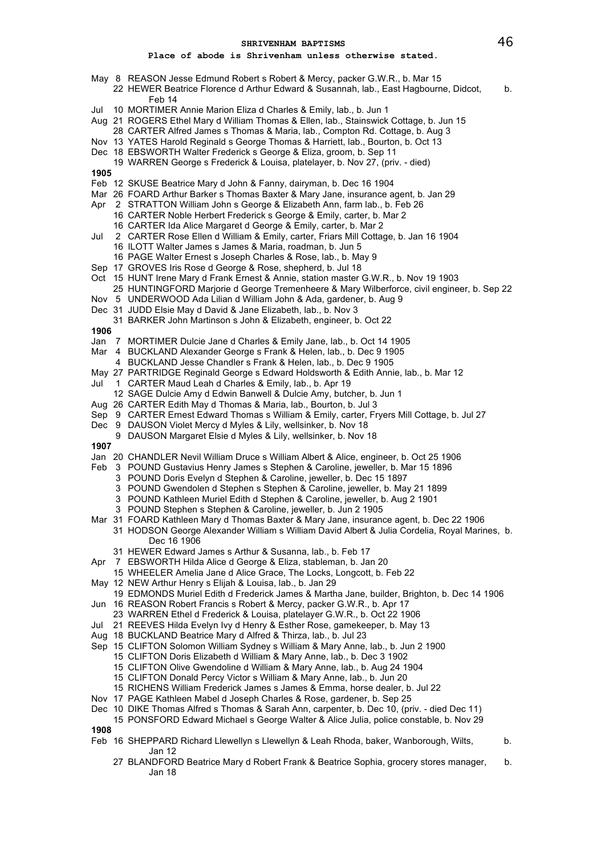# **Place of abode is Shrivenham unless otherwise stated.**

- May 8 REASON Jesse Edmund Robert s Robert & Mercy, packer G.W.R., b. Mar 15
	- 22 HEWER Beatrice Florence d Arthur Edward & Susannah, lab., East Hagbourne, Didcot, b. Feb 14
- Jul 10 MORTIMER Annie Marion Eliza d Charles & Emily, lab., b. Jun 1
- Aug 21 ROGERS Ethel Mary d William Thomas & Ellen, lab., Stainswick Cottage, b. Jun 15
- 28 CARTER Alfred James s Thomas & Maria, lab., Compton Rd. Cottage, b. Aug 3
- Nov 13 YATES Harold Reginald s George Thomas & Harriett, lab., Bourton, b. Oct 13
- Dec 18 EBSWORTH Walter Frederick s George & Eliza, groom, b. Sep 11
- 19 WARREN George s Frederick & Louisa, platelayer, b. Nov 27, (priv. died)
- **1905**
- Feb 12 SKUSE Beatrice Mary d John & Fanny, dairyman, b. Dec 16 1904
- Mar 26 FOARD Arthur Barker s Thomas Baxter & Mary Jane, insurance agent, b. Jan 29
- Apr 2 STRATTON William John s George & Elizabeth Ann, farm lab., b. Feb 26
	- 16 CARTER Noble Herbert Frederick s George & Emily, carter, b. Mar 2
	- 16 CARTER Ida Alice Margaret d George & Emily, carter, b. Mar 2
- Jul 2 CARTER Rose Ellen d William & Emily, carter, Friars Mill Cottage, b. Jan 16 1904
	- 16 ILOTT Walter James s James & Maria, roadman, b. Jun 5
	- 16 PAGE Walter Ernest s Joseph Charles & Rose, lab., b. May 9
- Sep 17 GROVES Iris Rose d George & Rose, shepherd, b. Jul 18
- Oct 15 HUNT Irene Mary d Frank Ernest & Annie, station master G.W.R., b. Nov 19 1903
	- 25 HUNTINGFORD Marjorie d George Tremenheere & Mary Wilberforce, civil engineer, b. Sep 22
- Nov 5 UNDERWOOD Ada Lilian d William John & Ada, gardener, b. Aug 9
- Dec 31 JUDD Elsie May d David & Jane Elizabeth, lab., b. Nov 3
- 31 BARKER John Martinson s John & Elizabeth, engineer, b. Oct 22

**1906**

- Jan 7 MORTIMER Dulcie Jane d Charles & Emily Jane, lab., b. Oct 14 1905
- Mar 4 BUCKLAND Alexander George s Frank & Helen, lab., b. Dec 9 1905
	- 4 BUCKLAND Jesse Chandler s Frank & Helen, lab., b. Dec 9 1905
- May 27 PARTRIDGE Reginald George s Edward Holdsworth & Edith Annie, lab., b. Mar 12
- Jul 1 CARTER Maud Leah d Charles & Emily, lab., b. Apr 19
- 12 SAGE Dulcie Amy d Edwin Banwell & Dulcie Amy, butcher, b. Jun 1
- Aug 26 CARTER Edith May d Thomas & Maria, lab., Bourton, b. Jul 3
- Sep 9 CARTER Ernest Edward Thomas s William & Emily, carter, Fryers Mill Cottage, b. Jul 27
- Dec 9 DAUSON Violet Mercy d Myles & Lily, wellsinker, b. Nov 18
- 9 DAUSON Margaret Elsie d Myles & Lily, wellsinker, b. Nov 18

- Jan 20 CHANDLER Nevil William Druce s William Albert & Alice, engineer, b. Oct 25 1906
- Feb 3 POUND Gustavius Henry James s Stephen & Caroline, jeweller, b. Mar 15 1896
	- 3 POUND Doris Evelyn d Stephen & Caroline, jeweller, b. Dec 15 1897
	- 3 POUND Gwendolen d Stephen s Stephen & Caroline, jeweller, b. May 21 1899
	- 3 POUND Kathleen Muriel Edith d Stephen & Caroline, jeweller, b. Aug 2 1901
	- 3 POUND Stephen s Stephen & Caroline, jeweller, b. Jun 2 1905
- Mar 31 FOARD Kathleen Mary d Thomas Baxter & Mary Jane, insurance agent, b. Dec 22 1906 31 HODSON George Alexander William s William David Albert & Julia Cordelia, Royal Marines, b.
	- Dec 16 1906
	- 31 HEWER Edward James s Arthur & Susanna, lab., b. Feb 17
- Apr 7 EBSWORTH Hilda Alice d George & Eliza, stableman, b. Jan 20
	- 15 WHEELER Amelia Jane d Alice Grace, The Locks, Longcott, b. Feb 22
- May 12 NEW Arthur Henry s Elijah & Louisa, lab., b. Jan 29
- 19 EDMONDS Muriel Edith d Frederick James & Martha Jane, builder, Brighton, b. Dec 14 1906 Jun 16 REASON Robert Francis s Robert & Mercy, packer G.W.R., b. Apr 17
- 23 WARREN Ethel d Frederick & Louisa, platelayer G.W.R., b. Oct 22 1906
- Jul 21 REEVES Hilda Evelyn Ivy d Henry & Esther Rose, gamekeeper, b. May 13
- Aug 18 BUCKLAND Beatrice Mary d Alfred & Thirza, lab., b. Jul 23
- Sep 15 CLIFTON Solomon William Sydney s William & Mary Anne, lab., b. Jun 2 1900
	- 15 CLIFTON Doris Elizabeth d William & Mary Anne, lab., b. Dec 3 1902
	- 15 CLIFTON Olive Gwendoline d William & Mary Anne, lab., b. Aug 24 1904
	- 15 CLIFTON Donald Percy Victor s William & Mary Anne, lab., b. Jun 20
	- 15 RICHENS William Frederick James s James & Emma, horse dealer, b. Jul 22
- Nov 17 PAGE Kathleen Mabel d Joseph Charles & Rose, gardener, b. Sep 25
- Dec 10 DIKE Thomas Alfred s Thomas & Sarah Ann, carpenter, b. Dec 10, (priv. died Dec 11)
- 15 PONSFORD Edward Michael s George Walter & Alice Julia, police constable, b. Nov 29 **1908**
- Feb 16 SHEPPARD Richard Llewellyn s Llewellyn & Leah Rhoda, baker, Wanborough, Wilts, b. Jan 12
	- 27 BLANDFORD Beatrice Mary d Robert Frank & Beatrice Sophia, grocery stores manager, b. Jan 18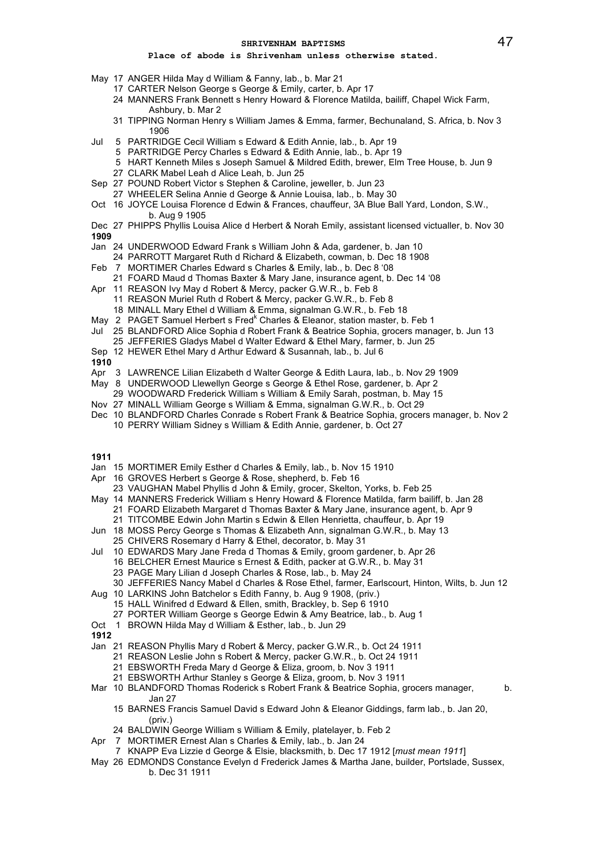- May 17 ANGER Hilda May d William & Fanny, lab., b. Mar 21
	- 17 CARTER Nelson George s George & Emily, carter, b. Apr 17
	- 24 MANNERS Frank Bennett s Henry Howard & Florence Matilda, bailiff, Chapel Wick Farm, Ashbury, b. Mar 2
	- 31 TIPPING Norman Henry s William James & Emma, farmer, Bechunaland, S. Africa, b. Nov 3 1906
- Jul 5 PARTRIDGE Cecil William s Edward & Edith Annie, lab., b. Apr 19
	- 5 PARTRIDGE Percy Charles s Edward & Edith Annie, lab., b. Apr 19
	- 5 HART Kenneth Miles s Joseph Samuel & Mildred Edith, brewer, Elm Tree House, b. Jun 9
	- 27 CLARK Mabel Leah d Alice Leah, b. Jun 25
- Sep 27 POUND Robert Victor s Stephen & Caroline, jeweller, b. Jun 23
- 27 WHEELER Selina Annie d George & Annie Louisa, lab., b. May 30
- Oct 16 JOYCE Louisa Florence d Edwin & Frances, chauffeur, 3A Blue Ball Yard, London, S.W., b. Aug 9 1905
- Dec 27 PHIPPS Phyllis Louisa Alice d Herbert & Norah Emily, assistant licensed victualler, b. Nov 30 **1909**
- Jan 24 UNDERWOOD Edward Frank s William John & Ada, gardener, b. Jan 10
- 24 PARROTT Margaret Ruth d Richard & Elizabeth, cowman, b. Dec 18 1908
- Feb 7 MORTIMER Charles Edward s Charles & Emily, lab., b. Dec 8 '08
- 21 FOARD Maud d Thomas Baxter & Mary Jane, insurance agent, b. Dec 14 '08 Apr 11 REASON Ivy May d Robert & Mercy, packer G.W.R., b. Feb 8
- 11 REASON Muriel Ruth d Robert & Mercy, packer G.W.R., b. Feb 8
	-
- 18 MINALL Mary Ethel d William & Emma, signalman G.W.R., b. Feb 18
- May 2 PAGET Samuel Herbert s Fred<sup>k</sup> Charles & Eleanor, station master, b. Feb 1
- Jul 25 BLANDFORD Alice Sophia d Robert Frank & Beatrice Sophia, grocers manager, b. Jun 13
- 25 JEFFERIES Gladys Mabel d Walter Edward & Ethel Mary, farmer, b. Jun 25
- Sep 12 HEWER Ethel Mary d Arthur Edward & Susannah, lab., b. Jul 6
- **1910**
- Apr 3 LAWRENCE Lilian Elizabeth d Walter George & Edith Laura, lab., b. Nov 29 1909
- May 8 UNDERWOOD Llewellyn George s George & Ethel Rose, gardener, b. Apr 2
- 29 WOODWARD Frederick William s William & Emily Sarah, postman, b. May 15
- Nov 27 MINALL William George s William & Emma, signalman G.W.R., b. Oct 29
- Dec 10 BLANDFORD Charles Conrade s Robert Frank & Beatrice Sophia, grocers manager, b. Nov 2 10 PERRY William Sidney s William & Edith Annie, gardener, b. Oct 27
- **1911**
- Jan 15 MORTIMER Emily Esther d Charles & Emily, lab., b. Nov 15 1910
- Apr 16 GROVES Herbert s George & Rose, shepherd, b. Feb 16
- 23 VAUGHAN Mabel Phyllis d John & Emily, grocer, Skelton, Yorks, b. Feb 25 May 14 MANNERS Frederick William s Henry Howard & Florence Matilda, farm bailiff, b. Jan 28
- 21 FOARD Elizabeth Margaret d Thomas Baxter & Mary Jane, insurance agent, b. Apr 9 21 TITCOMBE Edwin John Martin s Edwin & Ellen Henrietta, chauffeur, b. Apr 19
- Jun 18 MOSS Percy George s Thomas & Elizabeth Ann, signalman G.W.R., b. May 13
- 25 CHIVERS Rosemary d Harry & Ethel, decorator, b. May 31
- Jul 10 EDWARDS Mary Jane Freda d Thomas & Emily, groom gardener, b. Apr 26
	- 16 BELCHER Ernest Maurice s Ernest & Edith, packer at G.W.R., b. May 31
		- 23 PAGE Mary Lilian d Joseph Charles & Rose, lab., b. May 24
	- 30 JEFFERIES Nancy Mabel d Charles & Rose Ethel, farmer, Earlscourt, Hinton, Wilts, b. Jun 12
- Aug 10 LARKINS John Batchelor s Edith Fanny, b. Aug 9 1908, (priv.)
	- 15 HALL Winifred d Edward & Ellen, smith, Brackley, b. Sep 6 1910
		- 27 PORTER William George s George Edwin & Amy Beatrice, lab., b. Aug 1
- Oct 1 BROWN Hilda May d William & Esther, lab., b. Jun 29
- **1912**
- Jan 21 REASON Phyllis Mary d Robert & Mercy, packer G.W.R., b. Oct 24 1911
	- 21 REASON Leslie John s Robert & Mercy, packer G.W.R., b. Oct 24 1911
		- 21 EBSWORTH Freda Mary d George & Eliza, groom, b. Nov 3 1911
		- 21 EBSWORTH Arthur Stanley s George & Eliza, groom, b. Nov 3 1911
- Mar 10 BLANDFORD Thomas Roderick s Robert Frank & Beatrice Sophia, grocers manager, b. Jan 27
	- 15 BARNES Francis Samuel David s Edward John & Eleanor Giddings, farm lab., b. Jan 20, (priv.)
	- 24 BALDWIN George William s William & Emily, platelayer, b. Feb 2
- Apr 7 MORTIMER Ernest Alan s Charles & Emily, lab., b. Jan 24
	- 7 KNAPP Eva Lizzie d George & Elsie, blacksmith, b. Dec 17 1912 [*must mean 1911*]
- May 26 EDMONDS Constance Evelyn d Frederick James & Martha Jane, builder, Portslade, Sussex, b. Dec 31 1911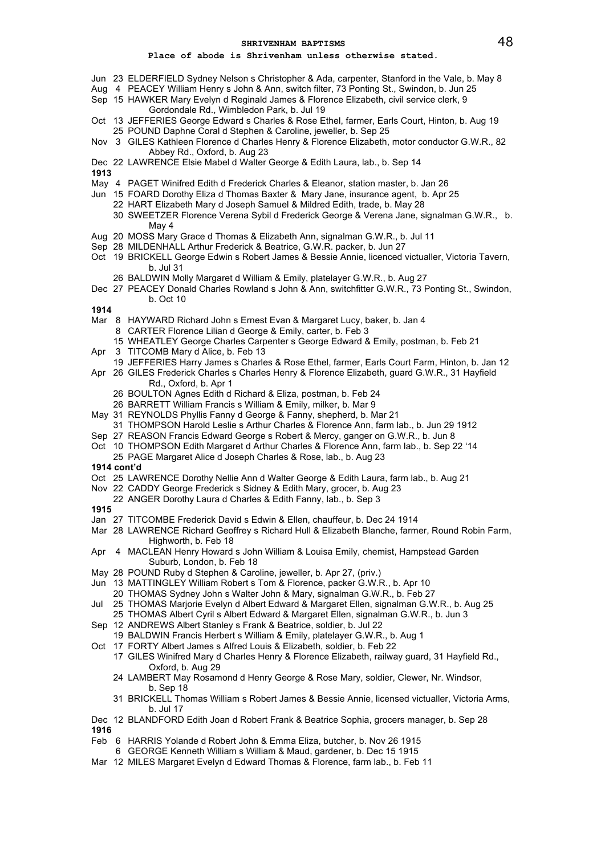# **Place of abode is Shrivenham unless otherwise stated.**

- Jun 23 ELDERFIELD Sydney Nelson s Christopher & Ada, carpenter, Stanford in the Vale, b. May 8
- Aug 4 PEACEY William Henry s John & Ann, switch filter, 73 Ponting St., Swindon, b. Jun 25
- Sep 15 HAWKER Mary Evelyn d Reginald James & Florence Elizabeth, civil service clerk, 9 Gordondale Rd., Wimbledon Park, b. Jul 19
- Oct 13 JEFFERIES George Edward s Charles & Rose Ethel, farmer, Earls Court, Hinton, b. Aug 19 25 POUND Daphne Coral d Stephen & Caroline, jeweller, b. Sep 25
- Nov 3 GILES Kathleen Florence d Charles Henry & Florence Elizabeth, motor conductor G.W.R., 82 Abbey Rd., Oxford, b. Aug 23
- Dec 22 LAWRENCE Elsie Mabel d Walter George & Edith Laura, lab., b. Sep 14

**1913**

- May 4 PAGET Winifred Edith d Frederick Charles & Eleanor, station master, b. Jan 26
- Jun 15 FOARD Dorothy Eliza d Thomas Baxter & Mary Jane, insurance agent, b. Apr 25
	- 22 HART Elizabeth Mary d Joseph Samuel & Mildred Edith, trade, b. May 28
		- 30 SWEETZER Florence Verena Sybil d Frederick George & Verena Jane, signalman G.W.R., b. May 4
- Aug 20 MOSS Mary Grace d Thomas & Elizabeth Ann, signalman G.W.R., b. Jul 11
- Sep 28 MILDENHALL Arthur Frederick & Beatrice, G.W.R. packer, b. Jun 27
- Oct 19 BRICKELL George Edwin s Robert James & Bessie Annie, licenced victualler, Victoria Tavern, b. Jul 31
	- 26 BALDWIN Molly Margaret d William & Emily, platelayer G.W.R., b. Aug 27
- Dec 27 PEACEY Donald Charles Rowland s John & Ann, switchfitter G.W.R., 73 Ponting St., Swindon, b. Oct 10

- Mar 8 HAYWARD Richard John s Ernest Evan & Margaret Lucy, baker, b. Jan 4
- 8 CARTER Florence Lilian d George & Emily, carter, b. Feb 3
- 15 WHEATLEY George Charles Carpenter s George Edward & Emily, postman, b. Feb 21
- Apr 3 TITCOMB Mary d Alice, b. Feb 13
- 19 JEFFERIES Harry James s Charles & Rose Ethel, farmer, Earls Court Farm, Hinton, b. Jan 12
- Apr 26 GILES Frederick Charles s Charles Henry & Florence Elizabeth, guard G.W.R., 31 Hayfield Rd., Oxford, b. Apr 1
	- 26 BOULTON Agnes Edith d Richard & Eliza, postman, b. Feb 24
	- 26 BARRETT William Francis s William & Emily, milker, b. Mar 9
- May 31 REYNOLDS Phyllis Fanny d George & Fanny, shepherd, b. Mar 21
- 31 THOMPSON Harold Leslie s Arthur Charles & Florence Ann, farm lab., b. Jun 29 1912
- Sep 27 REASON Francis Edward George s Robert & Mercy, ganger on G.W.R., b. Jun 8
- Oct 10 THOMPSON Edith Margaret d Arthur Charles & Florence Ann, farm lab., b. Sep 22 '14 25 PAGE Margaret Alice d Joseph Charles & Rose, lab., b. Aug 23
- **1914 cont'd**
- Oct 25 LAWRENCE Dorothy Nellie Ann d Walter George & Edith Laura, farm lab., b. Aug 21
- Nov 22 CADDY George Frederick s Sidney & Edith Mary, grocer, b. Aug 23
- 22 ANGER Dorothy Laura d Charles & Edith Fanny, lab., b. Sep 3
- **1915**
- Jan 27 TITCOMBE Frederick David s Edwin & Ellen, chauffeur, b. Dec 24 1914
- Mar 28 LAWRENCE Richard Geoffrey s Richard Hull & Elizabeth Blanche, farmer, Round Robin Farm, Highworth, b. Feb 18
- Apr 4 MACLEAN Henry Howard s John William & Louisa Emily, chemist, Hampstead Garden Suburb, London, b. Feb 18
- May 28 POUND Ruby d Stephen & Caroline, jeweller, b. Apr 27, (priv.)
- Jun 13 MATTINGLEY William Robert s Tom & Florence, packer G.W.R., b. Apr 10
	- 20 THOMAS Sydney John s Walter John & Mary, signalman G.W.R., b. Feb 27
- Jul 25 THOMAS Marjorie Evelyn d Albert Edward & Margaret Ellen, signalman G.W.R., b. Aug 25
- 25 THOMAS Albert Cyril s Albert Edward & Margaret Ellen, signalman G.W.R., b. Jun 3
- Sep 12 ANDREWS Albert Stanley s Frank & Beatrice, soldier, b. Jul 22
- 19 BALDWIN Francis Herbert s William & Emily, platelayer G.W.R., b. Aug 1 Oct 17 FORTY Albert James s Alfred Louis & Elizabeth, soldier, b. Feb 22
	- 17 GILES Winifred Mary d Charles Henry & Florence Elizabeth, railway guard, 31 Hayfield Rd., Oxford, b. Aug 29
		- 24 LAMBERT May Rosamond d Henry George & Rose Mary, soldier, Clewer, Nr. Windsor, b. Sep 18
		- 31 BRICKELL Thomas William s Robert James & Bessie Annie, licensed victualler, Victoria Arms, b. Jul 17
- Dec 12 BLANDFORD Edith Joan d Robert Frank & Beatrice Sophia, grocers manager, b. Sep 28 **1916**
- Feb 6 HARRIS Yolande d Robert John & Emma Eliza, butcher, b. Nov 26 1915
- 6 GEORGE Kenneth William s William & Maud, gardener, b. Dec 15 1915
- Mar 12 MILES Margaret Evelyn d Edward Thomas & Florence, farm lab., b. Feb 11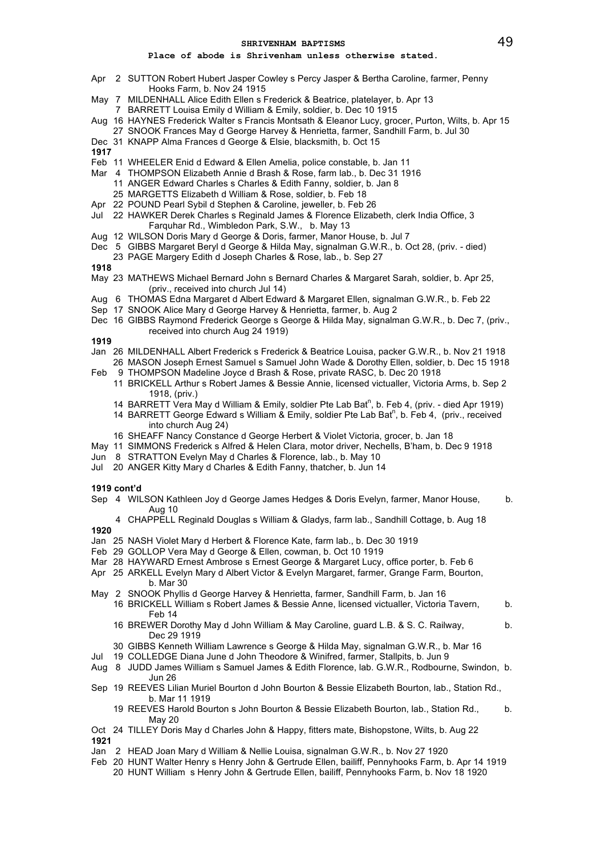## **Place of abode is Shrivenham unless otherwise stated.**

- Apr 2 SUTTON Robert Hubert Jasper Cowley s Percy Jasper & Bertha Caroline, farmer, Penny Hooks Farm, b. Nov 24 1915
- May 7 MILDENHALL Alice Edith Ellen s Frederick & Beatrice, platelayer, b. Apr 13
- 7 BARRETT Louisa Emily d William & Emily, soldier, b. Dec 10 1915
- Aug 16 HAYNES Frederick Walter s Francis Montsath & Eleanor Lucy, grocer, Purton, Wilts, b. Apr 15
- 27 SNOOK Frances May d George Harvey & Henrietta, farmer, Sandhill Farm, b. Jul 30
- Dec 31 KNAPP Alma Frances d George & Elsie, blacksmith, b. Oct 15
- **1917**
- Feb 11 WHEELER Enid d Edward & Ellen Amelia, police constable, b. Jan 11
- Mar 4 THOMPSON Elizabeth Annie d Brash & Rose, farm lab., b. Dec 31 1916 11 ANGER Edward Charles s Charles & Edith Fanny, soldier, b. Jan 8 25 MARGETTS Elizabeth d William & Rose, soldier, b. Feb 18
	-
- Apr 22 POUND Pearl Sybil d Stephen & Caroline, jeweller, b. Feb 26 Jul 22 HAWKER Derek Charles s Reginald James & Florence Elizabeth, clerk India Office, 3 Farquhar Rd., Wimbledon Park, S.W., b. May 13
	-
- Aug 12 WILSON Doris Mary d George & Doris, farmer, Manor House, b. Jul 7
- Dec 5 GIBBS Margaret Beryl d George & Hilda May, signalman G.W.R., b. Oct 28, (priv. died)
- 23 PAGE Margery Edith d Joseph Charles & Rose, lab., b. Sep 27

# **1918**

- May 23 MATHEWS Michael Bernard John s Bernard Charles & Margaret Sarah, soldier, b. Apr 25, (priv., received into church Jul 14)
- Aug 6 THOMAS Edna Margaret d Albert Edward & Margaret Ellen, signalman G.W.R., b. Feb 22
- Sep 17 SNOOK Alice Mary d George Harvey & Henrietta, farmer, b. Aug 2
- Dec 16 GIBBS Raymond Frederick George s George & Hilda May, signalman G.W.R., b. Dec 7, (priv., received into church Aug 24 1919)

# **1919**

- Jan 26 MILDENHALL Albert Frederick s Frederick & Beatrice Louisa, packer G.W.R., b. Nov 21 1918 26 MASON Joseph Ernest Samuel s Samuel John Wade & Dorothy Ellen, soldier, b. Dec 15 1918
- Feb 9 THOMPSON Madeline Joyce d Brash & Rose, private RASC, b. Dec 20 1918
	- 11 BRICKELL Arthur s Robert James & Bessie Annie, licensed victualler, Victoria Arms, b. Sep 2 1918, (priv.)
	- 14 BARRETT Vera May d William & Emily, soldier Pte Lab Bat<sup>n</sup>, b. Feb 4, (priv. died Apr 1919)
	- 14 BARRETT George Edward s William & Emily, soldier Pte Lab Bat<sup>n</sup>, b. Feb 4, (priv., received into church Aug 24)
	- 16 SHEAFF Nancy Constance d George Herbert & Violet Victoria, grocer, b. Jan 18
- May 11 SIMMONS Frederick s Alfred & Helen Clara, motor driver, Nechells, B'ham, b. Dec 9 1918
- Jun 8 STRATTON Evelyn May d Charles & Florence, lab., b. May 10
- Jul 20 ANGER Kitty Mary d Charles & Edith Fanny, thatcher, b. Jun 14

# **1919 cont'd**

- Sep 4 WILSON Kathleen Joy d George James Hedges & Doris Evelyn, farmer, Manor House, b. Aug 10
- 4 CHAPPELL Reginald Douglas s William & Gladys, farm lab., Sandhill Cottage, b. Aug 18 **1920**
- Jan 25 NASH Violet Mary d Herbert & Florence Kate, farm lab., b. Dec 30 1919
- Feb 29 GOLLOP Vera May d George & Ellen, cowman, b. Oct 10 1919
- Mar 28 HAYWARD Ernest Ambrose s Ernest George & Margaret Lucy, office porter, b. Feb 6
- Apr 25 ARKELL Evelyn Mary d Albert Victor & Evelyn Margaret, farmer, Grange Farm, Bourton, b. Mar 30
- May 2 SNOOK Phyllis d George Harvey & Henrietta, farmer, Sandhill Farm, b. Jan 16
	- 16 BRICKELL William s Robert James & Bessie Anne, licensed victualler, Victoria Tavern, b. Feb 14
	- 16 BREWER Dorothy May d John William & May Caroline, guard L.B. & S. C. Railway, b. Dec 29 1919
	- 30 GIBBS Kenneth William Lawrence s George & Hilda May, signalman G.W.R., b. Mar 16
- Jul 19 COLLEDGE Diana June d John Theodore & Winifred, farmer, Stallpits, b. Jun 9
- Aug 8 JUDD James William s Samuel James & Edith Florence, lab. G.W.R., Rodbourne, Swindon, b. Jun 26
- Sep 19 REEVES Lilian Muriel Bourton d John Bourton & Bessie Elizabeth Bourton, lab., Station Rd., b. Mar 11 1919
	- 19 REEVES Harold Bourton s John Bourton & Bessie Elizabeth Bourton, lab., Station Rd., b. May 20
- Oct 24 TILLEY Doris May d Charles John & Happy, fitters mate, Bishopstone, Wilts, b. Aug 22 **1921**
- Jan 2 HEAD Joan Mary d William & Nellie Louisa, signalman G.W.R., b. Nov 27 1920
- Feb 20 HUNT Walter Henry s Henry John & Gertrude Ellen, bailiff, Pennyhooks Farm, b. Apr 14 1919
	- 20 HUNT William s Henry John & Gertrude Ellen, bailiff, Pennyhooks Farm, b. Nov 18 1920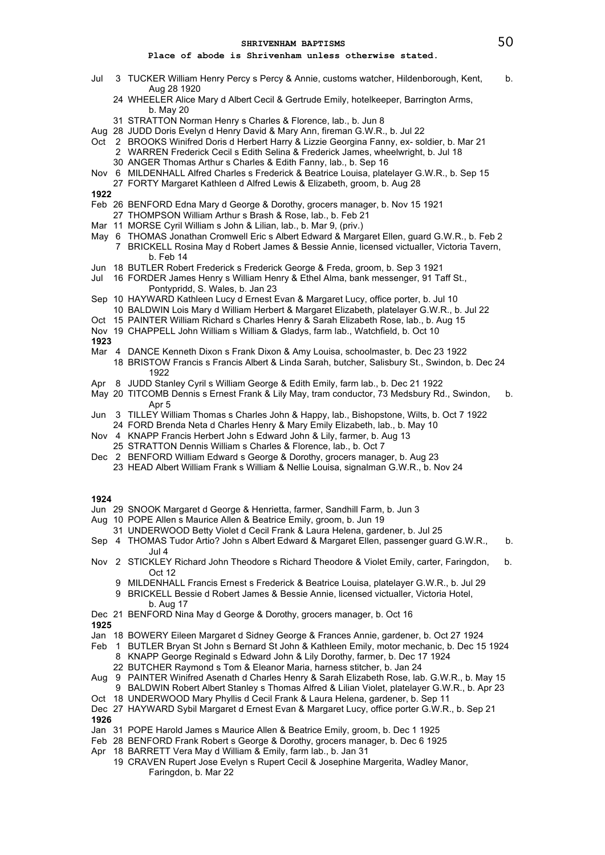# **Place of abode is Shrivenham unless otherwise stated.**

- Jul 3 TUCKER William Henry Percy s Percy & Annie, customs watcher, Hildenborough, Kent, b. Aug 28 1920
	- 24 WHEELER Alice Mary d Albert Cecil & Gertrude Emily, hotelkeeper, Barrington Arms, b. May 20
	- 31 STRATTON Norman Henry s Charles & Florence, lab., b. Jun 8
- Aug 28 JUDD Doris Evelyn d Henry David & Mary Ann, fireman G.W.R., b. Jul 22
- Oct 2 BROOKS Winifred Doris d Herbert Harry & Lizzie Georgina Fanny, ex- soldier, b. Mar 21 2 WARREN Frederick Cecil s Edith Selina & Frederick James, wheelwright, b. Jul 18
	- 30 ANGER Thomas Arthur s Charles & Edith Fanny, lab., b. Sep 16
- Nov 6 MILDENHALL Alfred Charles s Frederick & Beatrice Louisa, platelayer G.W.R., b. Sep 15
	- 27 FORTY Margaret Kathleen d Alfred Lewis & Elizabeth, groom, b. Aug 28

**1922**

- Feb 26 BENFORD Edna Mary d George & Dorothy, grocers manager, b. Nov 15 1921
- 27 THOMPSON William Arthur s Brash & Rose, lab., b. Feb 21
- Mar 11 MORSE Cyril William s John & Lilian, lab., b. Mar 9, (priv.)
- May 6 THOMAS Jonathan Cromwell Eric s Albert Edward & Margaret Ellen, guard G.W.R., b. Feb 2
	- 7 BRICKELL Rosina May d Robert James & Bessie Annie, licensed victualler, Victoria Tavern, b. Feb 14
- Jun 18 BUTLER Robert Frederick s Frederick George & Freda, groom, b. Sep 3 1921
- Jul 16 FORDER James Henry s William Henry & Ethel Alma, bank messenger, 91 Taff St., Pontypridd, S. Wales, b. Jan 23
- Sep 10 HAYWARD Kathleen Lucy d Ernest Evan & Margaret Lucy, office porter, b. Jul 10 10 BALDWIN Lois Mary d William Herbert & Margaret Elizabeth, platelayer G.W.R., b. Jul 22
- Oct 15 PAINTER William Richard s Charles Henry & Sarah Elizabeth Rose, lab., b. Aug 15
- Nov 19 CHAPPELL John William s William & Gladys, farm lab., Watchfield, b. Oct 10

**1923**

- Mar 4 DANCE Kenneth Dixon s Frank Dixon & Amy Louisa, schoolmaster, b. Dec 23 1922
- 18 BRISTOW Francis s Francis Albert & Linda Sarah, butcher, Salisbury St., Swindon, b. Dec 24 1922
- Apr 8 JUDD Stanley Cyril s William George & Edith Emily, farm lab., b. Dec 21 1922
- May 20 TITCOMB Dennis s Ernest Frank & Lily May, tram conductor, 73 Medsbury Rd., Swindon, b. Apr 5
- Jun 3 TILLEY William Thomas s Charles John & Happy, lab., Bishopstone, Wilts, b. Oct 7 1922 24 FORD Brenda Neta d Charles Henry & Mary Emily Elizabeth, lab., b. May 10
- Nov 4 KNAPP Francis Herbert John s Edward John & Lily, farmer, b. Aug 13
- 25 STRATTON Dennis William s Charles & Florence, lab., b. Oct 7
- Dec 2 BENFORD William Edward s George & Dorothy, grocers manager, b. Aug 23
	- 23 HEAD Albert William Frank s William & Nellie Louisa, signalman G.W.R., b. Nov 24

- Jun 29 SNOOK Margaret d George & Henrietta, farmer, Sandhill Farm, b. Jun 3
- Aug 10 POPE Allen s Maurice Allen & Beatrice Emily, groom, b. Jun 19
- 31 UNDERWOOD Betty Violet d Cecil Frank & Laura Helena, gardener, b. Jul 25
- Sep 4 THOMAS Tudor Artio? John s Albert Edward & Margaret Ellen, passenger guard G.W.R., b. Jul 4
- Nov 2 STICKLEY Richard John Theodore s Richard Theodore & Violet Emily, carter, Faringdon, b. Oct 12
	- 9 MILDENHALL Francis Ernest s Frederick & Beatrice Louisa, platelayer G.W.R., b. Jul 29
	- 9 BRICKELL Bessie d Robert James & Bessie Annie, licensed victualler, Victoria Hotel, b. Aug 17
- Dec 21 BENFORD Nina May d George & Dorothy, grocers manager, b. Oct 16 **1925**

- Jan 18 BOWERY Eileen Margaret d Sidney George & Frances Annie, gardener, b. Oct 27 1924
- Feb 1 BUTLER Bryan St John s Bernard St John & Kathleen Emily, motor mechanic, b. Dec 15 1924
	- 8 KNAPP George Reginald s Edward John & Lily Dorothy, farmer, b. Dec 17 1924
- 22 BUTCHER Raymond s Tom & Eleanor Maria, harness stitcher, b. Jan 24 Aug 9 PAINTER Winifred Asenath d Charles Henry & Sarah Elizabeth Rose, lab. G.W.R., b. May 15
- 9 BALDWIN Robert Albert Stanley s Thomas Alfred & Lilian Violet, platelayer G.W.R., b. Apr 23 Oct 18 UNDERWOOD Mary Phyllis d Cecil Frank & Laura Helena, gardener, b. Sep 11
- Dec 27 HAYWARD Sybil Margaret d Ernest Evan & Margaret Lucy, office porter G.W.R., b. Sep 21
- **1926**
- Jan 31 POPE Harold James s Maurice Allen & Beatrice Emily, groom, b. Dec 1 1925
- Feb 28 BENFORD Frank Robert s George & Dorothy, grocers manager, b. Dec 6 1925
- Apr 18 BARRETT Vera May d William & Emily, farm lab., b. Jan 31
	- 19 CRAVEN Rupert Jose Evelyn s Rupert Cecil & Josephine Margerita, Wadley Manor, Faringdon, b. Mar 22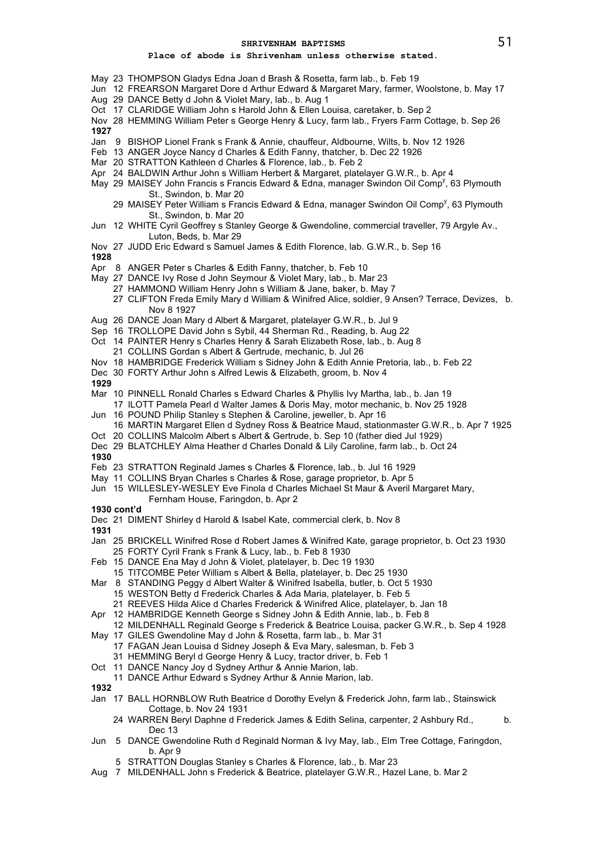# **Place of abode is Shrivenham unless otherwise stated.**

- May 23 THOMPSON Gladys Edna Joan d Brash & Rosetta, farm lab., b. Feb 19
- Jun 12 FREARSON Margaret Dore d Arthur Edward & Margaret Mary, farmer, Woolstone, b. May 17
- Aug 29 DANCE Betty d John & Violet Mary, lab., b. Aug 1
- Oct 17 CLARIDGE William John s Harold John & Ellen Louisa, caretaker, b. Sep 2
- Nov 28 HEMMING William Peter s George Henry & Lucy, farm lab., Fryers Farm Cottage, b. Sep 26 **1927**
- Jan 9 BISHOP Lionel Frank s Frank & Annie, chauffeur, Aldbourne, Wilts, b. Nov 12 1926
- Feb 13 ANGER Joyce Nancy d Charles & Edith Fanny, thatcher, b. Dec 22 1926
- Mar 20 STRATTON Kathleen d Charles & Florence, lab., b. Feb 2
- Apr 24 BALDWIN Arthur John s William Herbert & Margaret, platelayer G.W.R., b. Apr 4
- May 29 MAISEY John Francis s Francis Edward & Edna, manager Swindon Oil Comp<sup>y</sup>, 63 Plymouth St., Swindon, b. Mar 20
	- 29 MAISEY Peter William s Francis Edward & Edna, manager Swindon Oil Comp<sup>y</sup>, 63 Plymouth St., Swindon, b. Mar 20
- Jun 12 WHITE Cyril Geoffrey s Stanley George & Gwendoline, commercial traveller, 79 Argyle Av., Luton, Beds, b. Mar 29
- Nov 27 JUDD Eric Edward s Samuel James & Edith Florence, lab. G.W.R., b. Sep 16
- **1928**
- Apr 8 ANGER Peter s Charles & Edith Fanny, thatcher, b. Feb 10
- May 27 DANCE Ivy Rose d John Seymour & Violet Mary, lab., b. Mar 23
	- 27 HAMMOND William Henry John s William & Jane, baker, b. May 7
	- 27 CLIFTON Freda Emily Mary d William & Winifred Alice, soldier, 9 Ansen? Terrace, Devizes, b. Nov 8 1927
- Aug 26 DANCE Joan Mary d Albert & Margaret, platelayer G.W.R., b. Jul 9
- Sep 16 TROLLOPE David John s Sybil, 44 Sherman Rd., Reading, b. Aug 22
- Oct 14 PAINTER Henry s Charles Henry & Sarah Elizabeth Rose, lab., b. Aug 8
- 21 COLLINS Gordan s Albert & Gertrude, mechanic, b. Jul 26
- Nov 18 HAMBRIDGE Frederick William s Sidney John & Edith Annie Pretoria, lab., b. Feb 22
- Dec 30 FORTY Arthur John s Alfred Lewis & Elizabeth, groom, b. Nov 4
- **1929**
- Mar 10 PINNELL Ronald Charles s Edward Charles & Phyllis Ivy Martha, lab., b. Jan 19
- 17 ILOTT Pamela Pearl d Walter James & Doris May, motor mechanic, b. Nov 25 1928
- Jun 16 POUND Philip Stanley s Stephen & Caroline, jeweller, b. Apr 16 16 MARTIN Margaret Ellen d Sydney Ross & Beatrice Maud, stationmaster G.W.R., b. Apr 7 1925
- Oct 20 COLLINS Malcolm Albert s Albert & Gertrude, b. Sep 10 (father died Jul 1929)
- Dec 29 BLATCHLEY Alma Heather d Charles Donald & Lily Caroline, farm lab., b. Oct 24

- Feb 23 STRATTON Reginald James s Charles & Florence, lab., b. Jul 16 1929
- May 11 COLLINS Bryan Charles s Charles & Rose, garage proprietor, b. Apr 5
- Jun 15 WILLESLEY-WESLEY Eve Finola d Charles Michael St Maur & Averil Margaret Mary,
- Fernham House, Faringdon, b. Apr 2
- **1930 cont'd**
- Dec 21 DIMENT Shirley d Harold & Isabel Kate, commercial clerk, b. Nov 8
- **1931**
- Jan 25 BRICKELL Winifred Rose d Robert James & Winifred Kate, garage proprietor, b. Oct 23 1930 25 FORTY Cyril Frank s Frank & Lucy, lab., b. Feb 8 1930
- Feb 15 DANCE Ena May d John & Violet, platelayer, b. Dec 19 1930
- 15 TITCOMBE Peter William s Albert & Bella, platelayer, b. Dec 25 1930
- Mar 8 STANDING Peggy d Albert Walter & Winifred Isabella, butler, b. Oct 5 1930 15 WESTON Betty d Frederick Charles & Ada Maria, platelayer, b. Feb 5
	- 21 REEVES Hilda Alice d Charles Frederick & Winifred Alice, platelayer, b. Jan 18
- Apr 12 HAMBRIDGE Kenneth George s Sidney John & Edith Annie, lab., b. Feb 8
- 12 MILDENHALL Reginald George s Frederick & Beatrice Louisa, packer G.W.R., b. Sep 4 1928
- May 17 GILES Gwendoline May d John & Rosetta, farm lab., b. Mar 31 17 FAGAN Jean Louisa d Sidney Joseph & Eva Mary, salesman, b. Feb 3
- 31 HEMMING Beryl d George Henry & Lucy, tractor driver, b. Feb 1
- Oct 11 DANCE Nancy Joy d Sydney Arthur & Annie Marion, lab.
- 11 DANCE Arthur Edward s Sydney Arthur & Annie Marion, lab.
- **1932**
- Jan 17 BALL HORNBLOW Ruth Beatrice d Dorothy Evelyn & Frederick John, farm lab., Stainswick Cottage, b. Nov 24 1931
	- 24 WARREN Beryl Daphne d Frederick James & Edith Selina, carpenter, 2 Ashbury Rd., b. Dec 13
- Jun 5 DANCE Gwendoline Ruth d Reginald Norman & Ivy May, lab., Elm Tree Cottage, Faringdon, b. Apr 9
	- 5 STRATTON Douglas Stanley s Charles & Florence, lab., b. Mar 23
- Aug 7 MILDENHALL John s Frederick & Beatrice, platelayer G.W.R., Hazel Lane, b. Mar 2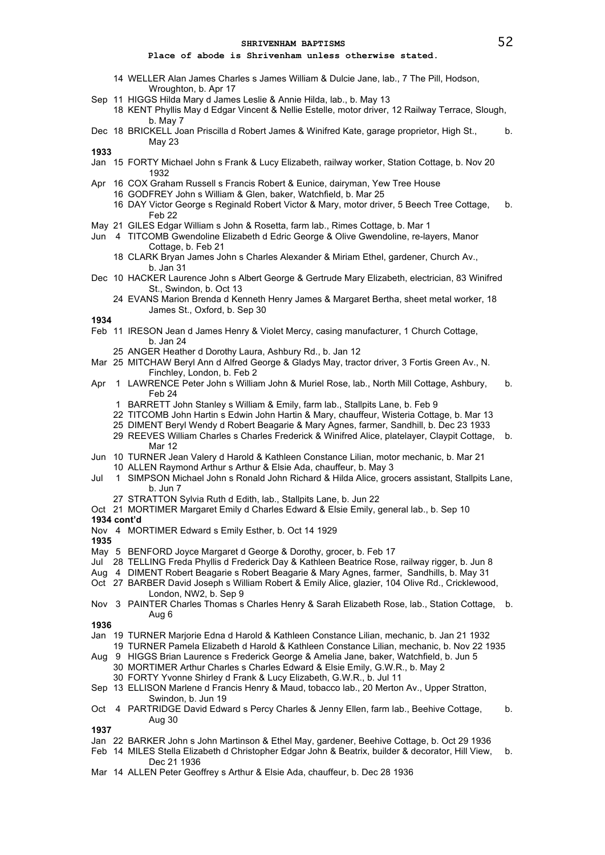## **Place of abode is Shrivenham unless otherwise stated.**

- 14 WELLER Alan James Charles s James William & Dulcie Jane, lab., 7 The Pill, Hodson, Wroughton, b. Apr 17
- Sep 11 HIGGS Hilda Mary d James Leslie & Annie Hilda, lab., b. May 13
	- 18 KENT Phyllis May d Edgar Vincent & Nellie Estelle, motor driver, 12 Railway Terrace, Slough, b. May 7
- Dec 18 BRICKELL Joan Priscilla d Robert James & Winifred Kate, garage proprietor, High St., b. May 23

**1933**

- Jan 15 FORTY Michael John s Frank & Lucy Elizabeth, railway worker, Station Cottage, b. Nov 20 1932
- Apr 16 COX Graham Russell s Francis Robert & Eunice, dairyman, Yew Tree House
	- 16 GODFREY John s William & Glen, baker, Watchfield, b. Mar 25
	- 16 DAY Victor George s Reginald Robert Victor & Mary, motor driver, 5 Beech Tree Cottage, b. Feb 22
- May 21 GILES Edgar William s John & Rosetta, farm lab., Rimes Cottage, b. Mar 1
- Jun 4 TITCOMB Gwendoline Elizabeth d Edric George & Olive Gwendoline, re-layers, Manor Cottage, b. Feb 21
	- 18 CLARK Bryan James John s Charles Alexander & Miriam Ethel, gardener, Church Av., b. Jan 31
- Dec 10 HACKER Laurence John s Albert George & Gertrude Mary Elizabeth, electrician, 83 Winifred St., Swindon, b. Oct 13
	- 24 EVANS Marion Brenda d Kenneth Henry James & Margaret Bertha, sheet metal worker, 18 James St., Oxford, b. Sep 30

**1934**

- Feb 11 IRESON Jean d James Henry & Violet Mercy, casing manufacturer, 1 Church Cottage, b. Jan 24
	- 25 ANGER Heather d Dorothy Laura, Ashbury Rd., b. Jan 12
- Mar 25 MITCHAW Beryl Ann d Alfred George & Gladys May, tractor driver, 3 Fortis Green Av., N. Finchley, London, b. Feb 2
- Apr 1 LAWRENCE Peter John s William John & Muriel Rose, lab., North Mill Cottage, Ashbury, b. Feb 24
	- 1 BARRETT John Stanley s William & Emily, farm lab., Stallpits Lane, b. Feb 9
	- 22 TITCOMB John Hartin s Edwin John Hartin & Mary, chauffeur, Wisteria Cottage, b. Mar 13
	- 25 DIMENT Beryl Wendy d Robert Beagarie & Mary Agnes, farmer, Sandhill, b. Dec 23 1933
	- 29 REEVES William Charles s Charles Frederick & Winifred Alice, platelayer, Claypit Cottage, b. Mar 12
- Jun 10 TURNER Jean Valery d Harold & Kathleen Constance Lilian, motor mechanic, b. Mar 21 10 ALLEN Raymond Arthur s Arthur & Elsie Ada, chauffeur, b. May 3
- Jul 1 SIMPSON Michael John s Ronald John Richard & Hilda Alice, grocers assistant, Stallpits Lane, b. Jun 7
	- 27 STRATTON Sylvia Ruth d Edith, lab., Stallpits Lane, b. Jun 22
- Oct 21 MORTIMER Margaret Emily d Charles Edward & Elsie Emily, general lab., b. Sep 10 **1934 cont'd**
- 
- Nov 4 MORTIMER Edward s Emily Esther, b. Oct 14 1929 **1935**
- 
- May 5 BENFORD Joyce Margaret d George & Dorothy, grocer, b. Feb 17
- Jul 28 TELLING Freda Phyllis d Frederick Day & Kathleen Beatrice Rose, railway rigger, b. Jun 8
- Aug 4 DIMENT Robert Beagarie s Robert Beagarie & Mary Agnes, farmer, Sandhills, b. May 31
- Oct 27 BARBER David Joseph s William Robert & Emily Alice, glazier, 104 Olive Rd., Cricklewood, London, NW2, b. Sep 9
- Nov 3 PAINTER Charles Thomas s Charles Henry & Sarah Elizabeth Rose, lab., Station Cottage, b. Aug 6

**1936**

- Jan 19 TURNER Marjorie Edna d Harold & Kathleen Constance Lilian, mechanic, b. Jan 21 1932
- 19 TURNER Pamela Elizabeth d Harold & Kathleen Constance Lilian, mechanic, b. Nov 22 1935 Aug 9 HIGGS Brian Laurence s Frederick George & Amelia Jane, baker, Watchfield, b. Jun 5
- 30 MORTIMER Arthur Charles s Charles Edward & Elsie Emily, G.W.R., b. May 2 30 FORTY Yvonne Shirley d Frank & Lucy Elizabeth, G.W.R., b. Jul 11
- Sep 13 ELLISON Marlene d Francis Henry & Maud, tobacco lab., 20 Merton Av., Upper Stratton, Swindon, b. Jun 19
- Oct 4 PARTRIDGE David Edward s Percy Charles & Jenny Ellen, farm lab., Beehive Cottage, b. Aug 30

- Jan 22 BARKER John s John Martinson & Ethel May, gardener, Beehive Cottage, b. Oct 29 1936
- Feb 14 MILES Stella Elizabeth d Christopher Edgar John & Beatrix, builder & decorator, Hill View, b. Dec 21 1936
- Mar 14 ALLEN Peter Geoffrey s Arthur & Elsie Ada, chauffeur, b. Dec 28 1936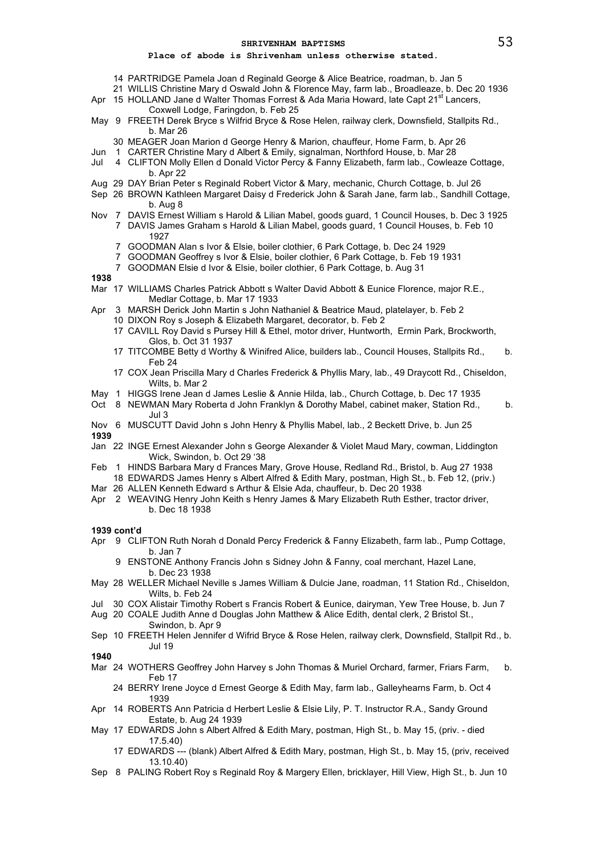### **Place of abode is Shrivenham unless otherwise stated.**

- 14 PARTRIDGE Pamela Joan d Reginald George & Alice Beatrice, roadman, b. Jan 5
- 21 WILLIS Christine Mary d Oswald John & Florence May, farm lab., Broadleaze, b. Dec 20 1936 Apr 15 HOLLAND Jane d Walter Thomas Forrest & Ada Maria Howard, late Capt 21<sup>st</sup> Lancers,
- Coxwell Lodge, Faringdon, b. Feb 25
- May 9 FREETH Derek Bryce s Wilfrid Bryce & Rose Helen, railway clerk, Downsfield, Stallpits Rd., b. Mar 26
	- 30 MEAGER Joan Marion d George Henry & Marion, chauffeur, Home Farm, b. Apr 26
- Jun 1 CARTER Christine Mary d Albert & Emily, signalman, Northford House, b. Mar 28
- Jul 4 CLIFTON Molly Ellen d Donald Victor Percy & Fanny Elizabeth, farm lab., Cowleaze Cottage, b. Apr 22
- Aug 29 DAY Brian Peter s Reginald Robert Victor & Mary, mechanic, Church Cottage, b. Jul 26
- Sep 26 BROWN Kathleen Margaret Daisy d Frederick John & Sarah Jane, farm lab., Sandhill Cottage, b. Aug 8
- Nov 7 DAVIS Ernest William s Harold & Lilian Mabel, goods guard, 1 Council Houses, b. Dec 3 1925 7 DAVIS James Graham s Harold & Lilian Mabel, goods guard, 1 Council Houses, b. Feb 10 1927
	- 7 GOODMAN Alan s Ivor & Elsie, boiler clothier, 6 Park Cottage, b. Dec 24 1929
	- 7 GOODMAN Geoffrey s Ivor & Elsie, boiler clothier, 6 Park Cottage, b. Feb 19 1931
	- 7 GOODMAN Elsie d Ivor & Elsie, boiler clothier, 6 Park Cottage, b. Aug 31
- **1938**
- Mar 17 WILLIAMS Charles Patrick Abbott s Walter David Abbott & Eunice Florence, major R.E., Medlar Cottage, b. Mar 17 1933
- Apr 3 MARSH Derick John Martin s John Nathaniel & Beatrice Maud, platelayer, b. Feb 2
	- 10 DIXON Roy s Joseph & Elizabeth Margaret, decorator, b. Feb 2
	- 17 CAVILL Roy David s Pursey Hill & Ethel, motor driver, Huntworth, Ermin Park, Brockworth, Glos, b. Oct 31 1937
	- 17 TITCOMBE Betty d Worthy & Winifred Alice, builders lab., Council Houses, Stallpits Rd., b. Feb 24
	- 17 COX Jean Priscilla Mary d Charles Frederick & Phyllis Mary, lab., 49 Draycott Rd., Chiseldon, Wilts, b. Mar 2
- May 1 HIGGS Irene Jean d James Leslie & Annie Hilda, lab., Church Cottage, b. Dec 17 1935
- Oct 8 NEWMAN Mary Roberta d John Franklyn & Dorothy Mabel, cabinet maker, Station Rd., b. Jul 3
- Nov 6 MUSCUTT David John s John Henry & Phyllis Mabel, lab., 2 Beckett Drive, b. Jun 25 **1939**
- Jan 22 INGE Ernest Alexander John s George Alexander & Violet Maud Mary, cowman, Liddington Wick, Swindon, b. Oct 29 '38
- Feb 1 HINDS Barbara Mary d Frances Mary, Grove House, Redland Rd., Bristol, b. Aug 27 1938 18 EDWARDS James Henry s Albert Alfred & Edith Mary, postman, High St., b. Feb 12, (priv.)
- Mar 26 ALLEN Kenneth Edward s Arthur & Elsie Ada, chauffeur, b. Dec 20 1938
- Apr 2 WEAVING Henry John Keith s Henry James & Mary Elizabeth Ruth Esther, tractor driver, b. Dec 18 1938

**1939 cont'd**

- Apr 9 CLIFTON Ruth Norah d Donald Percy Frederick & Fanny Elizabeth, farm lab., Pump Cottage, b. Jan 7
	- 9 ENSTONE Anthony Francis John s Sidney John & Fanny, coal merchant, Hazel Lane, b. Dec 23 1938
- May 28 WELLER Michael Neville s James William & Dulcie Jane, roadman, 11 Station Rd., Chiseldon, Wilts, b. Feb 24
- Jul 30 COX Alistair Timothy Robert s Francis Robert & Eunice, dairyman, Yew Tree House, b. Jun 7
- Aug 20 COALE Judith Anne d Douglas John Matthew & Alice Edith, dental clerk, 2 Bristol St., Swindon, b. Apr 9
- Sep 10 FREETH Helen Jennifer d Wifrid Bryce & Rose Helen, railway clerk, Downsfield, Stallpit Rd., b. Jul 19

- Mar 24 WOTHERS Geoffrey John Harvey s John Thomas & Muriel Orchard, farmer, Friars Farm, b. Feb 17
	- 24 BERRY Irene Joyce d Ernest George & Edith May, farm lab., Galleyhearns Farm, b. Oct 4 1939
- Apr 14 ROBERTS Ann Patricia d Herbert Leslie & Elsie Lily, P. T. Instructor R.A., Sandy Ground Estate, b. Aug 24 1939
- May 17 EDWARDS John s Albert Alfred & Edith Mary, postman, High St., b. May 15, (priv. died 17.5.40)
	- 17 EDWARDS --- (blank) Albert Alfred & Edith Mary, postman, High St., b. May 15, (priv, received 13.10.40)
- Sep 8 PALING Robert Roy s Reginald Roy & Margery Ellen, bricklayer, Hill View, High St., b. Jun 10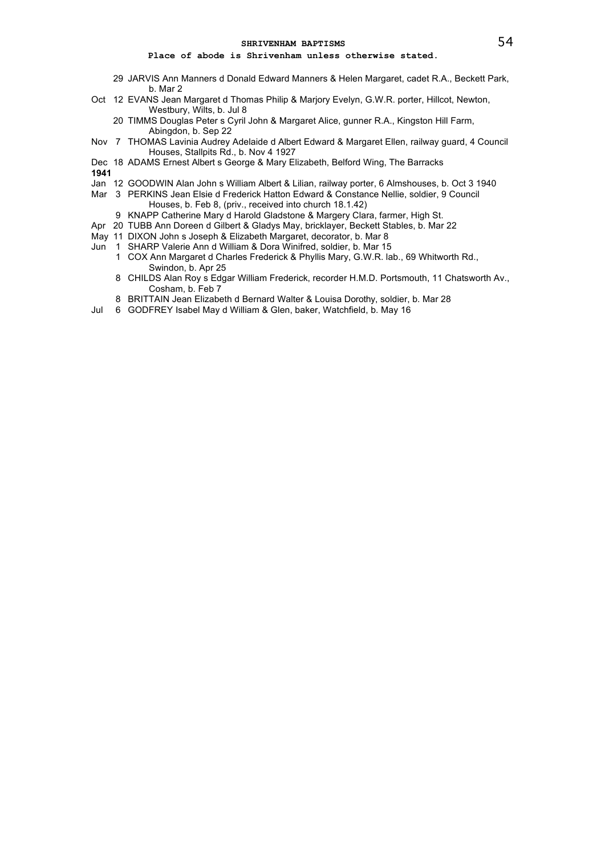# **Place of abode is Shrivenham unless otherwise stated.**

- 29 JARVIS Ann Manners d Donald Edward Manners & Helen Margaret, cadet R.A., Beckett Park, b. Mar 2
- Oct 12 EVANS Jean Margaret d Thomas Philip & Marjory Evelyn, G.W.R. porter, Hillcot, Newton, Westbury, Wilts, b. Jul 8
	- 20 TIMMS Douglas Peter s Cyril John & Margaret Alice, gunner R.A., Kingston Hill Farm, Abingdon, b. Sep 22
- Nov 7 THOMAS Lavinia Audrey Adelaide d Albert Edward & Margaret Ellen, railway guard, 4 Council Houses, Stallpits Rd., b. Nov 4 1927
- Dec 18 ADAMS Ernest Albert s George & Mary Elizabeth, Belford Wing, The Barracks

- Jan 12 GOODWIN Alan John s William Albert & Lilian, railway porter, 6 Almshouses, b. Oct 3 1940
- Mar 3 PERKINS Jean Elsie d Frederick Hatton Edward & Constance Nellie, soldier, 9 Council Houses, b. Feb 8, (priv., received into church 18.1.42)
	- 9 KNAPP Catherine Mary d Harold Gladstone & Margery Clara, farmer, High St.
- Apr 20 TUBB Ann Doreen d Gilbert & Gladys May, bricklayer, Beckett Stables, b. Mar 22
- May 11 DIXON John s Joseph & Elizabeth Margaret, decorator, b. Mar 8
- Jun 1 SHARP Valerie Ann d William & Dora Winifred, soldier, b. Mar 15
	- 1 COX Ann Margaret d Charles Frederick & Phyllis Mary, G.W.R. lab., 69 Whitworth Rd., Swindon, b. Apr 25
	- 8 CHILDS Alan Roy s Edgar William Frederick, recorder H.M.D. Portsmouth, 11 Chatsworth Av., Cosham, b. Feb 7
	- 8 BRITTAIN Jean Elizabeth d Bernard Walter & Louisa Dorothy, soldier, b. Mar 28
- Jul 6 GODFREY Isabel May d William & Glen, baker, Watchfield, b. May 16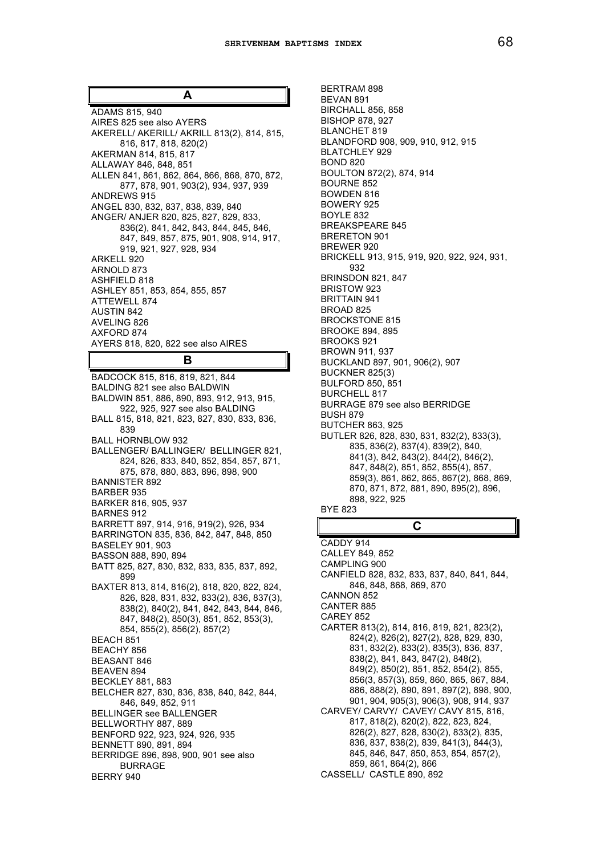**A**

ADAMS 815, 940 AIRES 825 see also AYERS AKERELL/ AKERILL/ AKRILL 813(2), 814, 815, 816, 817, 818, 820(2) AKERMAN 814, 815, 817 ALLAWAY 846, 848, 851 ALLEN 841, 861, 862, 864, 866, 868, 870, 872, 877, 878, 901, 903(2), 934, 937, 939 ANDREWS 915 ANGEL 830, 832, 837, 838, 839, 840 ANGER/ ANJER 820, 825, 827, 829, 833, 836(2), 841, 842, 843, 844, 845, 846, 847, 849, 857, 875, 901, 908, 914, 917, 919, 921, 927, 928, 934 ARKELL 920 ARNOLD 873 ASHFIELD 818 ASHLEY 851, 853, 854, 855, 857 ATTEWELL 874 AUSTIN 842 AVELING 826 AXFORD 874 AYERS 818, 820, 822 see also AIRES

# **B**

BADCOCK 815, 816, 819, 821, 844 BALDING 821 see also BALDWIN BALDWIN 851, 886, 890, 893, 912, 913, 915, 922, 925, 927 see also BALDING BALL 815, 818, 821, 823, 827, 830, 833, 836, 839 BALL HORNBLOW 932 BALLENGER/ BALLINGER/ BELLINGER 821, 824, 826, 833, 840, 852, 854, 857, 871, 875, 878, 880, 883, 896, 898, 900 BANNISTER 892 BARBER 935 BARKER 816, 905, 937 BARNES 912 BARRETT 897, 914, 916, 919(2), 926, 934 BARRINGTON 835, 836, 842, 847, 848, 850 BASELEY 901, 903 BASSON 888, 890, 894 BATT 825, 827, 830, 832, 833, 835, 837, 892, 899 BAXTER 813, 814, 816(2), 818, 820, 822, 824, 826, 828, 831, 832, 833(2), 836, 837(3), 838(2), 840(2), 841, 842, 843, 844, 846, 847, 848(2), 850(3), 851, 852, 853(3), 854, 855(2), 856(2), 857(2) BEACH 851 BEACHY 856 BEASANT 846 BEAVEN 894 BECKLEY 881, 883 BELCHER 827, 830, 836, 838, 840, 842, 844, 846, 849, 852, 911 BELLINGER see BALLENGER BELLWORTHY 887, 889 BENFORD 922, 923, 924, 926, 935 BENNETT 890, 891, 894 BERRIDGE 896, 898, 900, 901 see also BURRAGE BERRY 940

BERTRAM 898 BEVAN 891 BIRCHALL 856, 858 BISHOP 878, 927 BLANCHET 819 BLANDFORD 908, 909, 910, 912, 915 BLATCHLEY 929 BOND 820 BOULTON 872(2), 874, 914 BOURNE 852 BOWDEN 816 BOWERY 925 BOYLE 832 BREAKSPEARE 845 BRERETON 901 BREWER 920 BRICKELL 913, 915, 919, 920, 922, 924, 931, 932 BRINSDON 821, 847 BRISTOW 923 BRITTAIN 941 BROAD 825 BROCKSTONE 815 BROOKE 894, 895 BROOKS 921 BROWN 911, 937 BUCKLAND 897, 901, 906(2), 907 BUCKNER 825(3) BULFORD 850, 851 BURCHELL 817 BURRAGE 879 see also BERRIDGE BUSH 879 BUTCHER 863, 925 BUTLER 826, 828, 830, 831, 832(2), 833(3), 835, 836(2), 837(4), 839(2), 840, 841(3), 842, 843(2), 844(2), 846(2), 847, 848(2), 851, 852, 855(4), 857, 859(3), 861, 862, 865, 867(2), 868, 869, 870, 871, 872, 881, 890, 895(2), 896, 898, 922, 925 BYE 823

# **C**

CADDY 914 CALLEY 849, 852 CAMPLING 900 CANFIELD 828, 832, 833, 837, 840, 841, 844, 846, 848, 868, 869, 870 CANNON 852 CANTER 885 CAREY 852 CARTER 813(2), 814, 816, 819, 821, 823(2), 824(2), 826(2), 827(2), 828, 829, 830, 831, 832(2), 833(2), 835(3), 836, 837, 838(2), 841, 843, 847(2), 848(2), 849(2), 850(2), 851, 852, 854(2), 855, 856(3, 857(3), 859, 860, 865, 867, 884, 886, 888(2), 890, 891, 897(2), 898, 900, 901, 904, 905(3), 906(3), 908, 914, 937 CARVEY/ CARVY/ CAVEY/ CAVY 815, 816, 817, 818(2), 820(2), 822, 823, 824, 826(2), 827, 828, 830(2), 833(2), 835, 836, 837, 838(2), 839, 841(3), 844(3), 845, 846, 847, 850, 853, 854, 857(2), 859, 861, 864(2), 866 CASSELL/ CASTLE 890, 892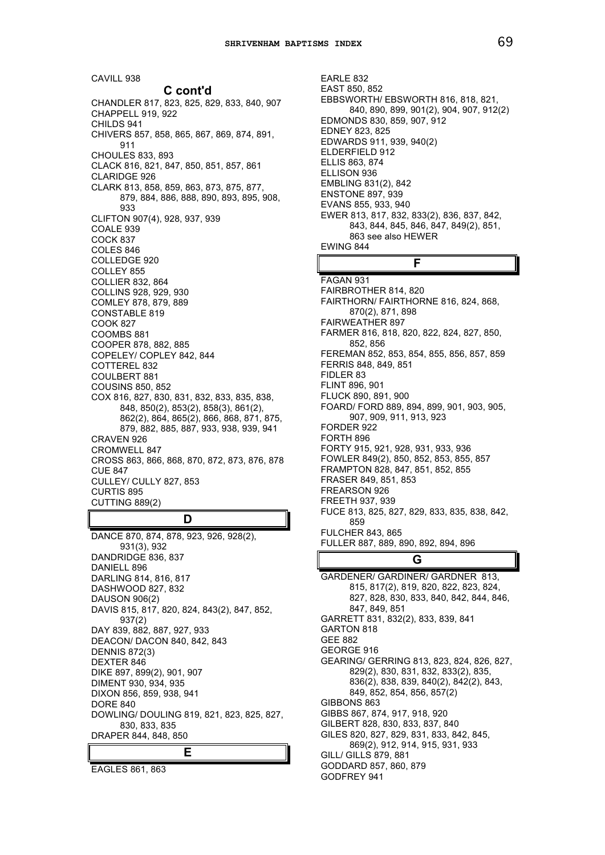CAVILL 938 **C cont'd** CHANDLER 817, 823, 825, 829, 833, 840, 907 CHAPPELL 919, 922 CHILDS 941 CHIVERS 857, 858, 865, 867, 869, 874, 891, 911 CHOULES 833, 893 CLACK 816, 821, 847, 850, 851, 857, 861 CLARIDGE 926 CLARK 813, 858, 859, 863, 873, 875, 877, 879, 884, 886, 888, 890, 893, 895, 908, 933 CLIFTON 907(4), 928, 937, 939 COALE 939 COCK 837 COLES 846 COLLEDGE 920 COLLEY 855 COLLIER 832, 864 COLLINS 928, 929, 930 COMLEY 878, 879, 889 CONSTABLE 819 COOK 827 COOMBS 881 COOPER 878, 882, 885 COPELEY/ COPLEY 842, 844 COTTEREL 832 COULBERT 881 COUSINS 850, 852 COX 816, 827, 830, 831, 832, 833, 835, 838, 848, 850(2), 853(2), 858(3), 861(2), 862(2), 864, 865(2), 866, 868, 871, 875, 879, 882, 885, 887, 933, 938, 939, 941 CRAVEN 926 CROMWELL 847 CROSS 863, 866, 868, 870, 872, 873, 876, 878 CUE 847 CULLEY/ CULLY 827, 853 CURTIS 895 CUTTING 889(2)

# **D**

DANCE 870, 874, 878, 923, 926, 928(2), 931(3), 932 DANDRIDGE 836, 837 DANIELL 896 DARLING 814, 816, 817 DASHWOOD 827, 832 DAUSON 906(2) DAVIS 815, 817, 820, 824, 843(2), 847, 852, 937(2) DAY 839, 882, 887, 927, 933 DEACON/ DACON 840, 842, 843 DENNIS 872(3) DEXTER 846 DIKE 897, 899(2), 901, 907 DIMENT 930, 934, 935 DIXON 856, 859, 938, 941 DORE 840 DOWLING/ DOULING 819, 821, 823, 825, 827, 830, 833, 835 DRAPER 844, 848, 850 **E**

EAGLES 861, 863

EARLE 832 EAST 850, 852 EBBSWORTH/ EBSWORTH 816, 818, 821, 840, 890, 899, 901(2), 904, 907, 912(2) EDMONDS 830, 859, 907, 912 EDNEY 823, 825 EDWARDS 911, 939, 940(2) ELDERFIELD 912 ELLIS 863, 874 ELLISON 936 EMBLING 831(2), 842 ENSTONE 897, 939 EVANS 855, 933, 940 EWER 813, 817, 832, 833(2), 836, 837, 842, 843, 844, 845, 846, 847, 849(2), 851, 863 see also HEWER EWING 844 **F**

FAGAN 931 FAIRBROTHER 814, 820 FAIRTHORN/ FAIRTHORNE 816, 824, 868, 870(2), 871, 898 FAIRWEATHER 897 FARMER 816, 818, 820, 822, 824, 827, 850, 852, 856 FEREMAN 852, 853, 854, 855, 856, 857, 859 FERRIS 848, 849, 851 FIDLER 83 FLINT 896, 901 FLUCK 890, 891, 900 FOARD/ FORD 889, 894, 899, 901, 903, 905, 907, 909, 911, 913, 923 FORDER 922 FORTH 896 FORTY 915, 921, 928, 931, 933, 936 FOWLER 849(2), 850, 852, 853, 855, 857 FRAMPTON 828, 847, 851, 852, 855 FRASER 849, 851, 853 FREARSON 926 FREETH 937, 939 FUCE 813, 825, 827, 829, 833, 835, 838, 842, 859 FULCHER 843, 865 FULLER 887, 889, 890, 892, 894, 896

# **G**

GARDENER/ GARDINER/ GARDNER 813, 815, 817(2), 819, 820, 822, 823, 824, 827, 828, 830, 833, 840, 842, 844, 846, 847, 849, 851 GARRETT 831, 832(2), 833, 839, 841 GARTON 818 GEE 882 GEORGE 916 GEARING/ GERRING 813, 823, 824, 826, 827, 829(2), 830, 831, 832, 833(2), 835, 836(2), 838, 839, 840(2), 842(2), 843, 849, 852, 854, 856, 857(2) GIBBONS 863 GIBBS 867, 874, 917, 918, 920 GILBERT 828, 830, 833, 837, 840 GILES 820, 827, 829, 831, 833, 842, 845, 869(2), 912, 914, 915, 931, 933 GILL/ GILLS 879, 881 GODDARD 857, 860, 879 GODFREY 941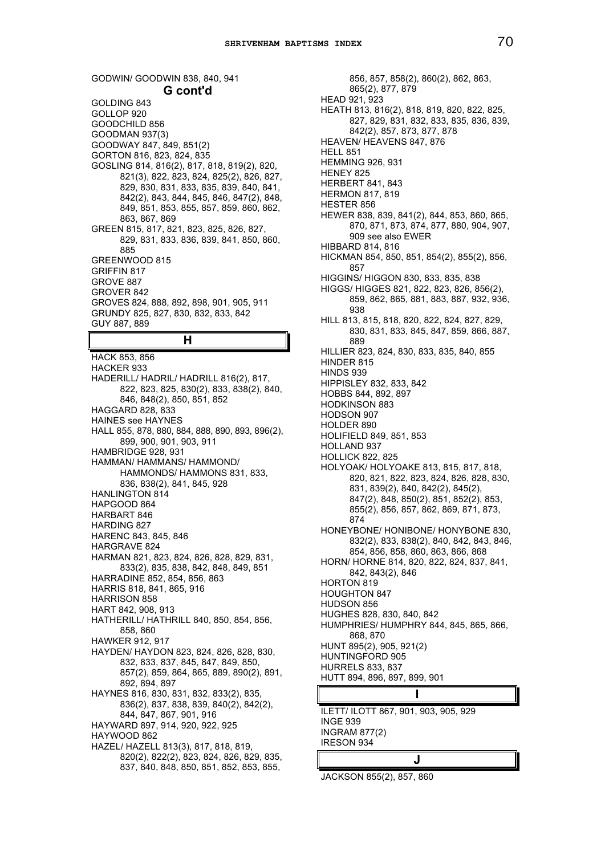GODWIN/ GOODWIN 838, 840, 941 **G cont'd** GOLDING 843 GOLLOP 920 GOODCHILD 856 GOODMAN 937(3) GOODWAY 847, 849, 851(2) GORTON 816, 823, 824, 835 GOSLING 814, 816(2), 817, 818, 819(2), 820, 821(3), 822, 823, 824, 825(2), 826, 827, 829, 830, 831, 833, 835, 839, 840, 841, 842(2), 843, 844, 845, 846, 847(2), 848, 849, 851, 853, 855, 857, 859, 860, 862, 863, 867, 869 GREEN 815, 817, 821, 823, 825, 826, 827, 829, 831, 833, 836, 839, 841, 850, 860, 885 GREENWOOD 815 GRIFFIN 817 GROVE 887 GROVER 842 GROVES 824, 888, 892, 898, 901, 905, 911 GRUNDY 825, 827, 830, 832, 833, 842 GUY 887, 889 **H** HACK 853, 856 HACKER 933 HADERILL/ HADRIL/ HADRILL 816(2), 817, 822, 823, 825, 830(2), 833, 838(2), 840, 846, 848(2), 850, 851, 852 HAGGARD 828, 833 HAINES see HAYNES HALL 855, 878, 880, 884, 888, 890, 893, 896(2), 899, 900, 901, 903, 911 HAMBRIDGE 928, 931 HAMMAN/ HAMMANS/ HAMMOND/ HAMMONDS/ HAMMONS 831, 833, 836, 838(2), 841, 845, 928 HANLINGTON 814 HAPGOOD 864 HARBART 846 HARDING 827 HARENC 843, 845, 846 HARGRAVE 824 HARMAN 821, 823, 824, 826, 828, 829, 831, 833(2), 835, 838, 842, 848, 849, 851 HARRADINE 852, 854, 856, 863 HARRIS 818, 841, 865, 916 HARRISON 858 HART 842, 908, 913 HATHERILL/ HATHRILL 840, 850, 854, 856, 858, 860 HAWKER 912, 917 HAYDEN/ HAYDON 823, 824, 826, 828, 830, 832, 833, 837, 845, 847, 849, 850, 857(2), 859, 864, 865, 889, 890(2), 891, 892, 894, 897 HAYNES 816, 830, 831, 832, 833(2), 835, 836(2), 837, 838, 839, 840(2), 842(2), 844, 847, 867, 901, 916 HAYWARD 897, 914, 920, 922, 925 HAYWOOD 862 HAZEL/ HAZELL 813(3), 817, 818, 819, 820(2), 822(2), 823, 824, 826, 829, 835, 837, 840, 848, 850, 851, 852, 853, 855,

856, 857, 858(2), 860(2), 862, 863, 865(2), 877, 879 HEAD 921, 923 HEATH 813, 816(2), 818, 819, 820, 822, 825, 827, 829, 831, 832, 833, 835, 836, 839, 842(2), 857, 873, 877, 878 HEAVEN/ HEAVENS 847, 876 **HELL 851** HEMMING 926, 931 HENEY 825 HERBERT 841, 843 HERMON 817, 819 HESTER 856 HEWER 838, 839, 841(2), 844, 853, 860, 865, 870, 871, 873, 874, 877, 880, 904, 907, 909 see also EWER HIBBARD 814, 816 HICKMAN 854, 850, 851, 854(2), 855(2), 856, 857 HIGGINS/ HIGGON 830, 833, 835, 838 HIGGS/ HIGGES 821, 822, 823, 826, 856(2), 859, 862, 865, 881, 883, 887, 932, 936, 938 HILL 813, 815, 818, 820, 822, 824, 827, 829, 830, 831, 833, 845, 847, 859, 866, 887, 889 HILLIER 823, 824, 830, 833, 835, 840, 855 HINDER 815 HINDS 939 HIPPISLEY 832, 833, 842 HOBBS 844, 892, 897 HODKINSON 883 HODSON 907 HOLDER 890 HOLIFIELD 849, 851, 853 HOLLAND 937 HOLLICK 822, 825 HOLYOAK/ HOLYOAKE 813, 815, 817, 818, 820, 821, 822, 823, 824, 826, 828, 830, 831, 839(2), 840, 842(2), 845(2), 847(2), 848, 850(2), 851, 852(2), 853, 855(2), 856, 857, 862, 869, 871, 873, 874 HONEYBONE/ HONIBONE/ HONYBONE 830, 832(2), 833, 838(2), 840, 842, 843, 846, 854, 856, 858, 860, 863, 866, 868 HORN/ HORNE 814, 820, 822, 824, 837, 841, 842, 843(2), 846 HORTON 819 HOUGHTON 847 HUDSON 856 HUGHES 828, 830, 840, 842 HUMPHRIES/ HUMPHRY 844, 845, 865, 866, 868, 870 HUNT 895(2), 905, 921(2) HUNTINGFORD 905 HURRELS 833, 837 HUTT 894, 896, 897, 899, 901 **I**

ILETT/ ILOTT 867, 901, 903, 905, 929 INGE 939 INGRAM 877(2) IRESON 934

# **J**

JACKSON 855(2), 857, 860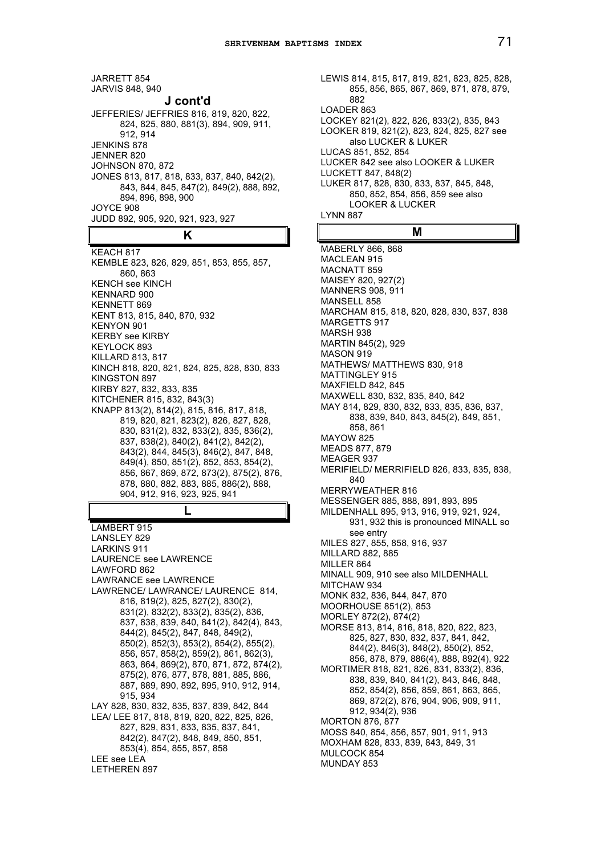JARRETT 854 JARVIS 848, 940 **J cont'd** JEFFERIES/ JEFFRIES 816, 819, 820, 822, 824, 825, 880, 881(3), 894, 909, 911, 912, 914 JENKINS 878 JENNER 820 JOHNSON 870, 872 JONES 813, 817, 818, 833, 837, 840, 842(2), 843, 844, 845, 847(2), 849(2), 888, 892, 894, 896, 898, 900 JOYCE 908 JUDD 892, 905, 920, 921, 923, 927

# **K**

KEACH 817 KEMBLE 823, 826, 829, 851, 853, 855, 857, 860, 863 KENCH see KINCH KENNARD 900 KENNETT 869 KENT 813, 815, 840, 870, 932 KENYON 901 KERBY see KIRBY KEYLOCK 893 KILLARD 813, 817 KINCH 818, 820, 821, 824, 825, 828, 830, 833 KINGSTON 897 KIRBY 827, 832, 833, 835 KITCHENER 815, 832, 843(3) KNAPP 813(2), 814(2), 815, 816, 817, 818, 819, 820, 821, 823(2), 826, 827, 828, 830, 831(2), 832, 833(2), 835, 836(2), 837, 838(2), 840(2), 841(2), 842(2), 843(2), 844, 845(3), 846(2), 847, 848, 849(4), 850, 851(2), 852, 853, 854(2), 856, 867, 869, 872, 873(2), 875(2), 876, 878, 880, 882, 883, 885, 886(2), 888, 904, 912, 916, 923, 925, 941

**L**

LAMBERT 915 LANSLEY 829 LARKINS 911 LAURENCE see LAWRENCE LAWFORD 862 LAWRANCE see LAWRENCE LAWRENCE/ LAWRANCE/ LAURENCE 814, 816, 819(2), 825, 827(2), 830(2), 831(2), 832(2), 833(2), 835(2), 836, 837, 838, 839, 840, 841(2), 842(4), 843, 844(2), 845(2), 847, 848, 849(2), 850(2), 852(3), 853(2), 854(2), 855(2), 856, 857, 858(2), 859(2), 861, 862(3), 863, 864, 869(2), 870, 871, 872, 874(2), 875(2), 876, 877, 878, 881, 885, 886, 887, 889, 890, 892, 895, 910, 912, 914, 915, 934 LAY 828, 830, 832, 835, 837, 839, 842, 844 LEA/ LEE 817, 818, 819, 820, 822, 825, 826, 827, 829, 831, 833, 835, 837, 841, 842(2), 847(2), 848, 849, 850, 851, 853(4), 854, 855, 857, 858 LEE see LEA LETHEREN 897

LEWIS 814, 815, 817, 819, 821, 823, 825, 828, 855, 856, 865, 867, 869, 871, 878, 879, 882 LOADER 863 LOCKEY 821(2), 822, 826, 833(2), 835, 843 LOOKER 819, 821(2), 823, 824, 825, 827 see also LUCKER & LUKER LUCAS 851, 852, 854 LUCKER 842 see also LOOKER & LUKER LUCKETT 847, 848(2) LUKER 817, 828, 830, 833, 837, 845, 848, 850, 852, 854, 856, 859 see also LOOKER & LUCKER LYNN 887

# **M**

MABERLY 866, 868 MACLEAN 915 MACNATT 859 MAISEY 820, 927(2) MANNERS 908, 911 MANSELL 858 MARCHAM 815, 818, 820, 828, 830, 837, 838 MARGETTS 917 MARSH 938 MARTIN 845(2), 929 MASON 919 MATHEWS/ MATTHEWS 830, 918 MATTINGLEY 915 MAXFIELD 842, 845 MAXWELL 830, 832, 835, 840, 842 MAY 814, 829, 830, 832, 833, 835, 836, 837, 838, 839, 840, 843, 845(2), 849, 851, 858, 861 MAYOW 825 MEADS 877, 879 MEAGER 937 MERIFIELD/ MERRIFIELD 826, 833, 835, 838, 840 MERRYWEATHER 816 MESSENGER 885, 888, 891, 893, 895 MILDENHALL 895, 913, 916, 919, 921, 924, 931, 932 this is pronounced MINALL so see entry MILES 827, 855, 858, 916, 937 MILLARD 882, 885 MILLER 864 MINALL 909, 910 see also MILDENHALL MITCHAW 934 MONK 832, 836, 844, 847, 870 MOORHOUSE 851(2), 853 MORLEY 872(2), 874(2) MORSE 813, 814, 816, 818, 820, 822, 823, 825, 827, 830, 832, 837, 841, 842, 844(2), 846(3), 848(2), 850(2), 852, 856, 878, 879, 886(4), 888, 892(4), 922 MORTIMER 818, 821, 826, 831, 833(2), 836, 838, 839, 840, 841(2), 843, 846, 848, 852, 854(2), 856, 859, 861, 863, 865, 869, 872(2), 876, 904, 906, 909, 911, 912, 934(2), 936 MORTON 876, 877 MOSS 840, 854, 856, 857, 901, 911, 913 MOXHAM 828, 833, 839, 843, 849, 31 MULCOCK 854 MUNDAY 853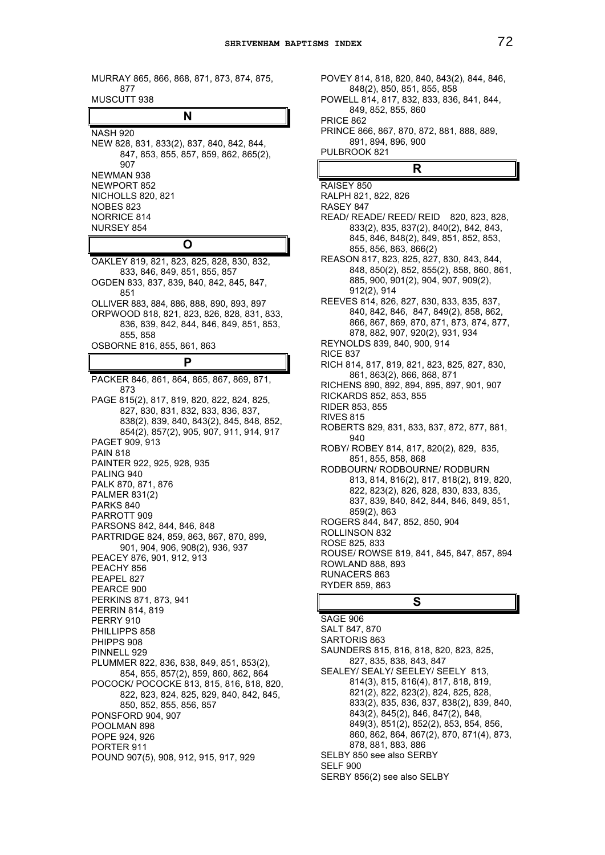MURRAY 865, 866, 868, 871, 873, 874, 875, 877 MUSCUTT 938

**N**

NASH 920 NEW 828, 831, 833(2), 837, 840, 842, 844, 847, 853, 855, 857, 859, 862, 865(2), 907 NEWMAN 938 NEWPORT 852 NICHOLLS 820, 821 NOBES 823 NORRICE 814 NURSEY 854

# **O**

OAKLEY 819, 821, 823, 825, 828, 830, 832, 833, 846, 849, 851, 855, 857 OGDEN 833, 837, 839, 840, 842, 845, 847, 851 OLLIVER 883, 884, 886, 888, 890, 893, 897 ORPWOOD 818, 821, 823, 826, 828, 831, 833, 836, 839, 842, 844, 846, 849, 851, 853, 855, 858 OSBORNE 816, 855, 861, 863 **P**

PACKER 846, 861, 864, 865, 867, 869, 871, 873 PAGE 815(2), 817, 819, 820, 822, 824, 825, 827, 830, 831, 832, 833, 836, 837, 838(2), 839, 840, 843(2), 845, 848, 852, 854(2), 857(2), 905, 907, 911, 914, 917 PAGET 909, 913 PAIN 818 PAINTER 922, 925, 928, 935 PALING 940 PALK 870, 871, 876 PALMER 831(2) PARKS 840 PARROTT 909 PARSONS 842, 844, 846, 848 PARTRIDGE 824, 859, 863, 867, 870, 899, 901, 904, 906, 908(2), 936, 937 PEACEY 876, 901, 912, 913 PEACHY 856 PEAPEL 827 PEARCE 900 PERKINS 871, 873, 941 PERRIN 814, 819 PERRY 910 PHILLIPPS 858 PHIPPS 908 PINNELL 929 PLUMMER 822, 836, 838, 849, 851, 853(2), 854, 855, 857(2), 859, 860, 862, 864 POCOCK/ POCOCKE 813, 815, 816, 818, 820, 822, 823, 824, 825, 829, 840, 842, 845, 850, 852, 855, 856, 857 PONSFORD 904, 907 POOLMAN 898 POPE 924, 926 PORTER 911 POUND 907(5), 908, 912, 915, 917, 929

POVEY 814, 818, 820, 840, 843(2), 844, 846, 848(2), 850, 851, 855, 858 POWELL 814, 817, 832, 833, 836, 841, 844, 849, 852, 855, 860 PRICE 862 PRINCE 866, 867, 870, 872, 881, 888, 889, 891, 894, 896, 900 PULBROOK 821

# **R**

RAISEY 850 RALPH 821, 822, 826 RASEY 847 READ/ READE/ REED/ REID 820, 823, 828, 833(2), 835, 837(2), 840(2), 842, 843, 845, 846, 848(2), 849, 851, 852, 853, 855, 856, 863, 866(2) REASON 817, 823, 825, 827, 830, 843, 844, 848, 850(2), 852, 855(2), 858, 860, 861, 885, 900, 901(2), 904, 907, 909(2), 912(2), 914 REEVES 814, 826, 827, 830, 833, 835, 837, 840, 842, 846, 847, 849(2), 858, 862, 866, 867, 869, 870, 871, 873, 874, 877, 878, 882, 907, 920(2), 931, 934 REYNOLDS 839, 840, 900, 914 RICE 837 RICH 814, 817, 819, 821, 823, 825, 827, 830, 861, 863(2), 866, 868, 871 RICHENS 890, 892, 894, 895, 897, 901, 907 RICKARDS 852, 853, 855 RIDER 853, 855 RIVES 815 ROBERTS 829, 831, 833, 837, 872, 877, 881, 940 ROBY/ ROBEY 814, 817, 820(2), 829, 835, 851, 855, 858, 868 RODBOURN/ RODBOURNE/ RODBURN 813, 814, 816(2), 817, 818(2), 819, 820, 822, 823(2), 826, 828, 830, 833, 835, 837, 839, 840, 842, 844, 846, 849, 851, 859(2), 863 ROGERS 844, 847, 852, 850, 904 ROLLINSON 832 ROSE 825, 833 ROUSE/ ROWSE 819, 841, 845, 847, 857, 894 ROWLAND 888, 893 RUNACERS 863 RYDER 859, 863

**S**

SAGE 906 SALT 847, 870 SARTORIS 863 SAUNDERS 815, 816, 818, 820, 823, 825, 827, 835, 838, 843, 847 SEALEY/ SEALY/ SEELEY/ SEELY 813, 814(3), 815, 816(4), 817, 818, 819, 821(2), 822, 823(2), 824, 825, 828, 833(2), 835, 836, 837, 838(2), 839, 840, 843(2), 845(2), 846, 847(2), 848, 849(3), 851(2), 852(2), 853, 854, 856, 860, 862, 864, 867(2), 870, 871(4), 873, 878, 881, 883, 886 SELBY 850 see also SERBY SELF 900 SERBY 856(2) see also SELBY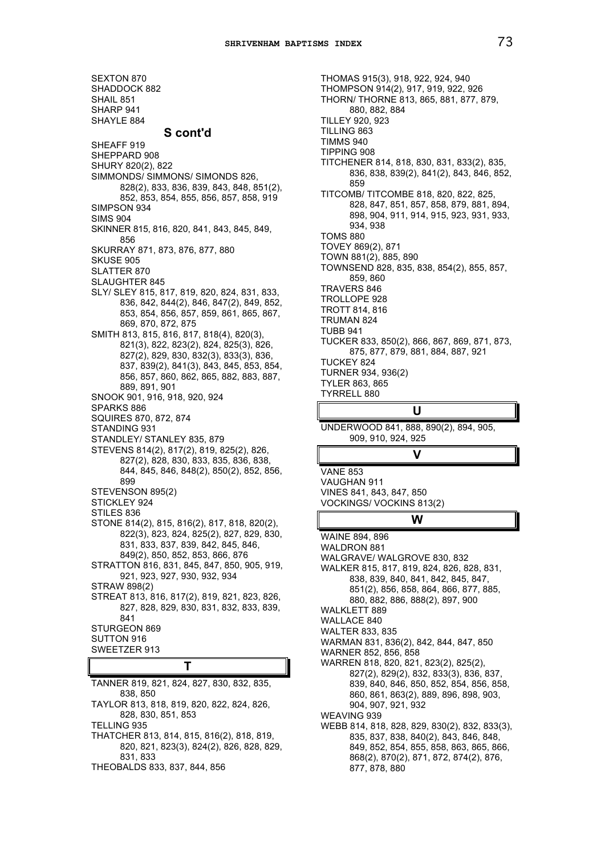SEXTON 870 SHADDOCK 882 SHAIL 851 SHARP 941 SHAYLE 884 **S cont'd** SHEAFF 919 SHEPPARD 908 SHURY 820(2), 822 SIMMONDS/ SIMMONS/ SIMONDS 826, 828(2), 833, 836, 839, 843, 848, 851(2), 852, 853, 854, 855, 856, 857, 858, 919 SIMPSON 934 SIMS 904 SKINNER 815, 816, 820, 841, 843, 845, 849, 856 SKURRAY 871, 873, 876, 877, 880 SKUSE 905 SLATTER 870 SLAUGHTER 845 SLY/ SLEY 815, 817, 819, 820, 824, 831, 833, 836, 842, 844(2), 846, 847(2), 849, 852, 853, 854, 856, 857, 859, 861, 865, 867, 869, 870, 872, 875 SMITH 813, 815, 816, 817, 818(4), 820(3), 821(3), 822, 823(2), 824, 825(3), 826, 827(2), 829, 830, 832(3), 833(3), 836, 837, 839(2), 841(3), 843, 845, 853, 854, 856, 857, 860, 862, 865, 882, 883, 887, 889, 891, 901 SNOOK 901, 916, 918, 920, 924 SPARKS 886 SQUIRES 870, 872, 874 STANDING 931 STANDLEY/ STANLEY 835, 879 STEVENS 814(2), 817(2), 819, 825(2), 826, 827(2), 828, 830, 833, 835, 836, 838, 844, 845, 846, 848(2), 850(2), 852, 856, 899 STEVENSON 895(2) STICKLEY 924 STILES 836 STONE 814(2), 815, 816(2), 817, 818, 820(2), 822(3), 823, 824, 825(2), 827, 829, 830, 831, 833, 837, 839, 842, 845, 846, 849(2), 850, 852, 853, 866, 876 STRATTON 816, 831, 845, 847, 850, 905, 919, 921, 923, 927, 930, 932, 934 STRAW 898(2) STREAT 813, 816, 817(2), 819, 821, 823, 826, 827, 828, 829, 830, 831, 832, 833, 839, 841 STURGEON 869 SUTTON 916 SWEETZER 913 **T** TANNER 819, 821, 824, 827, 830, 832, 835,

838, 850 TAYLOR 813, 818, 819, 820, 822, 824, 826, 828, 830, 851, 853 TELLING 935 THATCHER 813, 814, 815, 816(2), 818, 819, 820, 821, 823(3), 824(2), 826, 828, 829, 831, 833 THEOBALDS 833, 837, 844, 856

THOMAS 915(3), 918, 922, 924, 940 THOMPSON 914(2), 917, 919, 922, 926 THORN/ THORNE 813, 865, 881, 877, 879, 880, 882, 884 TILLEY 920, 923 TILLING 863 TIMMS 940 TIPPING 908 TITCHENER 814, 818, 830, 831, 833(2), 835, 836, 838, 839(2), 841(2), 843, 846, 852, 859 TITCOMB/ TITCOMBE 818, 820, 822, 825, 828, 847, 851, 857, 858, 879, 881, 894, 898, 904, 911, 914, 915, 923, 931, 933, 934, 938 TOMS 880 TOVEY 869(2), 871 TOWN 881(2), 885, 890 TOWNSEND 828, 835, 838, 854(2), 855, 857, 859, 860 TRAVERS 846 TROLLOPE 928 TROTT 814, 816 TRUMAN 824 TUBB 941 TUCKER 833, 850(2), 866, 867, 869, 871, 873, 875, 877, 879, 881, 884, 887, 921 TUCKEY 824 TURNER 934, 936(2) TYLER 863, 865 TYRRELL 880

# **U**

**V**

UNDERWOOD 841, 888, 890(2), 894, 905, 909, 910, 924, 925

VANE 853 VAUGHAN 911 VINES 841, 843, 847, 850 VOCKINGS/ VOCKINS 813(2)

# **W**

WAINE 894, 896 WALDRON 881 WALGRAVE/ WALGROVE 830, 832 WALKER 815, 817, 819, 824, 826, 828, 831, 838, 839, 840, 841, 842, 845, 847, 851(2), 856, 858, 864, 866, 877, 885, 880, 882, 886, 888(2), 897, 900 WALKLETT 889 WALLACE 840 WALTER 833, 835 WARMAN 831, 836(2), 842, 844, 847, 850 WARNER 852, 856, 858 WARREN 818, 820, 821, 823(2), 825(2), 827(2), 829(2), 832, 833(3), 836, 837, 839, 840, 846, 850, 852, 854, 856, 858, 860, 861, 863(2), 889, 896, 898, 903, 904, 907, 921, 932 WEAVING 939 WEBB 814, 818, 828, 829, 830(2), 832, 833(3), 835, 837, 838, 840(2), 843, 846, 848, 849, 852, 854, 855, 858, 863, 865, 866, 868(2), 870(2), 871, 872, 874(2), 876, 877, 878, 880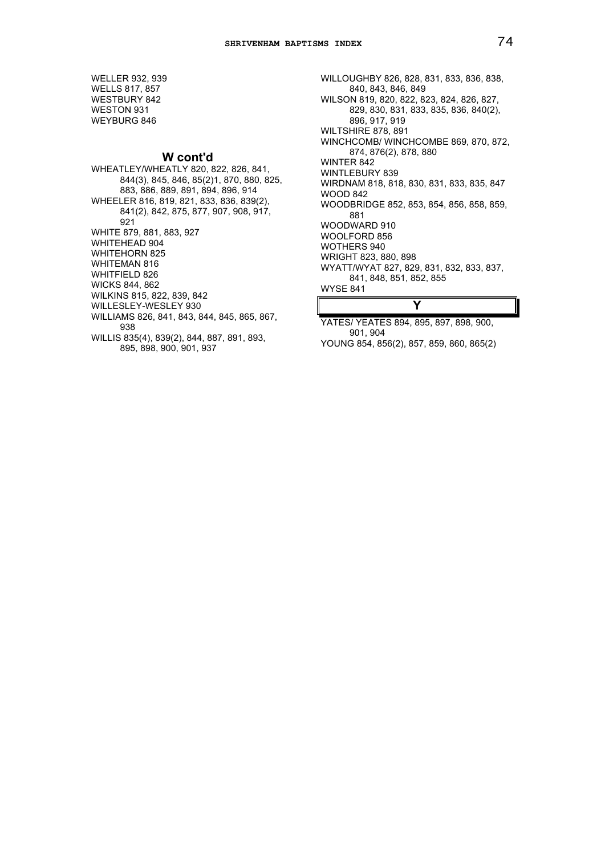WELLER 932, 939 WELLS 817, 857 WESTBURY 842 WESTON 931 WEYBURG 846

# **W cont'd**

WHEATLEY/WHEATLY 820, 822, 826, 841, 844(3), 845, 846, 85(2)1, 870, 880, 825, 883, 886, 889, 891, 894, 896, 914 WHEELER 816, 819, 821, 833, 836, 839(2), 841(2), 842, 875, 877, 907, 908, 917, 921 WHITE 879, 881, 883, 927 WHITEHEAD 904 WHITEHORN 825 WHITEMAN 816 WHITFIELD 826 WICKS 844, 862 WILKINS 815, 822, 839, 842 WILLESLEY-WESLEY 930 WILLIAMS 826, 841, 843, 844, 845, 865, 867, 938 WILLIS 835(4), 839(2), 844, 887, 891, 893, 895, 898, 900, 901, 937

WILLOUGHBY 826, 828, 831, 833, 836, 838, 840, 843, 846, 849 WILSON 819, 820, 822, 823, 824, 826, 827, 829, 830, 831, 833, 835, 836, 840(2), 896, 917, 919 WILTSHIRE 878, 891 WINCHCOMB/ WINCHCOMBE 869, 870, 872, 874, 876(2), 878, 880 WINTER 842 WINTLEBURY 839 WIRDNAM 818, 818, 830, 831, 833, 835, 847 WOOD 842 WOODBRIDGE 852, 853, 854, 856, 858, 859, 881 WOODWARD 910 WOOLFORD 856 WOTHERS 940 WRIGHT 823, 880, 898 WYATT/WYAT 827, 829, 831, 832, 833, 837, 841, 848, 851, 852, 855 WYSE 841 **Y**

YATES/ YEATES 894, 895, 897, 898, 900, 901, 904 YOUNG 854, 856(2), 857, 859, 860, 865(2)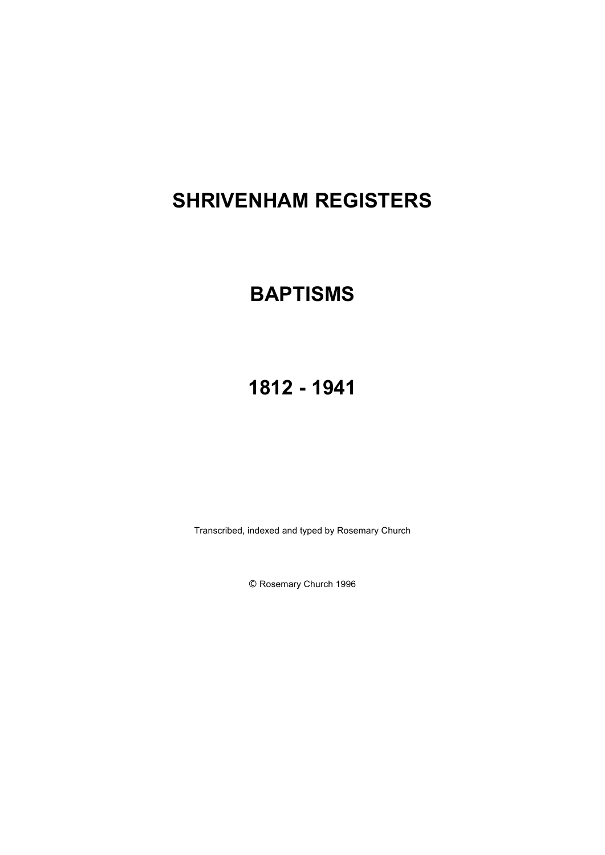# **SHRIVENHAM REGISTERS**

# **BAPTISMS**

# **1812 - 1941**

Transcribed, indexed and typed by Rosemary Church

© Rosemary Church 1996